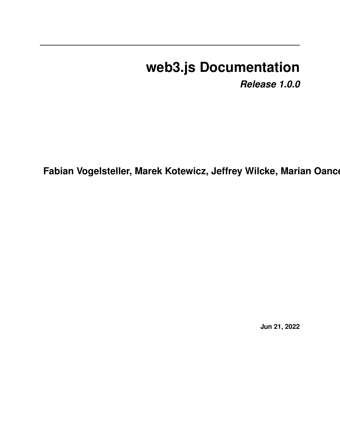# **web3.js Documentation**

*Release 1.0.0*

**Fabian Vogelsteller, Marek Kotewicz, Jeffrey Wilcke, Marian Oance** 

**Jun 21, 2022**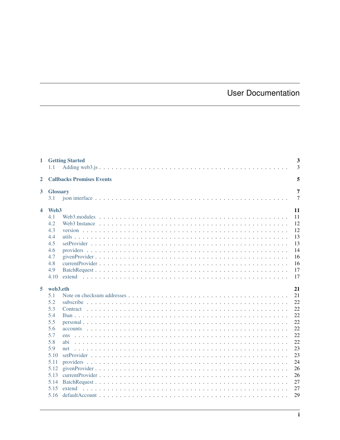# **User Documentation**

| 1                       | 1.1                    | <b>Getting Started</b>           | 3<br>$\overline{3}$ |
|-------------------------|------------------------|----------------------------------|---------------------|
| $\mathbf{2}$            |                        | <b>Callbacks Promises Events</b> | 5                   |
| $\overline{\mathbf{3}}$ | <b>Glossary</b><br>3.1 |                                  | 7<br>$\overline{7}$ |
| 4                       | Web <sub>3</sub>       |                                  | 11                  |
|                         | 4.1                    |                                  | 11                  |
|                         | 4.2                    |                                  | 12                  |
|                         | 4.3                    |                                  | 12                  |
|                         | 4.4                    |                                  | 13                  |
|                         | 4.5                    |                                  | 13                  |
|                         | 4.6                    |                                  | 14                  |
|                         | 4.7                    |                                  | 16                  |
|                         | 4.8                    |                                  | 16                  |
|                         | 4.9                    |                                  | 17                  |
|                         | 4.10                   |                                  | 17                  |
| 5                       | web3.eth               |                                  | 21                  |
|                         | 5.1                    |                                  | 21                  |
|                         | 5.2                    |                                  | 22                  |
|                         | 5.3                    |                                  | 22                  |
|                         | 5.4                    |                                  | 22                  |
|                         | 5.5                    |                                  | 22                  |
|                         | 5.6                    |                                  | 22                  |
|                         | 5.7                    | ens                              | 22                  |
|                         | 5.8                    | abi                              | 22                  |
|                         | 5.9                    | net                              | 23                  |
|                         | 5.10                   |                                  | 23                  |
|                         | 5.11                   |                                  | 24                  |
|                         | 5.12                   |                                  | 26                  |
|                         | 5.13                   |                                  | 26                  |
|                         | 5.14                   |                                  | 27                  |
|                         | 5.15                   |                                  | 27                  |
|                         | 5.16                   |                                  | 29                  |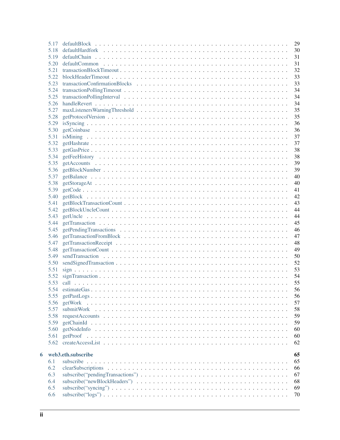|   | 5.17 |                    | 29 |
|---|------|--------------------|----|
|   | 5.18 |                    | 30 |
|   | 5.19 |                    | 31 |
|   | 5.20 |                    | 31 |
|   | 5.21 |                    | 32 |
|   | 5.22 |                    | 33 |
|   | 5.23 |                    | 33 |
|   | 5.24 |                    | 34 |
|   | 5.25 |                    | 34 |
|   | 5.26 |                    | 34 |
|   | 5.27 |                    | 35 |
|   | 5.28 |                    | 35 |
|   |      |                    |    |
|   | 5.29 |                    | 36 |
|   | 5.30 |                    | 36 |
|   | 5.31 |                    | 37 |
|   | 5.32 |                    | 37 |
|   | 5.33 |                    | 38 |
|   | 5.34 |                    | 38 |
|   | 5.35 |                    | 39 |
|   | 5.36 |                    | 39 |
|   | 5.37 |                    | 40 |
|   | 5.38 |                    | 40 |
|   | 5.39 |                    | 41 |
|   | 5.40 |                    | 42 |
|   | 5.41 |                    | 43 |
|   | 5.42 |                    | 44 |
|   | 5.43 |                    | 44 |
|   | 5.44 |                    | 45 |
|   | 5.45 |                    | 46 |
|   | 5.46 |                    | 47 |
|   | 5.47 |                    | 48 |
|   |      |                    |    |
|   | 5.48 |                    | 49 |
|   | 5.49 |                    | 50 |
|   | 5.50 |                    | 52 |
|   | 5.51 |                    | 53 |
|   | 5.52 |                    | 54 |
|   | 5.53 |                    | 55 |
|   |      |                    | 56 |
|   | 5.55 |                    | 56 |
|   | 5.56 |                    | 57 |
|   | 5.57 |                    | 58 |
|   | 5.58 |                    | 59 |
|   | 5.59 |                    | 59 |
|   | 5.60 |                    | 60 |
|   | 5.61 |                    | 60 |
|   | 5.62 |                    | 62 |
|   |      |                    |    |
| 6 |      | web3.eth.subscribe | 65 |
|   | 6.1  |                    | 65 |
|   | 6.2  |                    | 66 |
|   | 6.3  |                    | 67 |
|   | 6.4  |                    | 68 |
|   | 6.5  |                    | 69 |
|   | 6.6  |                    | 70 |
|   |      |                    |    |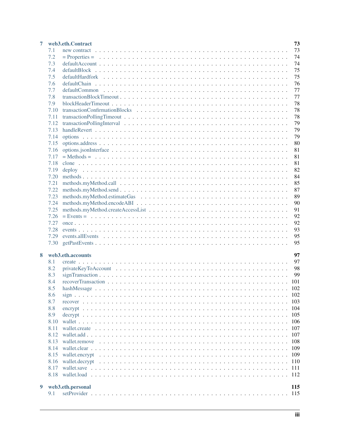| 7 |      | web3.eth.Contract        | 73 |
|---|------|--------------------------|----|
|   | 7.1  |                          | 73 |
|   | 7.2  |                          | 74 |
|   | 7.3  |                          | 74 |
|   | 7.4  |                          | 75 |
|   | 7.5  | defaultHardfork          | 75 |
|   | 7.6  |                          | 76 |
|   | 7.7  |                          | 77 |
|   | 7.8  |                          | 77 |
|   | 7.9  |                          | 78 |
|   | 7.10 |                          | 78 |
|   | 7.11 |                          | 78 |
|   | 7.12 |                          | 79 |
|   | 7.13 |                          | 79 |
|   | 7.14 |                          | 79 |
|   | 7.15 |                          | 80 |
|   | 7.16 |                          | 81 |
|   | 7.17 |                          | 81 |
|   | 7.18 |                          | 81 |
|   |      |                          |    |
|   | 7.19 |                          | 82 |
|   | 7.20 |                          | 84 |
|   | 7.21 |                          | 85 |
|   | 7.22 |                          | 87 |
|   | 7.23 |                          | 89 |
|   | 7.24 |                          | 90 |
|   | 7.25 |                          | 91 |
|   | 7.26 |                          | 92 |
|   | 7.27 |                          | 92 |
|   | 7.28 |                          | 93 |
|   | 7.29 |                          | 95 |
|   | 7.30 |                          | 95 |
|   |      |                          |    |
| 8 |      | web3.eth.accounts<br>97  | 97 |
|   | 8.1  |                          |    |
|   | 8.2  | 98                       |    |
|   | 8.3  | 99                       |    |
|   | 8.4  | 101                      |    |
|   | 8.5  | 102<br>hashMessage       |    |
|   | 8.6  |                          |    |
|   | 8.7  |                          |    |
|   | 8.8  | 104                      |    |
|   | 8.9  | 105                      |    |
|   | 8.10 | 106                      |    |
|   | 8.11 | 107                      |    |
|   | 8.12 | 107                      |    |
|   | 8.13 | 108                      |    |
|   | 8.14 | 109                      |    |
|   | 8.15 | 109                      |    |
|   | 8.16 | 110                      |    |
|   | 8.17 | 111                      |    |
|   | 8.18 | 112                      |    |
|   |      |                          |    |
| 9 |      | web3.eth.personal<br>115 |    |
|   | 9.1  |                          |    |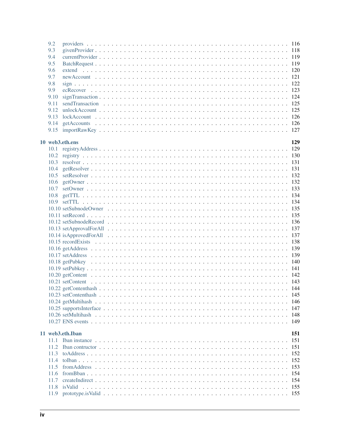| 9.2  |                  |      |
|------|------------------|------|
| 9.3  |                  |      |
| 9.4  |                  |      |
| 9.5  |                  |      |
| 9.6  |                  |      |
| 9.7  |                  |      |
|      |                  |      |
| 9.8  |                  |      |
| 9.9  |                  |      |
| 9.10 |                  |      |
| 9.11 |                  |      |
| 9.12 |                  |      |
| 9.13 |                  |      |
| 9.14 |                  |      |
|      |                  |      |
|      |                  |      |
|      | 10 web3.eth.ens  | 129  |
| 10.1 |                  |      |
|      |                  |      |
| 10.2 |                  |      |
| 10.3 |                  |      |
| 10.4 |                  |      |
| 10.5 |                  |      |
| 10.6 |                  |      |
| 10.7 |                  |      |
| 10.8 |                  |      |
| 10.9 |                  |      |
|      |                  |      |
|      |                  |      |
|      |                  |      |
|      |                  |      |
|      |                  |      |
|      |                  |      |
|      |                  |      |
|      |                  |      |
|      |                  |      |
|      |                  |      |
|      |                  |      |
|      |                  |      |
|      |                  |      |
|      |                  |      |
|      |                  |      |
|      |                  |      |
|      |                  | 146  |
|      |                  | 147  |
|      |                  | -148 |
|      |                  | 149  |
|      |                  |      |
|      | 11 web3.eth.Iban | 151  |
| 11 1 |                  | 151  |
| 11.2 |                  | 151  |
| 11.3 |                  | 152  |
| 11.4 |                  | 152  |
|      |                  |      |
| 11.5 |                  | 153  |
| 11.6 |                  | 154  |
| 11.7 |                  | 154  |
| 11.8 |                  | 155  |
|      |                  |      |
|      |                  |      |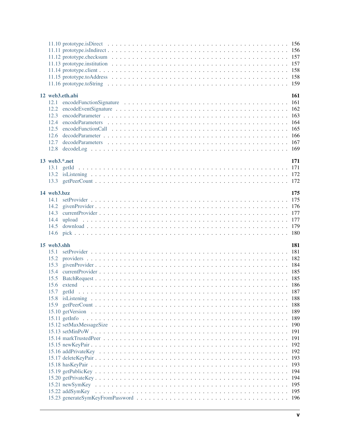|                     |                 | 158<br>158 |
|---------------------|-----------------|------------|
|                     | 12 web3.eth.abi | 161        |
|                     |                 |            |
| 12.2                |                 |            |
| 12.3                |                 |            |
| 12.4                |                 |            |
| 12.5                |                 |            |
| 12.6                |                 |            |
| 12.7                |                 |            |
|                     |                 |            |
| $13$ web $3.*$ .net |                 | 171        |
|                     |                 |            |
|                     |                 |            |
|                     |                 |            |
|                     |                 |            |
| 14 web3.bzz         |                 | 175        |
|                     |                 |            |
|                     |                 |            |
|                     |                 |            |
|                     |                 |            |
|                     |                 |            |
|                     |                 |            |
|                     |                 |            |
| 15 web3.shh         |                 | 181        |
| 15.1                |                 |            |
| 15.2                |                 |            |
| 15.3                |                 |            |
|                     |                 |            |
|                     |                 |            |
|                     |                 |            |
| 15.8                |                 | 188        |
|                     |                 | 188        |
|                     |                 | 189        |
|                     |                 | 189        |
|                     |                 | 190        |
|                     |                 | 191        |
|                     |                 | 191        |
|                     |                 | 192        |
|                     |                 | 192<br>193 |
|                     |                 | 193        |
|                     |                 | 194        |
|                     |                 | 194        |
|                     |                 | 195        |
|                     |                 | 195        |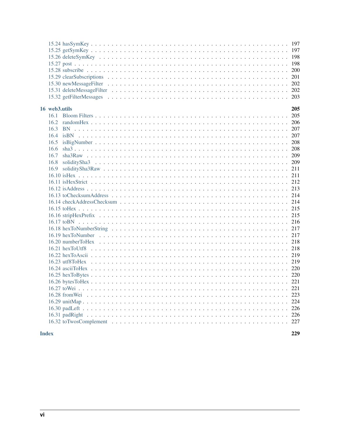| 16 web3.utils                        | 205 |
|--------------------------------------|-----|
| 16.5<br>16.6<br>16.7<br>16.8<br>16.9 |     |
|                                      |     |
|                                      |     |
|                                      |     |
|                                      |     |
|                                      |     |

### **Index**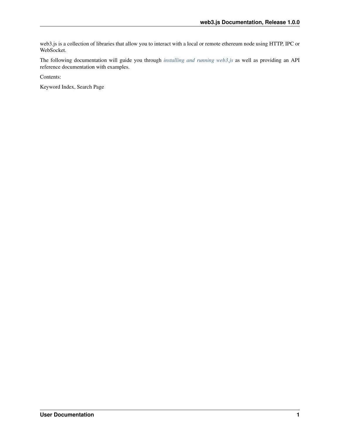web3.js is a collection of libraries that allow you to interact with a local or remote ethereum node using HTTP, IPC or WebSocket.

The following documentation will guide you through *[installing and running web3.js](#page-10-1)* as well as providing an API reference documentation with examples.

Contents:

Keyword Index, Search Page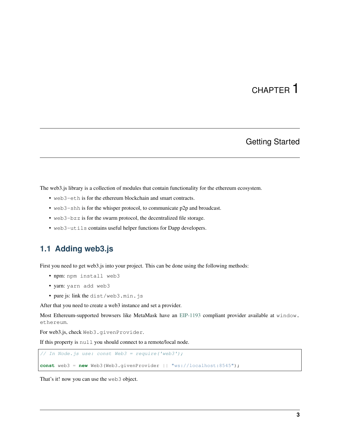# Getting Started

<span id="page-10-0"></span>The web3.js library is a collection of modules that contain functionality for the ethereum ecosystem.

- web3-eth is for the ethereum blockchain and smart contracts.
- web3-shh is for the whisper protocol, to communicate p2p and broadcast.
- web3-bzz is for the swarm protocol, the decentralized file storage.
- web3-utils contains useful helper functions for Dapp developers.

# <span id="page-10-1"></span>**1.1 Adding web3.js**

First you need to get web3.js into your project. This can be done using the following methods:

- npm: npm install web3
- yarn: yarn add web3
- pure js: link the dist/web3.min.js

After that you need to create a web3 instance and set a provider.

Most Ethereum-supported browsers like MetaMask have an [EIP-1193](https://eips.ethereum.org/EIPS/eip-1193) compliant provider available at window. ethereum.

For web3.js, check Web3.givenProvider.

If this property is null you should connect to a remote/local node.

```
// In Node.js use: const Web3 = require('web3');
const web3 = new Web3(Web3.givenProvider || "ws://localhost:8545");
```
That's it! now you can use the web3 object.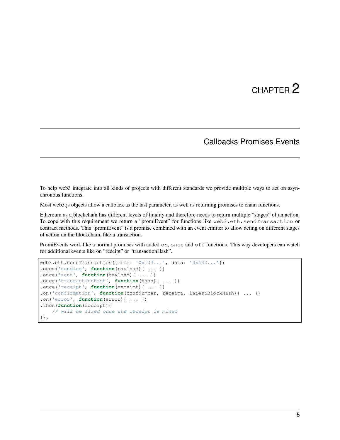# Callbacks Promises Events

<span id="page-12-0"></span>To help web3 integrate into all kinds of projects with different standards we provide multiple ways to act on asynchronous functions.

Most web3.js objects allow a callback as the last parameter, as well as returning promises to chain functions.

Ethereum as a blockchain has different levels of finality and therefore needs to return multiple "stages" of an action. To cope with this requirement we return a "promiEvent" for functions like web3.eth.sendTransaction or contract methods. This "promiEvent" is a promise combined with an event emitter to allow acting on different stages of action on the blockchain, like a transaction.

PromiEvents work like a normal promises with added on, once and off functions. This way developers can watch for additional events like on "receipt" or "transactionHash".

```
web3.eth.sendTransaction({from: '0x123...', data: '0x432...'})
.once('sending', function(payload){ ... })
.once('sent', function(payload){ ... })
.once('transactionHash', function(hash){ ... })
.once('receipt', function(receipt){ ... })
.on('confirmation', function(confNumber, receipt, latestBlockHash){ ... })
.on('error', function(error){ ... })
.then(function(receipt){
   // will be fired once the receipt is mined
});
```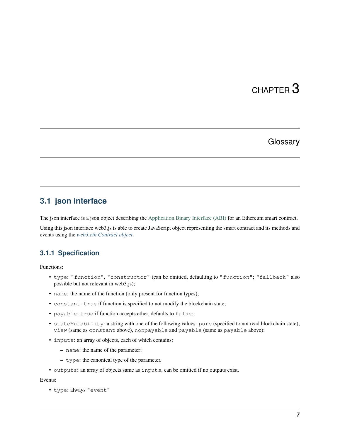# **Glossary**

# <span id="page-14-1"></span><span id="page-14-0"></span>**3.1 json interface**

The json interface is a json object describing the [Application Binary Interface \(ABI\)](https://docs.soliditylang.org/en/develop/abi-spec.html) for an Ethereum smart contract.

Using this json interface web3.js is able to create JavaScript object representing the smart contract and its methods and events using the *[web3.eth.Contract object](#page-80-0)*.

# **3.1.1 Specification**

Functions:

- type: "function", "constructor" (can be omitted, defaulting to "function"; "fallback" also possible but not relevant in web3.js);
- name: the name of the function (only present for function types);
- constant: true if function is specified to not modify the blockchain state;
- payable: true if function accepts ether, defaults to false;
- stateMutability: a string with one of the following values: pure (specified to not read blockchain state), view (same as constant above), nonpayable and payable (same as payable above);
- inputs: an array of objects, each of which contains:
	- name: the name of the parameter;
	- type: the canonical type of the parameter.
- outputs: an array of objects same as inputs, can be omitted if no outputs exist.

#### Events:

• type: always "event"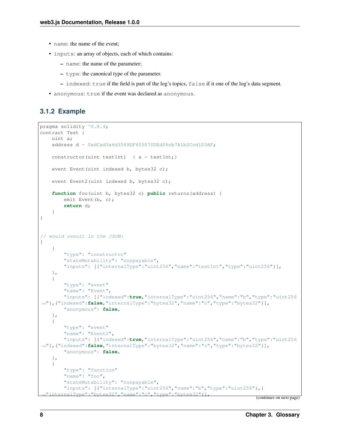- name: the name of the event;
- inputs: an array of objects, each of which contains:
	- name: the name of the parameter;
	- type: the canonical type of the parameter.
	- indexed: true if the field is part of the log's topics, false if it one of the log's data segment.
- anonymous: true if the event was declared as anonymous.

### **3.1.2 Example**

```
pragma solidity ^0.8.4;
contract Test {
   uint a;
    address d = 0xdCad3a6d3569DF655070DEd06cb7A1b2Ccd1D3AF;
   constructor(uint testInt) { a = testInt;}
   event Event (uint indexed b, bytes32 c);
   event Event2(uint indexed b, bytes32 c);
    function foo(uint b, bytes32 c) public returns(address) {
        emit Event(b, c);
        return d;
    }
}
// would result in the JSON:
\sqrt{2}{
        "type": "constructor"
        "stateMutability": "nonpayable",
        "inputs": [{"internalType":"uint256","name":"testInt","type":"uint256"}],
    },
    {
        "type": "event"
        "name": "Event",
        "inputs": [{"indexed":true,"internalType":"uint256","name":"b","type":"uint256
˓→"},{"indexed":false,"internalType":"bytes32","name":"c","type":"bytes32"}],
        "anonymous": false,
    },
    {
        "type": "event"
        "name": "Event2",
        "inputs": [{"indexed":true,"internalType":"uint256","name":"b","type":"uint256
˓→"},{"indexed":false,"internalType":"bytes32","name":"c","type":"bytes32"}],
        "anonymous": false,
    },
    {
        "type": "function"
        "name": "foo",
        "stateMutability": "nonpayable",
        "inputs": [{"internalType":"uint256","name":"b","type":"uint256"},{
  "internalType":"bytes32", "name":"c", "type":"bytes32"}]
```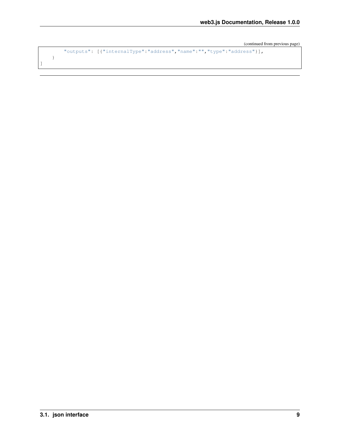```
"outputs": [{"internalType":"address","name":"","type":"address"}],
```
**3.1. json interface 9**

}

]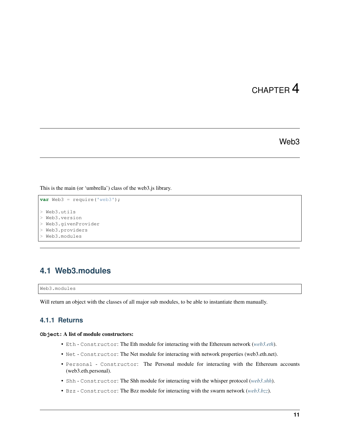Web3

<span id="page-18-0"></span>This is the main (or 'umbrella') class of the web3.js library.

```
var Web3 = require('web3');
> Web3.utils
> Web3.version
> Web3.givenProvider
> Web3.providers
> Web3.modules
```
# <span id="page-18-1"></span>**4.1 Web3.modules**

Web3.modules

Will return an object with the classes of all major sub modules, to be able to instantiate them manually.

### **4.1.1 Returns**

#### **Object**: A list of module constructors:

- Eth Constructor: The Eth module for interacting with the Ethereum network (*[web3.eth](#page-28-0)*).
- Net Constructor: The Net module for interacting with network properties (web3.eth.net).
- Personal Constructor: The Personal module for interacting with the Ethereum accounts (web3.eth.personal).
- Shh Constructor: The Shh module for interacting with the whisper protocol (*[web3.shh](#page-188-0)*).
- Bzz Constructor: The Bzz module for interacting with the swarm network (*[web3.bzz](#page-182-0)*).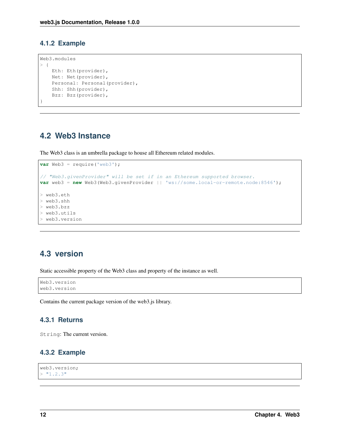### **4.1.2 Example**

```
Web3.modules
> {
   Eth: Eth(provider),
   Net: Net(provider),
   Personal: Personal(provider),
   Shh: Shh(provider),
   Bzz: Bzz(provider),
}
```
# <span id="page-19-0"></span>**4.2 Web3 Instance**

The Web3 class is an umbrella package to house all Ethereum related modules.

```
var Web3 = require('web3');
// "Web3.givenProvider" will be set if in an Ethereum supported browser.
var web3 = new Web3(Web3.givenProvider || 'ws://some.local-or-remote.node:8546');
> web3.eth
> web3.shh
> web3.bzz
> web3.utils
> web3.version
```
# <span id="page-19-1"></span>**4.3 version**

Static accessible property of the Web3 class and property of the instance as well.

```
Web3.version
web3.version
```
Contains the current package version of the web3.js library.

### **4.3.1 Returns**

String: The current version.

### **4.3.2 Example**

```
web3.version;
> "1.2.3"
```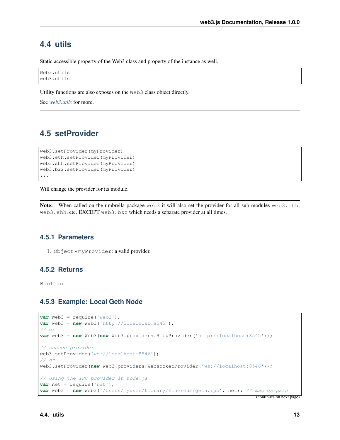# <span id="page-20-0"></span>**4.4 utils**

Static accessible property of the Web3 class and property of the instance as well.

Web3.utils web3.utils

Utility functions are also exposes on the Web3 class object directly.

See *[web3.utils](#page-212-0)* for more.

# <span id="page-20-1"></span>**4.5 setProvider**

```
web3.setProvider(myProvider)
web3.eth.setProvider(myProvider)
web3.shh.setProvider(myProvider)
web3.bzz.setProvider(myProvider)
...
```
Will change the provider for its module.

Note: When called on the umbrella package web3 it will also set the provider for all sub modules web3.eth, web3.shh, etc. EXCEPT web3.bzz which needs a separate provider at all times.

### **4.5.1 Parameters**

1. Object - myProvider: a valid provider.

### **4.5.2 Returns**

Boolean

### **4.5.3 Example: Local Geth Node**

```
var Web3 = require('web3');
var web3 = new Web3('http://localhost:8545');
// or
var web3 = new Web3(new Web3.providers.HttpProvider('http://localhost:8545'));
// change provider
web3.setProvider('ws://localhost:8546');
// or
web3.setProvider(new Web3.providers.WebsocketProvider('ws://localhost:8546'));
// Using the IPC provider in node.js
var net = require('net');
var web3 = new Web3('/Users/myuser/Library/Ethereum/geth.ipc', net); // mac os path
```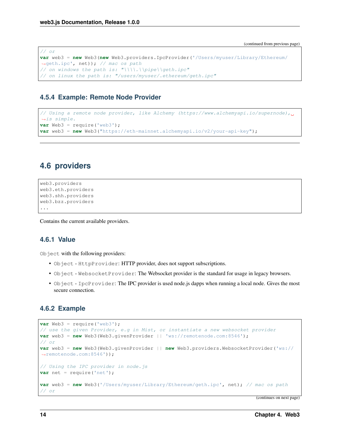```
// or
var web3 = new Web3(new Web3.providers.IpcProvider('/Users/myuser/Library/Ethereum/
˓→geth.ipc', net)); // mac os path
// on windows the path is: "\\\\.\\pipe\\geth.ipc"
// on linux the path is: "/users/myuser/.ethereum/geth.ipc"
```
## **4.5.4 Example: Remote Node Provider**

```
// Using a remote node provider, like Alchemy (https://www.alchemyapi.io/supernode),
˓→is simple.
var Web3 = require('web3');
var web3 = new Web3("https://eth-mainnet.alchemyapi.io/v2/your-api-key");
```
# <span id="page-21-0"></span>**4.6 providers**

```
web3.providers
web3.eth.providers
web3.shh.providers
web3.bzz.providers
...
```
Contains the current available providers.

### **4.6.1 Value**

Object with the following providers:

- Object HttpProvider: HTTP provider, does not support subscriptions.
- Object WebsocketProvider: The Websocket provider is the standard for usage in legacy browsers.
- Object IpcProvider: The IPC provider is used node.js dapps when running a local node. Gives the most secure connection.

### **4.6.2 Example**

```
var Web3 = require('web3');
// use the given Provider, e.g in Mist, or instantiate a new websocket provider
var web3 = new Web3(Web3.qivenProvider || \cdot | ws://remotenode.com:8546');
// or
var web3 = new Web3(Web3.givenProvider || new Web3.providers.WebsocketProvider('ws://
˓→remotenode.com:8546'));
// Using the IPC provider in node.js
var net = require('net');
var web3 = new Web3('/Users/myuser/Library/Ethereum/geth.ipc', net); // mac os path
// or
```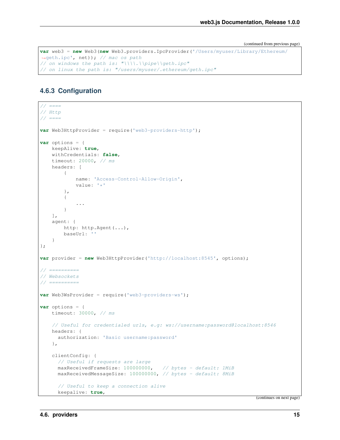```
var web3 = new Web3(new Web3.providers.IpcProvider('/Users/myuser/Library/Ethereum/
˓→geth.ipc', net)); // mac os path
// on windows the path is: "\\\\.\\pipe\\geth.ipc"
// on linux the path is: "/users/myuser/.ethereum/geth.ipc"
```
### **4.6.3 Configuration**

```
// == ==// Http
// == ==var Web3HttpProvider = require('web3-providers-http');
var options = {
   keepAlive: true,
   withCredentials: false,
   timeout: 20000, // ms
   headers: [
        {
            name: 'Access-Control-Allow-Origin',
            value: '*'
        },
        {
            ...
        }
   ],
   agent: {
       http: http.Agent(...),
       baseUrl: ''
    }
};
var provider = new Web3HttpProvider('http://localhost:8545', options);
// ==========
// Websockets
// ==========
var Web3WsProvider = require('web3-providers-ws');
var options = {
   timeout: 30000, // ms
    // Useful for credentialed urls, e.g: ws://username:password@localhost:8546
   headers: {
      authorization: 'Basic username:password'
    },
   clientConfig: {
     // Useful if requests are large
     maxReceivedFrameSize: 100000000, // bytes - default: 1MiB
     maxReceivedMessageSize: 100000000, // bytes - default: 8MiB
      // Useful to keep a connection alive
      keepalive: true,
```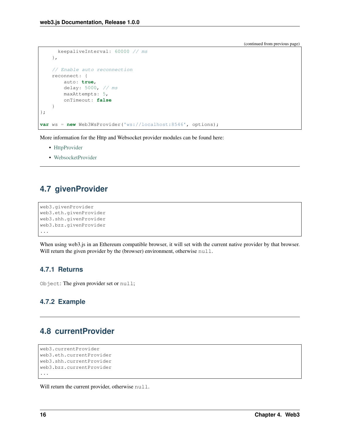```
keepaliveInterval: 60000 // ms
    },
    // Enable auto reconnection
    reconnect: {
        auto: true,
        delay: 5000, // ms
        maxAttempts: 5,
        onTimeout: false
    }
};
var ws = new Web3WsProvider('ws://localhost:8546', options);
```
More information for the Http and Websocket provider modules can be found here:

- [HttpProvider](https://github.com/ethereum/web3.js/tree/1.x/packages/web3-providers-http#usage)
- [WebsocketProvider](https://github.com/ethereum/web3.js/tree/1.x/packages/web3-providers-ws#usage)

# <span id="page-23-0"></span>**4.7 givenProvider**

```
web3.givenProvider
web3.eth.givenProvider
web3.shh.givenProvider
web3.bzz.givenProvider
...
```
When using web3.js in an Ethereum compatible browser, it will set with the current native provider by that browser. Will return the given provider by the (browser) environment, otherwise null.

# **4.7.1 Returns**

Object: The given provider set or null;

# **4.7.2 Example**

# <span id="page-23-1"></span>**4.8 currentProvider**

```
web3.currentProvider
web3.eth.currentProvider
web3.shh.currentProvider
web3.bzz.currentProvider
...
```
Will return the current provider, otherwise null.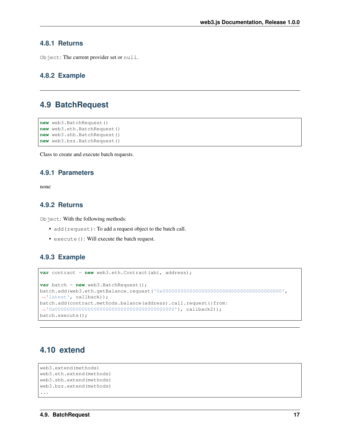### **4.8.1 Returns**

Object: The current provider set or null.

## **4.8.2 Example**

# <span id="page-24-0"></span>**4.9 BatchRequest**

```
new web3.BatchRequest()
new web3.eth.BatchRequest()
new web3.shh.BatchRequest()
new web3.bzz.BatchRequest()
```
Class to create and execute batch requests.

## **4.9.1 Parameters**

none

### **4.9.2 Returns**

Object: With the following methods:

- add(request): To add a request object to the batch call.
- execute(): Will execute the batch request.

## **4.9.3 Example**

```
var contract = new web3.eth.Contract(abi, address);
var batch = new web3.BatchRequest();
batch.add(web3.eth.getBalance.request('0x0000000000000000000000000000000000000000',
˓→'latest', callback));
batch.add(contract.methods.balance(address).call.request({from:
˓→'0x0000000000000000000000000000000000000000'}, callback2));
batch.execute();
```
# <span id="page-24-1"></span>**4.10 extend**

```
web3.extend(methods)
web3.eth.extend(methods)
web3.shh.extend(methods)
web3.bzz.extend(methods)
...
```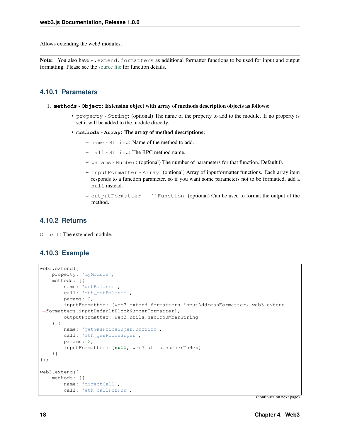Allows extending the web3 modules.

Note: You also have  $\star$ . extend. formatters as additional formatter functions to be used for input and output formatting. Please see the [source file](https://github.com/ethereum/web3.js/blob/1.x/packages/web3-core-helpers/src/formatters.js) for function details.

## **4.10.1 Parameters**

#### 1. **methods** - **Object**: Extension object with array of methods description objects as follows:

- property String: (optional) The name of the property to add to the module. If no property is set it will be added to the module directly.
- **methods Array**: The array of method descriptions:
	- name String: Name of the method to add.
	- call String: The RPC method name.
	- params Number: (optional) The number of parameters for that function. Default 0.
	- inputFormatter Array: (optional) Array of inputformatter functions. Each array item responds to a function parameter, so if you want some parameters not to be formatted, add a null instead.
	- outputFormatter ``Function: (optional) Can be used to format the output of the method.

### **4.10.2 Returns**

Object: The extended module.

### **4.10.3 Example**

```
web3.extend({
   property: 'myModule',
   methods: [{
        name: 'getBalance',
        call: 'eth_getBalance',
        params: 2,
        inputFormatter: [web3.extend.formatters.inputAddressFormatter, web3.extend.
˓→formatters.inputDefaultBlockNumberFormatter],
        outputFormatter: web3.utils.hexToNumberString
    },{
        name: 'getGasPriceSuperFunction',
        call: 'eth_gasPriceSuper',
        params: 2,
        inputFormatter: [null, web3.utils.numberToHex]
    }]
});
web3.extend({
    methods: [{
        name: 'directCall',
        call: 'eth_callForFun',
```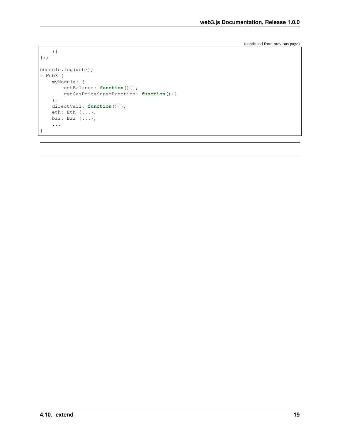```
}]
});
console.log(web3);
> Web3 {
    myModule: {
       getBalance: function(){},
        getGasPriceSuperFunction: function(){}
   },
   directCall: function(){},
    eth: Eth {...},
    bzz: Bzz {...},
    ...
}
```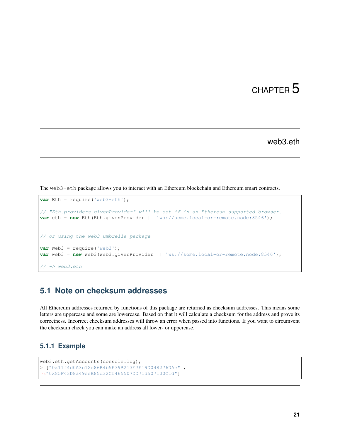web3.eth

<span id="page-28-0"></span>The web3-eth package allows you to interact with an Ethereum blockchain and Ethereum smart contracts.

```
var Eth = require('web3-eth');
// "Eth.providers.givenProvider" will be set if in an Ethereum supported browser.
var eth = new Eth(Eth.givenProvider || 'ws://some.local-or-remote.node:8546');
// or using the web3 umbrella package
var Web3 = require('web3');
var web3 = new Web3(Web3.givenProvider || 'ws://some.local-or-remote.node:8546');
// \rightarrow web3.eth
```
# <span id="page-28-1"></span>**5.1 Note on checksum addresses**

All Ethereum addresses returned by functions of this package are returned as checksum addresses. This means some letters are uppercase and some are lowercase. Based on that it will calculate a checksum for the address and prove its correctness. Incorrect checksum addresses will throw an error when passed into functions. If you want to circumvent the checksum check you can make an address all lower- or uppercase.

### **5.1.1 Example**

```
web3.eth.getAccounts(console.log);
> ["0x11f4d0A3c12e86B4b5F39B213F7E19D048276DAe" ,
˓→"0x85F43D8a49eeB85d32Cf465507DD71d507100C1d"]
```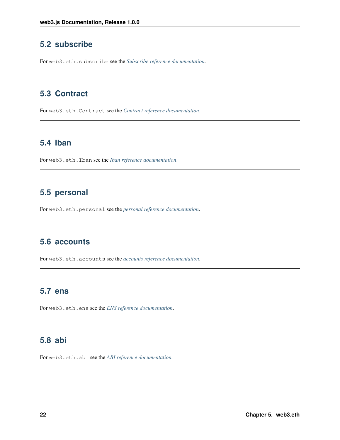# <span id="page-29-0"></span>**5.2 subscribe**

For web3.eth.subscribe see the *[Subscribe reference documentation](#page-72-0)*.

# <span id="page-29-1"></span>**5.3 Contract**

For web3.eth.Contract see the *[Contract reference documentation](#page-80-0)*.

# <span id="page-29-2"></span>**5.4 Iban**

For web3.eth.Iban see the *[Iban reference documentation](#page-158-0)*.

# <span id="page-29-3"></span>**5.5 personal**

For web3.eth.personal see the *[personal reference documentation](#page-122-0)*.

# <span id="page-29-4"></span>**5.6 accounts**

For web3.eth.accounts see the *[accounts reference documentation](#page-104-0)*.

# <span id="page-29-5"></span>**5.7 ens**

For web3.eth.ens see the *[ENS reference documentation](#page-136-0)*.

# <span id="page-29-6"></span>**5.8 abi**

For web3.eth.abi see the *[ABI reference documentation](#page-168-0)*.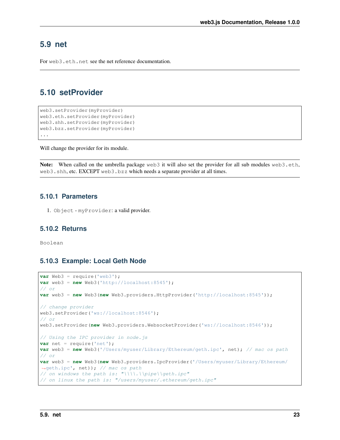# <span id="page-30-0"></span>**5.9 net**

For web3.eth.net see the net reference documentation.

# <span id="page-30-1"></span>**5.10 setProvider**

```
web3.setProvider(myProvider)
web3.eth.setProvider(myProvider)
web3.shh.setProvider(myProvider)
web3.bzz.setProvider(myProvider)
...
```
Will change the provider for its module.

Note: When called on the umbrella package web3 it will also set the provider for all sub modules web3.eth, web3.shh, etc. EXCEPT web3.bzz which needs a separate provider at all times.

### **5.10.1 Parameters**

1. Object - myProvider: a valid provider.

### **5.10.2 Returns**

Boolean

# **5.10.3 Example: Local Geth Node**

```
var Web3 = require('web3');
var web3 = new Web3('http://localhost:8545');
// or
var web3 = new Web3(new Web3.providers.HttpProvider('http://localhost:8545'));
// change provider
web3.setProvider('ws://localhost:8546');
// or
web3.setProvider(new Web3.providers.WebsocketProvider('ws://localhost:8546'));
// Using the IPC provider in node.js
var net = require('net');
var web3 = new Web3('/Users/myuser/Library/Ethereum/geth.ipc', net); // mac os path
// or
var web3 = new Web3(new Web3.providers.IpcProvider('/Users/myuser/Library/Ethereum/
˓→geth.ipc', net)); // mac os path
// on windows the path is: "\|\|.\|\|pipe\|qeth.ipc"
// on linux the path is: "/users/myuser/.ethereum/geth.ipc"
```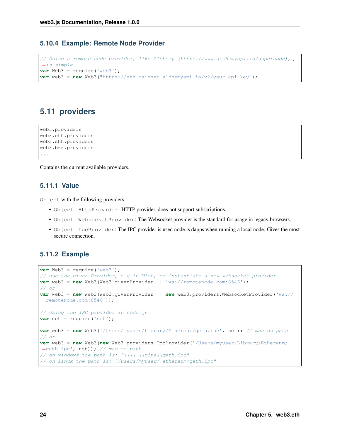### **5.10.4 Example: Remote Node Provider**

```
// Using a remote node provider, like Alchemy (https://www.alchemyapi.io/supernode),
˓→is simple.
var Web3 = require('web3');
var web3 = new Web3("https://eth-mainnet.alchemyapi.io/v2/your-api-key");
```
# <span id="page-31-0"></span>**5.11 providers**

```
web3.providers
web3.eth.providers
web3.shh.providers
web3.bzz.providers
...
```
Contains the current available providers.

## **5.11.1 Value**

Object with the following providers:

- Object HttpProvider: HTTP provider, does not support subscriptions.
- Object WebsocketProvider: The Websocket provider is the standard for usage in legacy browsers.
- Object IpcProvider: The IPC provider is used node.js dapps when running a local node. Gives the most secure connection.

### **5.11.2 Example**

```
var Web3 = require('web3');// use the given Provider, e.g in Mist, or instantiate a new websocket provider
var web3 = new Web3(Web3.givenProvider || 'ws://remotenode.com:8546');
// or
var web3 = new Web3(Web3.givenProvider || new Web3.providers.WebsocketProvider('ws://
˓→remotenode.com:8546'));
// Using the IPC provider in node.js
var net = require('net');
var web3 = new Web3('/Users/myuser/Library/Ethereum/geth.ipc', net); // mac os path
// or
var web3 = new Web3(new Web3.providers.IpcProvider('/Users/myuser/Library/Ethereum/
→geth.ipc', net)); // mac os path
// on windows the path is: "\\\\.\\pipe\\geth.ipc"
// on linux the path is: "/users/myuser/.ethereum/geth.ipc"
```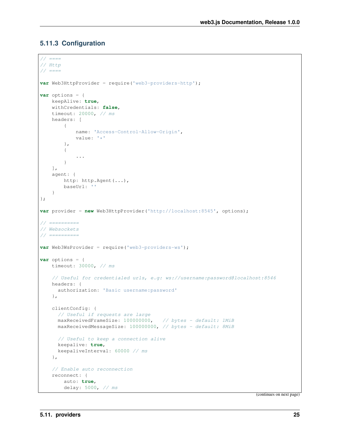# **5.11.3 Configuration**

```
// == ==// Http
// == ==var Web3HttpProvider = require('web3-providers-http');
var options = {
   keepAlive: true,
    withCredentials: false,
    timeout: 20000, // ms
    headers: [
        {
            name: 'Access-Control-Allow-Origin',
            value: '*'
        },
        {
            ...
        }
   ],
    agent: {
        http: http.Agent(...),
        baseUrl: ''
    }
};
var provider = new Web3HttpProvider('http://localhost:8545', options);
// ==========
// Websockets
// = == == == ==var Web3WsProvider = require('web3-providers-ws');
var options = {
    timeout: 30000, // ms
    // Useful for credentialed urls, e.g: ws://username:password@localhost:8546
    headers: {
      authorization: 'Basic username:password'
    },
    clientConfig: {
      // Useful if requests are large
     maxReceivedFrameSize: 100000000, // bytes - default: 1MiB
     maxReceivedMessageSize: 100000000, // bytes - default: 8MiB
      // Useful to keep a connection alive
      keepalive: true,
      keepaliveInterval: 60000 // ms
    },
    // Enable auto reconnection
    reconnect: {
        auto: true,
        delay: 5000, // ms
```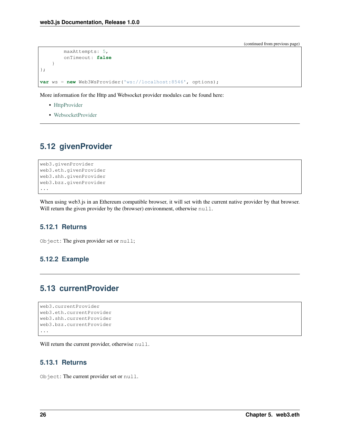```
maxAttempts: 5,
        onTimeout: false
    }
};
var ws = new Web3WsProvider('ws://localhost:8546', options);
```
More information for the Http and Websocket provider modules can be found here:

- [HttpProvider](https://github.com/ethereum/web3.js/tree/1.x/packages/web3-providers-http#usage)
- [WebsocketProvider](https://github.com/ethereum/web3.js/tree/1.x/packages/web3-providers-ws#usage)

# <span id="page-33-0"></span>**5.12 givenProvider**

```
web3.givenProvider
web3.eth.givenProvider
web3.shh.givenProvider
web3.bzz.givenProvider
...
```
When using web3.js in an Ethereum compatible browser, it will set with the current native provider by that browser. Will return the given provider by the (browser) environment, otherwise null.

### **5.12.1 Returns**

Object: The given provider set or null;

# **5.12.2 Example**

# <span id="page-33-1"></span>**5.13 currentProvider**

```
web3.currentProvider
web3.eth.currentProvider
web3.shh.currentProvider
web3.bzz.currentProvider
...
```
Will return the current provider, otherwise null.

### **5.13.1 Returns**

Object: The current provider set or null.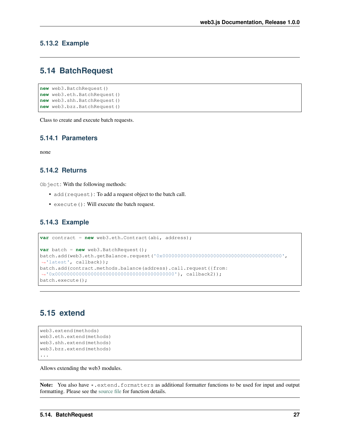### **5.13.2 Example**

# <span id="page-34-0"></span>**5.14 BatchRequest**

```
new web3.BatchRequest()
new web3.eth.BatchRequest()
new web3.shh.BatchRequest()
new web3.bzz.BatchRequest()
```
Class to create and execute batch requests.

### **5.14.1 Parameters**

none

### **5.14.2 Returns**

Object: With the following methods:

- add (request): To add a request object to the batch call.
- execute(): Will execute the batch request.

### **5.14.3 Example**

```
var contract = new web3.eth.Contract(abi, address);
var batch = new web3.BatchRequest();
batch.add(web3.eth.getBalance.request('0x0000000000000000000000000000000000000000',
˓→'latest', callback));
batch.add(contract.methods.balance(address).call.request({from:
˓→'0x0000000000000000000000000000000000000000'}, callback2));
batch.execute();
```
# <span id="page-34-1"></span>**5.15 extend**

```
web3.extend(methods)
web3.eth.extend(methods)
web3.shh.extend(methods)
web3.bzz.extend(methods)
...
```
Allows extending the web3 modules.

Note: You also have \*.extend.formatters as additional formatter functions to be used for input and output formatting. Please see the [source file](https://github.com/ethereum/web3.js/blob/1.x/packages/web3-core-helpers/src/formatters.js) for function details.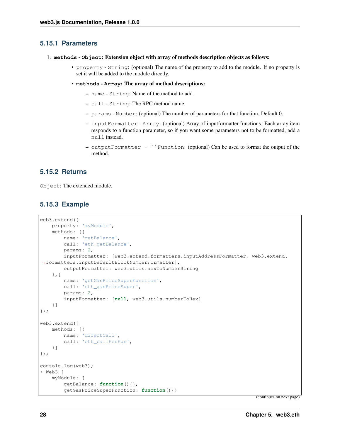### **5.15.1 Parameters**

```
1. methods - Object: Extension object with array of methods description objects as follows:
```
- property String: (optional) The name of the property to add to the module. If no property is set it will be added to the module directly.
- **methods Array**: The array of method descriptions:
	- name String: Name of the method to add.
	- call String: The RPC method name.
	- params Number: (optional) The number of parameters for that function. Default 0.
	- inputFormatter Array: (optional) Array of inputformatter functions. Each array item responds to a function parameter, so if you want some parameters not to be formatted, add a null instead.
	- outputFormatter ``Function: (optional) Can be used to format the output of the method.

# **5.15.2 Returns**

Object: The extended module.

# **5.15.3 Example**

```
web3.extend({
   property: 'myModule',
    methods: [{
        name: 'getBalance',
        call: 'eth_getBalance',
        params: 2,
        inputFormatter: [web3.extend.formatters.inputAddressFormatter, web3.extend.
˓→formatters.inputDefaultBlockNumberFormatter],
        outputFormatter: web3.utils.hexToNumberString
    },{
        name: 'getGasPriceSuperFunction',
        call: 'eth_gasPriceSuper',
        params: 2,
        inputFormatter: [null, web3.utils.numberToHex]
    }]
});
web3.extend({
   methods: [{
       name: 'directCall',
        call: 'eth_callForFun',
    }]
});
console.log(web3);
> Web3 {
   myModule: {
        getBalance: function(){},
        getGasPriceSuperFunction: function(){}
```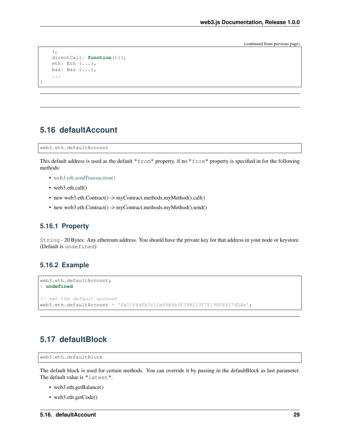(continued from previous page)

```
},
directCall: function(){},
eth: Eth {...},
bzz: Bzz {...},
...
```
# **5.16 defaultAccount**

web3.eth.defaultAccount

}

This default address is used as the default "from" property, if no "from" property is specified in for the following methods:

- *[web3.eth.sendTransaction\(\)](#page-57-0)*
- web3.eth.call()
- new web3.eth.Contract() -> myContract.methods.myMethod().call()
- new web3.eth.Contract() -> myContract.methods.myMethod().send()

#### **5.16.1 Property**

String - 20 Bytes: Any ethereum address. You should have the private key for that address in your node or keystore. (Default is undefined)

#### **5.16.2 Example**

```
web3.eth.defaultAccount;
> undefined
// set the default account
web3.eth.defaultAccount = '0x11f4d0A3c12e86B4b5F39B213F7E19D048276DAe';
```
# <span id="page-36-0"></span>**5.17 defaultBlock**

```
web3.eth.defaultBlock
```
The default block is used for certain methods. You can override it by passing in the defaultBlock as last parameter. The default value is "latest".

- web3.eth.getBalance()
- web3.eth.getCode()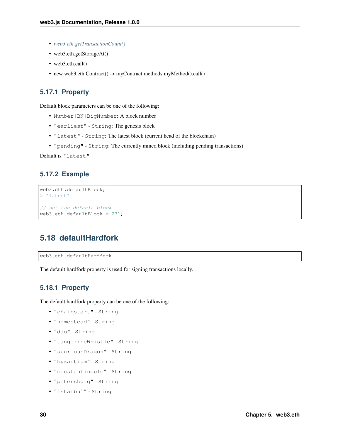- *[web3.eth.getTransactionCount\(\)](#page-56-0)*
- web3.eth.getStorageAt()
- web3.eth.call()
- new web3.eth.Contract() -> myContract.methods.myMethod().call()

### **5.17.1 Property**

Default block parameters can be one of the following:

- Number|BN|BigNumber: A block number
- "earliest" String: The genesis block
- "latest" String: The latest block (current head of the blockchain)
- "pending" String: The currently mined block (including pending transactions)

Default is "latest"

### **5.17.2 Example**

```
web3.eth.defaultBlock;
> "latest"
// set the default block
web3.eth.defaultBlock = 231;
```
# **5.18 defaultHardfork**

web3.eth.defaultHardfork

The default hardfork property is used for signing transactions locally.

#### **5.18.1 Property**

The default hardfork property can be one of the following:

- "chainstart" String
- "homestead" String
- "dao" String
- "tangerineWhistle" String
- "spuriousDragon" String
- "byzantium" String
- "constantinople" String
- "petersburg" String
- "istanbul" String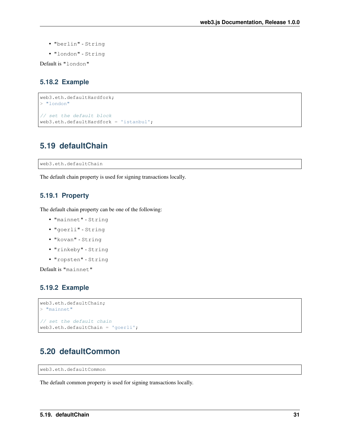- "berlin" String
- "london" String

Default is "london"

### **5.18.2 Example**

```
web3.eth.defaultHardfork;
> "london"
// set the default block
web3.eth.defaultHardfork = 'istanbul';
```
## **5.19 defaultChain**

web3.eth.defaultChain

The default chain property is used for signing transactions locally.

### **5.19.1 Property**

The default chain property can be one of the following:

- "mainnet" String
- "goerli" String
- "kovan" String
- "rinkeby" String
- "ropsten" String

Default is "mainnet"

### **5.19.2 Example**

```
web3.eth.defaultChain;
> "mainnet"
// set the default chain
web3.eth.defaultChain = 'goerli';
```
## **5.20 defaultCommon**

web3.eth.defaultCommon

The default common property is used for signing transactions locally.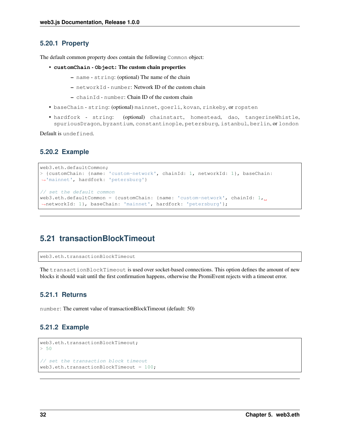#### **5.20.1 Property**

The default common property does contain the following Common object:

- **customChain Object**: The custom chain properties
	- name string: (optional) The name of the chain
	- networkId number: Network ID of the custom chain
	- $-$  chainId number: Chain ID of the custom chain
- baseChain string: (optional) mainnet, goerli, kovan, rinkeby, or ropsten
- hardfork string: (optional) chainstart, homestead, dao, tangerineWhistle, spuriousDragon, byzantium, constantinople, petersburg, istanbul, berlin, or london

Default is undefined.

#### **5.20.2 Example**

```
web3.eth.defaultCommon;
> {customChain: {name: 'custom-network', chainId: 1, networkId: 1}, baseChain:
˓→'mainnet', hardfork: 'petersburg'}
// set the default common
web3.eth.defaultCommon = {customChain: {name: 'custom-network', chainId: 1,
˓→networkId: 1}, baseChain: 'mainnet', hardfork: 'petersburg'};
```
## **5.21 transactionBlockTimeout**

web3.eth.transactionBlockTimeout

The transactionBlockTimeout is used over socket-based connections. This option defines the amount of new blocks it should wait until the first confirmation happens, otherwise the PromiEvent rejects with a timeout error.

#### **5.21.1 Returns**

number: The current value of transactionBlockTimeout (default: 50)

#### **5.21.2 Example**

```
web3.eth.transactionBlockTimeout;
> 50// set the transaction block timeout
web3.eth.transactionBlockTimeout = <math>100</math>;
```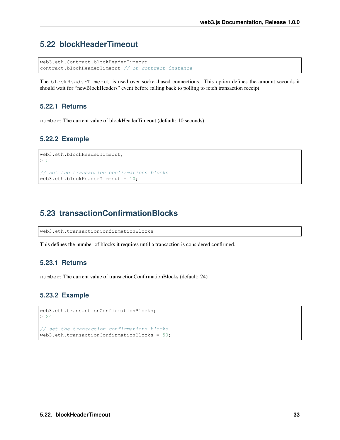# **5.22 blockHeaderTimeout**

```
web3.eth.Contract.blockHeaderTimeout
contract.blockHeaderTimeout // on contract instance
```
The blockHeaderTimeout is used over socket-based connections. This option defines the amount seconds it should wait for "newBlockHeaders" event before falling back to polling to fetch transaction receipt.

## **5.22.1 Returns**

number: The current value of blockHeaderTimeout (default: 10 seconds)

## **5.22.2 Example**

```
web3.eth.blockHeaderTimeout;
> 5
// set the transaction confirmations blocks
web3.eth.blockHeaderTimeout = 10;
```
# **5.23 transactionConfirmationBlocks**

web3.eth.transactionConfirmationBlocks

This defines the number of blocks it requires until a transaction is considered confirmed.

### **5.23.1 Returns**

number: The current value of transactionConfirmationBlocks (default: 24)

### **5.23.2 Example**

```
web3.eth.transactionConfirmationBlocks;
> 24
// set the transaction confirmations blocks
web3.eth.transactionConfirmationBlocks = 50;
```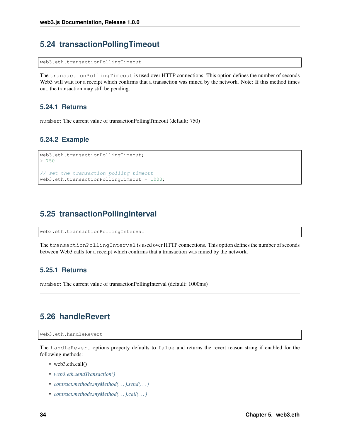# **5.24 transactionPollingTimeout**

web3.eth.transactionPollingTimeout

The transactionPollingTimeout is used over HTTP connections. This option defines the number of seconds Web3 will wait for a receipt which confirms that a transaction was mined by the network. Note: If this method times out, the transaction may still be pending.

### **5.24.1 Returns**

number: The current value of transactionPollingTimeout (default: 750)

### **5.24.2 Example**

```
web3.eth.transactionPollingTimeout;
> 750
// set the transaction polling timeout
web3.eth.transactionPollingTimeout = <math>1000</math>;
```
# **5.25 transactionPollingInterval**

web3.eth.transactionPollingInterval

The transactionPollingInterval is used over HTTP connections. This option defines the number of seconds between Web3 calls for a receipt which confirms that a transaction was mined by the network.

### **5.25.1 Returns**

number: The current value of transactionPollingInterval (default: 1000ms)

# **5.26 handleRevert**

```
web3.eth.handleRevert
```
The handleRevert options property defaults to false and returns the revert reason string if enabled for the following methods:

- web3.eth.call()
- *[web3.eth.sendTransaction\(\)](#page-57-0)*
- *[contract.methods.myMethod\(. . . \).send\(. . . \)](#page-94-0)*
- *[contract.methods.myMethod\(. . . \).call\(. . . \)](#page-92-0)*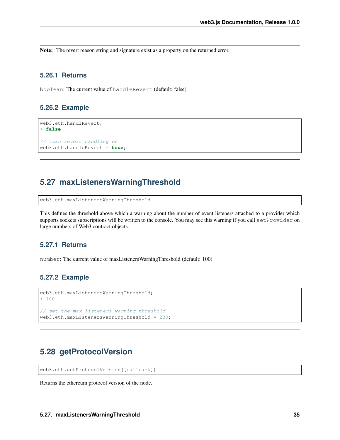Note: The revert reason string and signature exist as a property on the returned error.

#### **5.26.1 Returns**

boolean: The current value of handleRevert (default: false)

#### **5.26.2 Example**

```
web3.eth.handlRevert;
> false
// turn revert handling on
web3.eth.handleRevert = true;
```
# **5.27 maxListenersWarningThreshold**

web3.eth.maxListenersWarningThreshold

This defines the threshold above which a warning about the number of event listeners attached to a provider which supports sockets subscriptions will be written to the console. You may see this warning if you call setProvider on large numbers of Web3 contract objects.

### **5.27.1 Returns**

number: The current value of maxListenersWarningThreshold (default: 100)

### **5.27.2 Example**

```
web3.eth.maxListenersWarningThreshold;
> 100// set the max listeners warning threshold
web3.eth.maxListenersWarningThreshold = 200;
```
# **5.28 getProtocolVersion**

web3.eth.getProtocolVersion([callback])

Returns the ethereum protocol version of the node.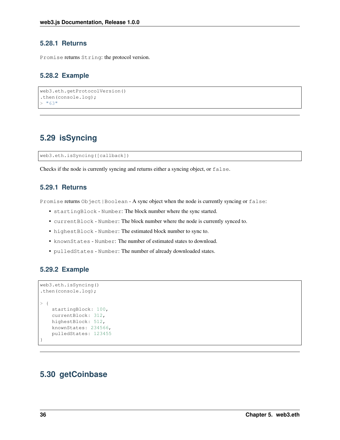### **5.28.1 Returns**

Promise returns String: the protocol version.

### **5.28.2 Example**

```
web3.eth.getProtocolVersion()
.then(console.log);
> "63"
```
# **5.29 isSyncing**

web3.eth.isSyncing([callback])

Checks if the node is currently syncing and returns either a syncing object, or false.

### **5.29.1 Returns**

Promise returns Object|Boolean - A sync object when the node is currently syncing or false:

- startingBlock Number: The block number where the sync started.
- currentBlock Number: The block number where the node is currently synced to.
- highestBlock Number: The estimated block number to sync to.
- knownStates Number: The number of estimated states to download.
- pulledStates Number: The number of already downloaded states.

#### **5.29.2 Example**

```
web3.eth.isSyncing()
.then(console.log);
> {
   startingBlock: 100,
   currentBlock: 312,
   highestBlock: 512,
   knownStates: 234566,
    pulledStates: 123455
}
```
# **5.30 getCoinbase**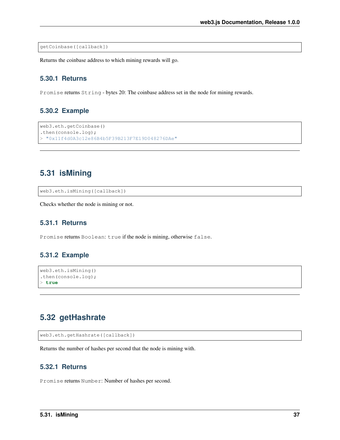getCoinbase([callback])

Returns the coinbase address to which mining rewards will go.

### **5.30.1 Returns**

Promise returns String - bytes 20: The coinbase address set in the node for mining rewards.

### **5.30.2 Example**

```
web3.eth.getCoinbase()
.then(console.log);
> "0x11f4d0A3c12e86B4b5F39B213F7E19D048276DAe"
```
# **5.31 isMining**

web3.eth.isMining([callback])

Checks whether the node is mining or not.

### **5.31.1 Returns**

Promise returns Boolean: true if the node is mining, otherwise false.

#### **5.31.2 Example**

```
web3.eth.isMining()
.then(console.log);
> true
```
## **5.32 getHashrate**

```
web3.eth.getHashrate([callback])
```
Returns the number of hashes per second that the node is mining with.

### **5.32.1 Returns**

Promise returns Number: Number of hashes per second.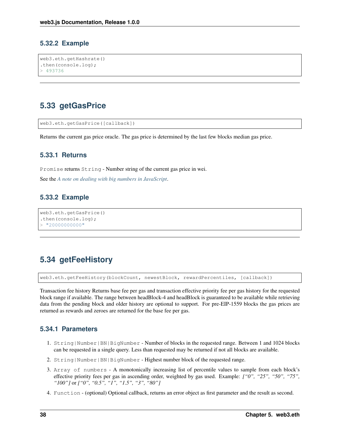### **5.32.2 Example**

```
web3.eth.getHashrate()
.then(console.log);
> 493736
```
# <span id="page-45-0"></span>**5.33 getGasPrice**

```
web3.eth.getGasPrice([callback])
```
Returns the current gas price oracle. The gas price is determined by the last few blocks median gas price.

### **5.33.1 Returns**

Promise returns String - Number string of the current gas price in wei.

See the *[A note on dealing with big numbers in JavaScript](#page-214-0)*.

### **5.33.2 Example**

```
web3.eth.getGasPrice()
.then(console.log);
> "2000000000"
```
# **5.34 getFeeHistory**

web3.eth.getFeeHistory(blockCount, newestBlock, rewardPercentiles, [callback])

Transaction fee history Returns base fee per gas and transaction effective priority fee per gas history for the requested block range if available. The range between headBlock-4 and headBlock is guaranteed to be available while retrieving data from the pending block and older history are optional to support. For pre-EIP-1559 blocks the gas prices are returned as rewards and zeroes are returned for the base fee per gas.

### **5.34.1 Parameters**

- 1. String|Number|BN|BigNumber Number of blocks in the requested range. Between 1 and 1024 blocks can be requested in a single query. Less than requested may be returned if not all blocks are available.
- 2. String|Number|BN|BigNumber Highest number block of the requested range.
- 3. Array of numbers A monotonically increasing list of percentile values to sample from each block's effective priority fees per gas in ascending order, weighted by gas used. Example: *["0", "25", "50", "75", "100"]* or *["0", "0.5", "1", "1.5", "3", "80"]*
- 4. Function (optional) Optional callback, returns an error object as first parameter and the result as second.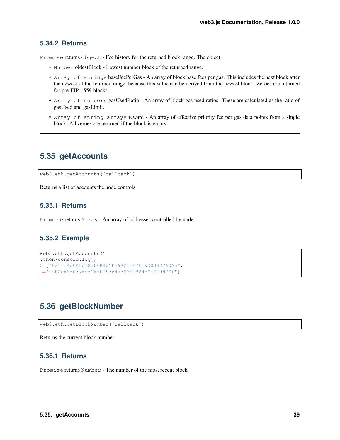### **5.34.2 Returns**

Promise returns Object - Fee history for the returned block range. The object:

- Number oldestBlock Lowest number block of the returned range.
- Array of strings baseFeePerGas An array of block base fees per gas. This includes the next block after the newest of the returned range, because this value can be derived from the newest block. Zeroes are returned for pre-EIP-1559 blocks.
- Array of numbers gasUsedRatio An array of block gas used ratios. These are calculated as the ratio of gasUsed and gasLimit.
- Array of string arrays reward An array of effective priority fee per gas data points from a single block. All zeroes are returned if the block is empty.

# **5.35 getAccounts**

web3.eth.getAccounts([callback])

Returns a list of accounts the node controls.

### **5.35.1 Returns**

Promise returns Array - An array of addresses controlled by node.

### **5.35.2 Example**

```
web3.eth.getAccounts()
.then(console.log);
> ["0x11f4d0A3c12e86B4b5F39B213F7E19D048276DAe",
˓→"0xDCc6960376d6C6dEa93647383FfB245CfCed97Cf"]
```
# **5.36 getBlockNumber**

```
web3.eth.getBlockNumber([callback])
```
Returns the current block number.

### **5.36.1 Returns**

Promise returns Number - The number of the most recent block.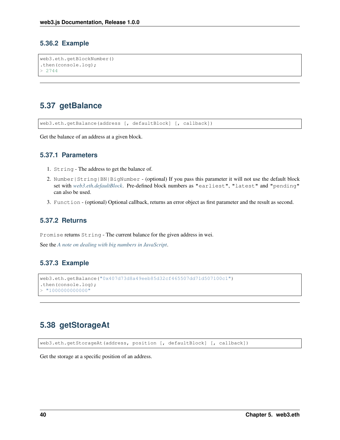### **5.36.2 Example**

```
web3.eth.getBlockNumber()
.then(console.log);
> 2744
```
# **5.37 getBalance**

web3.eth.getBalance(address [, defaultBlock] [, callback])

Get the balance of an address at a given block.

### **5.37.1 Parameters**

- 1. String The address to get the balance of.
- 2. Number|String|BN|BigNumber (optional) If you pass this parameter it will not use the default block set with *[web3.eth.defaultBlock](#page-36-0)*. Pre-defined block numbers as "earliest", "latest" and "pending" can also be used.
- 3. Function (optional) Optional callback, returns an error object as first parameter and the result as second.

### **5.37.2 Returns**

Promise returns String - The current balance for the given address in wei.

See the *[A note on dealing with big numbers in JavaScript](#page-214-0)*.

### **5.37.3 Example**

```
web3.eth.getBalance("0x407d73d8a49eeb85d32cf465507dd71d507100c1")
.then(console.log);
> "100000000000"
```
# **5.38 getStorageAt**

web3.eth.getStorageAt(address, position [, defaultBlock] [, callback])

Get the storage at a specific position of an address.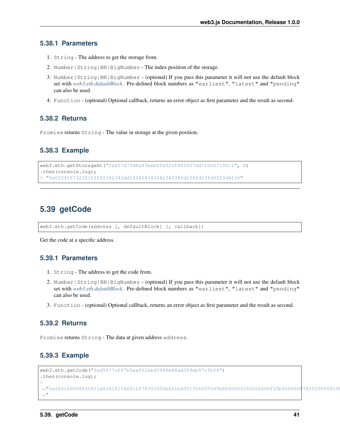### **5.38.1 Parameters**

- 1. String The address to get the storage from.
- 2. Number|String|BN|BigNumber The index position of the storage.
- 3. Number|String|BN|BigNumber (optional) If you pass this parameter it will not use the default block set with *[web3.eth.defaultBlock](#page-36-0)*. Pre-defined block numbers as "earliest", "latest" and "pending" can also be used.
- 4. Function (optional) Optional callback, returns an error object as first parameter and the result as second.

#### **5.38.2 Returns**

Promise returns String - The value in storage at the given position.

### **5.38.3 Example**

```
web3.eth.getStorageAt("0x407d73d8a49eeb85d32cf465507dd71d507100c1", 0)
.then(console.log);
 > "0x033456732123ffff2342342dd12342434324234234fd234fd23fd4f23d4234"
```
# **5.39 getCode**

web3.eth.getCode(address [, defaultBlock] [, callback])

Get the code at a specific address.

#### **5.39.1 Parameters**

- 1. String The address to get the code from.
- 2. Number|String|BN|BigNumber (optional) If you pass this parameter it will not use the default block set with *[web3.eth.defaultBlock](#page-36-0)*. Pre-defined block numbers as "earliest", "latest" and "pending" can also be used.
- 3. Function (optional) Optional callback, returns an error object as first parameter and the result as second.

#### **5.39.2 Returns**

Promise returns String - The data at given address address.

### **5.39.3 Example**

```
web3.eth.getCode("0xd5677cf67b5aa051bb40496e68ad359eb97cfbf8")
.then(console.log);
>
˓→"0x600160008035811a818181146012578301005b601b6001356025565b8060005260206000f25b600060078202905091905056
\hookrightarrow ^{\mathfrak{m}}
```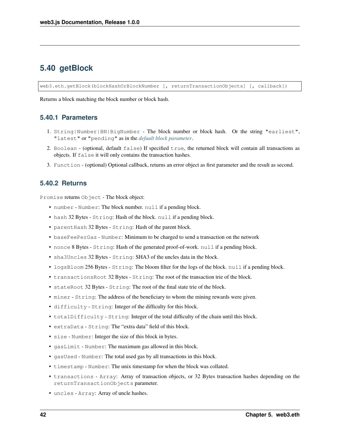# <span id="page-49-0"></span>**5.40 getBlock**

web3.eth.getBlock(blockHashOrBlockNumber [, returnTransactionObjects] [, callback])

Returns a block matching the block number or block hash.

### **5.40.1 Parameters**

- 1. String|Number|BN|BigNumber The block number or block hash. Or the string "earliest", "latest" or "pending" as in the *[default block parameter](#page-36-0)*.
- 2. Boolean (optional, default false) If specified true, the returned block will contain all transactions as objects. If false it will only contains the transaction hashes.
- 3. Function (optional) Optional callback, returns an error object as first parameter and the result as second.

### **5.40.2 Returns**

Promise returns Object - The block object:

- number Number: The block number. null if a pending block.
- hash 32 Bytes String: Hash of the block. null if a pending block.
- parentHash 32 Bytes String: Hash of the parent block.
- baseFeePerGas Number: Minimum to be charged to send a transaction on the network
- nonce 8 Bytes String: Hash of the generated proof-of-work. null if a pending block.
- sha3Uncles 32 Bytes String: SHA3 of the uncles data in the block.
- logsBloom 256 Bytes String: The bloom filter for the logs of the block. null if a pending block.
- transactionsRoot 32 Bytes String: The root of the transaction trie of the block.
- stateRoot 32 Bytes String: The root of the final state trie of the block.
- miner String: The address of the beneficiary to whom the mining rewards were given.
- difficulty String: Integer of the difficulty for this block.
- totalDifficulty String: Integer of the total difficulty of the chain until this block.
- extraData String: The "extra data" field of this block.
- size Number: Integer the size of this block in bytes.
- gasLimit Number: The maximum gas allowed in this block.
- gasUsed Number: The total used gas by all transactions in this block.
- timestamp Number: The unix timestamp for when the block was collated.
- transactions Array: Array of transaction objects, or 32 Bytes transaction hashes depending on the returnTransactionObjects parameter.
- uncles Array: Array of uncle hashes.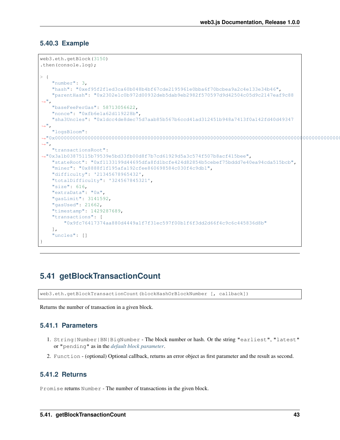### **5.40.3 Example**

```
web3.eth.getBlock(3150)
.then(console.log);
> {
      "number": 3,
      "hash": "0xef95f2f1ed3ca60b048b4bf67cde2195961e0bba6f70bcbea9a2c4e133e34b46",
      "parentHash": "0x2302e1c0b972d00932deb5dab9eb2982f570597d9d42504c05d9c2147eaf9c88
 \rightarrow"baseFeePerGas": 58713056622,
      "nonce": "0xfb6e1a62d119228b",
      "sha3Uncles": "0x1dcc4de8dec75d7aab85b567b6ccd41ad312451b948a7413f0a142fd40d49347
 ightharpoonup",
      "logsBloom":
˓→"0x00000000000000000000000000000000000000000000000000000000000000000000000000000000000000000000000000000000000000000000000000000000000000000000000000000000000000000000000000000000000000000000000000000000000000000000000000000000000000000000000000000000000000000000000000000000000000000000000000000000000000000000000000000000000000000000000000000000000000000000000000000000000000000000000000000000000000000000000000000000000000000000000000000000000000000000000000000000000000000000000000000000000000000000000000000000
ightharpoonup",
      "transactionsRoot":
˓→"0x3a1b03875115b79539e5bd33fb00d8f7b7cd61929d5a3c574f507b8acf415bee",
      "stateRoot": "0xf1133199d44695dfa8fd1bcfe424d82854b5cebef75bddd7e40ea94cda515bcb",
      "miner": "0x8888f1f195afa192cfee860698584c030f4c9db1",
      "difficulty": '21345678965432',
      "totalDifficulty": '324567845321',
      "size": 616,
      "extraData": "0x",
      "gasLimit": 3141592,
      "gasUsed": 21662,
      "timestamp": 1429287689,
      "transactions": [
            "0x9fc76417374aa880d4449a1f7f31ec597f00b1f6f3dd2d66f4c9c6c445836d8b"
      \frac{1}{2},
      "uncles": []
}
```
# **5.41 getBlockTransactionCount**

web3.eth.getBlockTransactionCount(blockHashOrBlockNumber [, callback])

Returns the number of transaction in a given block.

### **5.41.1 Parameters**

- 1. String|Number|BN|BigNumber The block number or hash. Or the string "earliest", "latest" or "pending" as in the *[default block parameter](#page-36-0)*.
- 2. Function (optional) Optional callback, returns an error object as first parameter and the result as second.

### **5.41.2 Returns**

Promise returns Number - The number of transactions in the given block.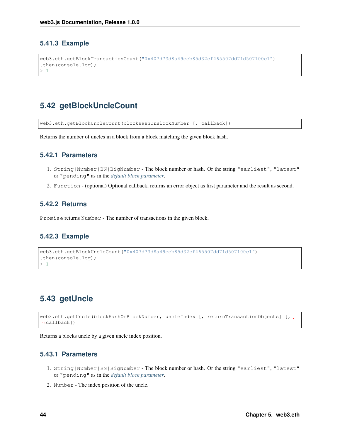## **5.41.3 Example**

```
web3.eth.getBlockTransactionCount("0x407d73d8a49eeb85d32cf465507dd71d507100c1")
.then(console.log);
> 1
```
# **5.42 getBlockUncleCount**

web3.eth.getBlockUncleCount(blockHashOrBlockNumber [, callback])

Returns the number of uncles in a block from a block matching the given block hash.

### **5.42.1 Parameters**

- 1. String|Number|BN|BigNumber The block number or hash. Or the string "earliest", "latest" or "pending" as in the *[default block parameter](#page-36-0)*.
- 2. Function (optional) Optional callback, returns an error object as first parameter and the result as second.

### **5.42.2 Returns**

Promise returns Number - The number of transactions in the given block.

### **5.42.3 Example**

```
web3.eth.getBlockUncleCount("0x407d73d8a49eeb85d32cf465507dd71d507100c1")
.then(console.log);
> 1
```
# **5.43 getUncle**

```
web3.eth.getUncle(blockHashOrBlockNumber, uncleIndex [, returnTransactionObjects] [,
˓→callback])
```
Returns a blocks uncle by a given uncle index position.

### **5.43.1 Parameters**

- 1. String|Number|BN|BigNumber The block number or hash. Or the string "earliest", "latest" or "pending" as in the *[default block parameter](#page-36-0)*.
- 2. Number The index position of the uncle.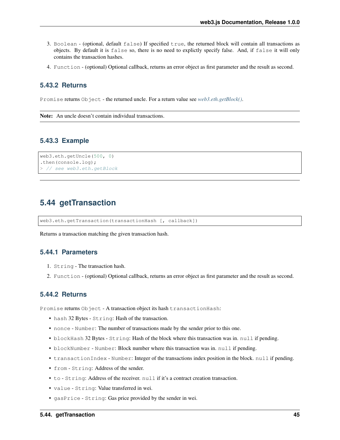- 3. Boolean (optional, default false) If specified true, the returned block will contain all transactions as objects. By default it is false so, there is no need to explictly specify false. And, if false it will only contains the transaction hashes.
- 4. Function (optional) Optional callback, returns an error object as first parameter and the result as second.

#### **5.43.2 Returns**

Promise returns Object - the returned uncle. For a return value see *[web3.eth.getBlock\(\)](#page-49-0)*.

Note: An uncle doesn't contain individual transactions.

#### **5.43.3 Example**

```
web3.eth.getUncle(500, 0)
.then(console.log);
> // see web3.eth.getBlock
```
# **5.44 getTransaction**

web3.eth.getTransaction(transactionHash [, callback])

Returns a transaction matching the given transaction hash.

#### **5.44.1 Parameters**

- 1. String The transaction hash.
- 2. Function (optional) Optional callback, returns an error object as first parameter and the result as second.

### <span id="page-52-0"></span>**5.44.2 Returns**

Promise returns Object - A transaction object its hash transactionHash:

- hash 32 Bytes String: Hash of the transaction.
- nonce Number: The number of transactions made by the sender prior to this one.
- blockHash 32 Bytes String: Hash of the block where this transaction was in. null if pending.
- blockNumber Number: Block number where this transaction was in. null if pending.
- transactionIndex Number: Integer of the transactions index position in the block. null if pending.
- from String: Address of the sender.
- to String: Address of the receiver. null if it's a contract creation transaction.
- value String: Value transferred in wei.
- gasPrice String: Gas price provided by the sender in wei.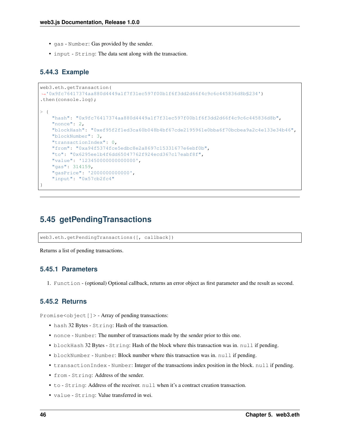- gas Number: Gas provided by the sender.
- input String: The data sent along with the transaction.

### **5.44.3 Example**

```
web3.eth.getTransaction(
˓→'0x9fc76417374aa880d4449a1f7f31ec597f00b1f6f3dd2d66f4c9c6c445836d8b§234')
.then(console.log);
> {
    "hash": "0x9fc76417374aa880d4449a1f7f31ec597f00b1f6f3dd2d66f4c9c6c445836d8b",
    "nonce": 2,
    "blockHash": "0xef95f2f1ed3ca60b048b4bf67cde2195961e0bba6f70bcbea9a2c4e133e34b46",
    "blockNumber": 3,
    "transactionIndex": 0,
    "from": "0xa94f5374fce5edbc8e2a8697c15331677e6ebf0b",
    "to": "0x6295ee1b4f6dd65047762f924ecd367c17eabf8f",
    "value": '123450000000000000',
    "gas": 314159,
    "gasPrice": '2000000000000',
    "input": "0x57cb2fc4"
}
```
# **5.45 getPendingTransactions**

web3.eth.getPendingTransactions([, callback])

Returns a list of pending transactions.

#### **5.45.1 Parameters**

1. Function - (optional) Optional callback, returns an error object as first parameter and the result as second.

### **5.45.2 Returns**

Promise<object [] > - Array of pending transactions:

- hash 32 Bytes String: Hash of the transaction.
- nonce Number: The number of transactions made by the sender prior to this one.
- blockHash 32 Bytes String: Hash of the block where this transaction was in. null if pending.
- blockNumber Number: Block number where this transaction was in. null if pending.
- transactionIndex Number: Integer of the transactions index position in the block. null if pending.
- from String: Address of the sender.
- to String: Address of the receiver. null when it's a contract creation transaction.
- value String: Value transferred in wei.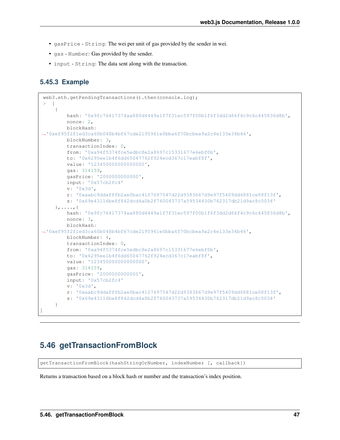- gasPrice String: The wei per unit of gas provided by the sender in wei.
- gas Number: Gas provided by the sender.
- input String: The data sent along with the transaction.

### **5.45.3 Example**

```
web3.eth.getPendingTransactions().then(console.log);
> [
    {
        hash: '0x9fc76417374aa880d4449a1f7f31ec597f00b1f6f3dd2d66f4c9c6c445836d8b',
        nonce: 2,
        blockHash:
˓→'0xef95f2f1ed3ca60b048b4bf67cde2195961e0bba6f70bcbea9a2c4e133e34b46',
        blockNumber: 3,
        transactionIndex: 0,
        from: '0xa94f5374fce5edbc8e2a8697c15331677e6ebf0b',
        to: '0x6295ee1b4f6dd65047762f924ecd367c17eabf8f',
        value: '123450000000000000',
        gas: 314159,
        gasPrice: '2000000000000',
        input: '0x57cb2fc4'
        v: '0x3d',
        r: '0xaabc9ddafffb2ae0bac4107697547d22d9383667d9e97f5409dd6881ce08f13f',
        s: '0x69e43116be8f842dcd4a0b2f760043737a59534430b762317db21d9ac8c5034'
    },....,{
        hash: '0x9fc76417374aa880d4449a1f7f31ec597f00b1f6f3dd2d66f4c9c6c445836d8b',
        nonce: 3,
        blockHash:
˓→'0xef95f2f1ed3ca60b048b4bf67cde2195961e0bba6f70bcbea9a2c4e133e34b46',
        blockNumber: 4,
        transactionIndex: 0,
        from: '0xa94f5374fce5edbc8e2a8697c15331677e6ebf0b',
        to: '0x6295ee1b4f6dd65047762f924ecd367c17eabf8f',
        value: '123450000000000000',
        gas: 314159,
        gasPrice: '2000000000000',
        input: '0x57cb2fc4'
        v: '0x3d',
        r: '0xaabc9ddafffb2ae0bac4107697547d22d9383667d9e97f5409dd6881ce08f13f',
        s: '0x69e43116be8f842dcd4a0b2f760043737a59534430b762317db21d9ac8c5034'
    }
]
```
# **5.46 getTransactionFromBlock**

getTransactionFromBlock(hashStringOrNumber, indexNumber [, callback])

Returns a transaction based on a block hash or number and the transaction's index position.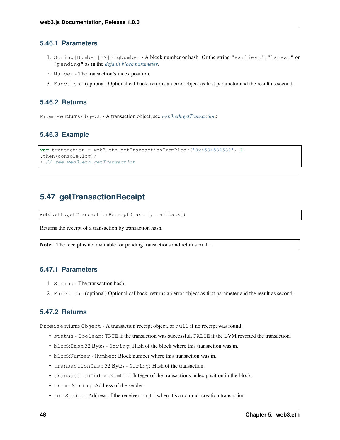### **5.46.1 Parameters**

- 1. String|Number|BN|BigNumber A block number or hash. Or the string "earliest", "latest" or "pending" as in the *[default block parameter](#page-36-0)*.
- 2. Number The transaction's index position.
- 3. Function (optional) Optional callback, returns an error object as first parameter and the result as second.

### **5.46.2 Returns**

Promise returns Object - A transaction object, see *[web3.eth.getTransaction](#page-52-0)*:

## **5.46.3 Example**

```
var transaction = web3.eth.getTransactionFromBlock('0x4534534534', 2)
.then(console.log);
> // see web3.eth.getTransaction
```
# **5.47 getTransactionReceipt**

web3.eth.getTransactionReceipt(hash [, callback])

Returns the receipt of a transaction by transaction hash.

Note: The receipt is not available for pending transactions and returns null.

### **5.47.1 Parameters**

- 1. String The transaction hash.
- 2. Function (optional) Optional callback, returns an error object as first parameter and the result as second.

### <span id="page-55-0"></span>**5.47.2 Returns**

Promise returns Object - A transaction receipt object, or null if no receipt was found:

- status Boolean: TRUE if the transaction was successful, FALSE if the EVM reverted the transaction.
- blockHash 32 Bytes String: Hash of the block where this transaction was in.
- blockNumber Number: Block number where this transaction was in.
- transactionHash 32 Bytes String: Hash of the transaction.
- transactionIndex- Number: Integer of the transactions index position in the block.
- from String: Address of the sender.
- to String: Address of the receiver. null when it's a contract creation transaction.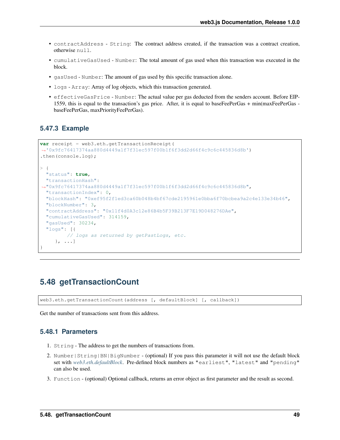- contractAddress String: The contract address created, if the transaction was a contract creation, otherwise null.
- cumulativeGasUsed Number: The total amount of gas used when this transaction was executed in the block.
- gasUsed Number: The amount of gas used by this specific transaction alone.
- logs Array: Array of log objects, which this transaction generated.
- effectiveGasPrice Number: The actual value per gas deducted from the senders account. Before EIP-1559, this is equal to the transaction's gas price. After, it is equal to baseFeePerGas + min(maxFeePerGas baseFeePerGas, maxPriorityFeePerGas).

#### **5.47.3 Example**

```
var receipt = web3.eth.getTransactionReceipt(
˓→'0x9fc76417374aa880d4449a1f7f31ec597f00b1f6f3dd2d66f4c9c6c445836d8b')
.then(console.log);
> {
  "status": true,
  "transactionHash":
˓→"0x9fc76417374aa880d4449a1f7f31ec597f00b1f6f3dd2d66f4c9c6c445836d8b",
  "transactionIndex": 0,
  "blockHash": "0xef95f2f1ed3ca60b048b4bf67cde2195961e0bba6f70bcbea9a2c4e133e34b46",
  "blockNumber": 3,
  "contractAddress": "0x11f4d0A3c12e86B4b5F39B213F7E19D048276DAe",
  "cumulativeGasUsed": 314159,
  "gasUsed": 30234,
  "logs": [{
         // logs as returned by getPastLogs, etc.
     }, ...]
}
```
# <span id="page-56-0"></span>**5.48 getTransactionCount**

web3.eth.getTransactionCount(address [, defaultBlock] [, callback])

Get the number of transactions sent from this address.

### **5.48.1 Parameters**

- 1. String The address to get the numbers of transactions from.
- 2. Number|String|BN|BigNumber (optional) If you pass this parameter it will not use the default block set with *[web3.eth.defaultBlock](#page-36-0)*. Pre-defined block numbers as "earliest", "latest" and "pending" can also be used.
- 3. Function (optional) Optional callback, returns an error object as first parameter and the result as second.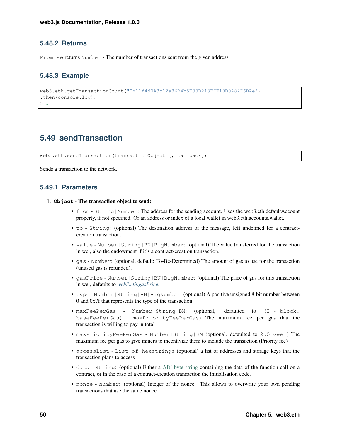### **5.48.2 Returns**

Promise returns Number - The number of transactions sent from the given address.

### **5.48.3 Example**

```
web3.eth.getTransactionCount("0x11f4d0A3c12e86B4b5F39B213F7E19D048276DAe")
.then(console.log);
> 1
```
# <span id="page-57-0"></span>**5.49 sendTransaction**

web3.eth.sendTransaction(transactionObject [, callback])

Sends a transaction to the network.

### **5.49.1 Parameters**

- 1. **Object** The transaction object to send:
	- from String|Number: The address for the sending account. Uses the web3.eth.defaultAccount property, if not specified. Or an address or index of a local wallet in web3.eth.accounts.wallet.
	- to String: (optional) The destination address of the message, left undefined for a contractcreation transaction.
	- value Number | String | BN | BigNumber: (optional) The value transferred for the transaction in wei, also the endowment if it's a contract-creation transaction.
	- gas Number: (optional, default: To-Be-Determined) The amount of gas to use for the transaction (unused gas is refunded).
	- gasPrice Number|String|BN|BigNumber: (optional) The price of gas for this transaction in wei, defaults to *[web3.eth.gasPrice](#page-45-0)*.
	- type Number | String | BN | BigNumber: (optional) A positive unsigned 8-bit number between 0 and 0x7f that represents the type of the transaction.
	- maxFeePerGas Number|String|BN: (optional, defaulted to (2 \* block. baseFeePerGas) + maxPriorityFeePerGas) The maximum fee per gas that the transaction is willing to pay in total
	- maxPriorityFeePerGas Number|String|BN (optional, defaulted to 2.5 Gwei) The maximum fee per gas to give miners to incentivize them to include the transaction (Priority fee)
	- accessList List of hexstrings (optional) a list of addresses and storage keys that the transaction plans to access
	- data String: (optional) Either a [ABI byte string](http://solidity.readthedocs.io/en/latest/abi-spec.html) containing the data of the function call on a contract, or in the case of a contract-creation transaction the initialisation code.
	- nonce Number: (optional) Integer of the nonce. This allows to overwrite your own pending transactions that use the same nonce.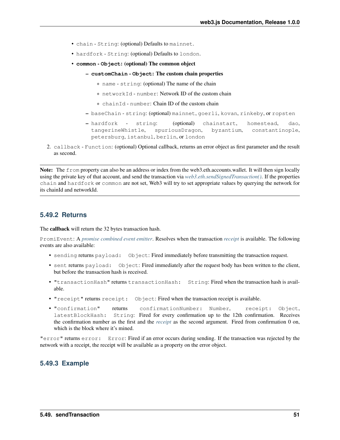- chain String: (optional) Defaults to mainnet.
- hardfork String: (optional) Defaults to london.
- **common Object**: (optional) The common object
	- **customChain Object**: The custom chain properties
		- \* name string: (optional) The name of the chain
		- \* networkId number: Network ID of the custom chain
		- \* chainId number: Chain ID of the custom chain
	- baseChain string: (optional) mainnet, goerli, kovan, rinkeby, or ropsten
	- hardfork string: (optional) chainstart, homestead, dao, tangerineWhistle, spuriousDragon, byzantium, constantinople, petersburg, istanbul, berlin, or london
- 2. callback Function: (optional) Optional callback, returns an error object as first parameter and the result as second.

Note: The from property can also be an address or index from the web3.eth.accounts.wallet. It will then sign locally using the private key of that account, and send the transaction via *[web3.eth.sendSignedTransaction\(\)](#page-59-0)*. If the properties chain and hardfork or common are not set, Web3 will try to set appropriate values by querying the network for its chainId and networkId.

### <span id="page-58-0"></span>**5.49.2 Returns**

The callback will return the 32 bytes transaction hash.

PromiEvent: A *[promise combined event emitter](#page-12-0)*. Resolves when the transaction *[receipt](#page-55-0)* is available. The following events are also available:

- sending returns payload: Object: Fired immediately before transmitting the transaction request.
- sent returns payload: Object: Fired immediately after the request body has been written to the client, but before the transaction hash is received.
- "transactionHash" returns transactionHash: String: Fired when the transaction hash is available.
- "receipt" returns receipt: Object: Fired when the transaction receipt is available.
- "confirmation" returns confirmationNumber: Number, receipt: Object, latestBlockHash: String: Fired for every confirmation up to the 12th confirmation. Receives the confirmation number as the first and the *[receipt](#page-55-0)* as the second argument. Fired from confirmation 0 on, which is the block where it's mined.

"error" returns error: Error: Fired if an error occurs during sending. If the transaction was rejected by the network with a receipt, the receipt will be available as a property on the error object.

### **5.49.3 Example**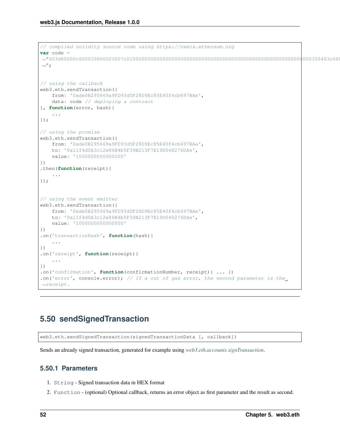```
// compiled solidity source code using https://remix.ethereum.org
var code =
˓→"603d80600c6000396000f3007c01000000000000000000000000000000000000000000000000000000006000350463c6888fa18114602d57005b6007600435028060005260206000f3
\hookrightarrow";
// using the callback
web3.eth.sendTransaction({
   from: '0xde0B295669a9FD93d5F28D9Ec85E40f4cb697BAe',
    data: code // deploying a contract
}, function(error, hash){
    ...
});
// using the promise
web3.eth.sendTransaction({
    from: '0xde0B295669a9FD93d5F28D9Ec85E40f4cb697BAe',
    to: '0x11f4d0A3c12e86B4b5F39B213F7E19D048276DAe',
    value: '1000000000000000'
})
.then(function(receipt){
    ...
});
// using the event emitter
web3.eth.sendTransaction({
    from: '0xde0B295669a9FD93d5F28D9Ec85E40f4cb697BAe',
    to: '0x11f4d0A3c12e86B4b5F39B213F7E19D048276DAe',
    value: '1000000000000000'
})
.on('transactionHash', function(hash){
    ...
})
.on('receipt', function(receipt){
    ...
})
.on('confirmation', function(confirmationNumber, receipt){ ... })
.on('error', console.error); // If a out of gas error, the second parameter is the
˓→receipt.
```
# <span id="page-59-0"></span>**5.50 sendSignedTransaction**

web3.eth.sendSignedTransaction(signedTransactionData [, callback])

Sends an already signed transaction, generated for example using *[web3.eth.accounts.signTransaction](#page-106-0)*.

#### **5.50.1 Parameters**

- 1. String Signed transaction data in HEX format
- 2. Function (optional) Optional callback, returns an error object as first parameter and the result as second.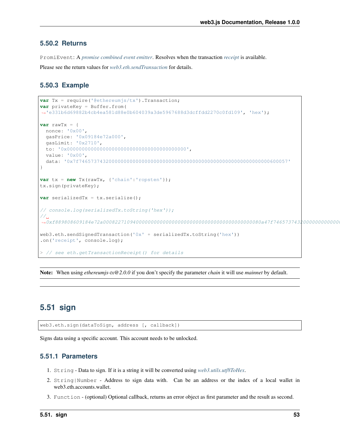### **5.50.2 Returns**

PromiEvent: A *[promise combined event emitter](#page-12-0)*. Resolves when the transaction *[receipt](#page-55-0)* is available.

Please see the return values for *[web3.eth.sendTransaction](#page-58-0)* for details.

### **5.50.3 Example**

```
var Tx = require('@ethereumjs/tx').Transaction;
var privateKey = Buffer.from(
˓→'e331b6d69882b4cb4ea581d88e0b604039a3de5967688d3dcffdd2270c0fd109', 'hex');
var rawTx = {
  nonce: '0x00',
  gasPrice: '0x09184e72a000',
  gasLimit: '0x2710',
  to: '0x0000000000000000000000000000000000000000',
  value: '0x00',
  data: '0x7f7465737432000000000000000000000000000000000000000000000000000000600057'
}
var tx = new Tx(rawTx, {'chain':'ropsten'});
tx.sign(privateKey);
var serializedTx = tx.serialize();
// console.log(serializedTx.toString('hex'));
//˓→0xf889808609184e72a00082271094000000000000000000000000000000000000000080a47f74657374320000000000000000000000000000000000000000000000000000006000571ca08a8bbf888cfa37bbf0bb965423625641fc956967b81d12e23709cead01446075a01ce999b56a8a88504be365442ea61239198e23d1fce7d00fcfc5cd3b44b7215f
web3.eth.sendSignedTransaction('0x' + serializedTx.toString('hex'))
.on('receipt', console.log);
> // see eth.getTransactionReceipt() for details
```
Note: When using *ethereumjs-tx@2.0.0* if you don't specify the parameter *chain* it will use *mainnet* by default.

# **5.51 sign**

web3.eth.sign(dataToSign, address [, callback])

Signs data using a specific account. This account needs to be unlocked.

### **5.51.1 Parameters**

- 1. String Data to sign. If it is a string it will be converted using *[web3.utils.utf8ToHex](#page-226-0)*.
- 2. String|Number Address to sign data with. Can be an address or the index of a local wallet in web3.eth.accounts.wallet.
- 3. Function (optional) Optional callback, returns an error object as first parameter and the result as second.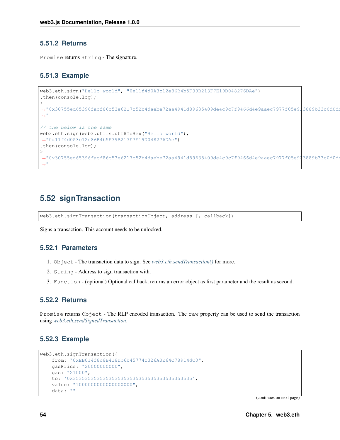### **5.51.2 Returns**

Promise returns String - The signature.

### **5.51.3 Example**

```
web3.eth.sign("Hello world", "0x11f4d0A3c12e86B4b5F39B213F7E19D048276DAe")
.then(console.log);
>
˓→"0x30755ed65396facf86c53e6217c52b4daebe72aa4941d89635409de4c9c7f9466d4e9aaec7977f05e923889b33c0d0dd27d7226b6e6f56ce737465c5cfd04be400
˓→"
// the below is the same
web3.eth.sign(web3.utils.utf8ToHex("Hello world"),
˓→"0x11f4d0A3c12e86B4b5F39B213F7E19D048276DAe")
.then(console.log);
>
˓→"0x30755ed65396facf86c53e6217c52b4daebe72aa4941d89635409de4c9c7f9466d4e9aaec7977f05e923889b33c0d0dd27d7226b6e6f56ce737465c5cfd04be400
\hookrightarrow "
```
# **5.52 signTransaction**

web3.eth.signTransaction(transactionObject, address [, callback])

Signs a transaction. This account needs to be unlocked.

### **5.52.1 Parameters**

- 1. Object The transaction data to sign. See *[web3.eth.sendTransaction\(\)](#page-57-0)* for more.
- 2. String Address to sign transaction with.
- 3. Function (optional) Optional callback, returns an error object as first parameter and the result as second.

#### **5.52.2 Returns**

Promise returns Object - The RLP encoded transaction. The raw property can be used to send the transaction using *[web3.eth.sendSignedTransaction](#page-59-0)*.

### **5.52.3 Example**

```
web3.eth.signTransaction({
    from: "0xEB014f8c8B418Db6b45774c326A0E64C78914dC0",
   gasPrice: "20000000000",
   gas: "21000",
   to: '0x3535353535353535353535353535353535353535',
   value: "1000000000000000000",
    data: ""
```
(continues on next page)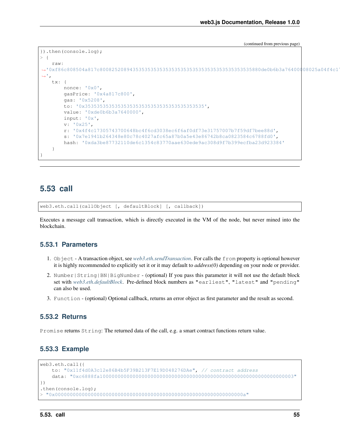(continued from previous page)

```
}).then(console.log);
> {
     raw:
˓→'0xf86c808504a817c800825208943535353535353535353535353535353535353535880de0b6b3a76400008025a04f4c17305743700648bc4f6cd3038ec6f6af0df73e31757007b7f59df7bee88da07e1941b264348e80c78c4027afc65a87b0a5e43e86742b8ca0823584c6788fd0
ightharpoonup',
     tx: {
          nonce: '0x0',
          gasPrice: '0x4a817c800',
          gas: '0x5208',
          to: '0x3535353535353535353535353535353535353535',
          value: '0xde0b6b3a7640000',
          input: '0x',
          v: '0x25',
          r: '0x4f4c17305743700648bc4f6cd3038ec6f6af0df73e31757007b7f59df7bee88d',
          s: '0x7e1941b264348e80c78c4027afc65a87b0a5e43e86742b8ca0823584c6788fd0',
          hash: '0xda3be87732110de6c1354c83770aae630ede9ac308d9f7b399ecfba23d923384'
     }
}
```
## **5.53 call**

web3.eth.call(callObject [, defaultBlock] [, callback])

Executes a message call transaction, which is directly executed in the VM of the node, but never mined into the blockchain.

### **5.53.1 Parameters**

- 1. Object A transaction object, see *[web3.eth.sendTransaction](#page-58-0)*. For calls the from property is optional however it is highly recommended to explicitly set it or it may default to *address(0)* depending on your node or provider.
- 2. Number|String|BN|BigNumber (optional) If you pass this parameter it will not use the default block set with *[web3.eth.defaultBlock](#page-36-0)*. Pre-defined block numbers as "earliest", "latest" and "pending" can also be used.
- 3. Function (optional) Optional callback, returns an error object as first parameter and the result as second.

#### **5.53.2 Returns**

Promise returns String: The returned data of the call, e.g. a smart contract functions return value.

### **5.53.3 Example**

```
web3.eth.call({
   to: "0x11f4d0A3c12e86B4b5F39B213F7E19D048276DAe", // contract address
   data: "0xc6888fa10000000000000000000000000000000000000000000000000000000000000003"
})
.then(console.log);
> "0x000000000000000000000000000000000000000000000000000000000000000a"
```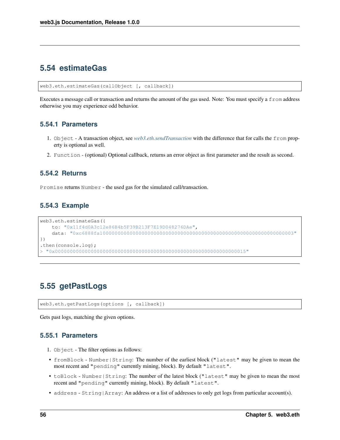## **5.54 estimateGas**

web3.eth.estimateGas(callObject [, callback])

Executes a message call or transaction and returns the amount of the gas used. Note: You must specify a from address otherwise you may experience odd behavior.

#### **5.54.1 Parameters**

- 1. Object A transaction object, see *[web3.eth.sendTransaction](#page-58-0)* with the difference that for calls the from property is optional as well.
- 2. Function (optional) Optional callback, returns an error object as first parameter and the result as second.

#### **5.54.2 Returns**

Promise returns Number - the used gas for the simulated call/transaction.

### **5.54.3 Example**

```
web3.eth.estimateGas({
   to: "0x11f4d0A3c12e86B4b5F39B213F7E19D048276DAe",
   data: "0xc6888fa10000000000000000000000000000000000000000000000000000000000000003"
})
.then(console.log);
> "0x0000000000000000000000000000000000000000000000000000000000000015"
```
# **5.55 getPastLogs**

web3.eth.getPastLogs(options [, callback])

Gets past logs, matching the given options.

#### **5.55.1 Parameters**

- 1. Object The filter options as follows:
- fromBlock Number|String: The number of the earliest block ("latest" may be given to mean the most recent and "pending" currently mining, block). By default "latest".
- toBlock Number | String: The number of the latest block ("latest" may be given to mean the most recent and "pending" currently mining, block). By default "latest".
- address String | Array: An address or a list of addresses to only get logs from particular account(s).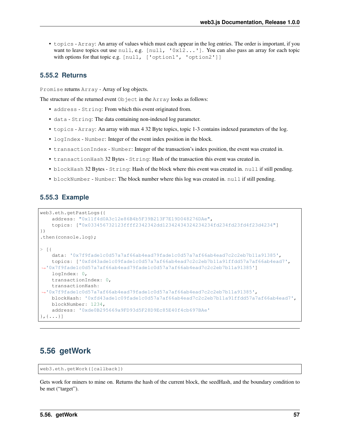• topics - Array: An array of values which must each appear in the log entries. The order is important, if you want to leave topics out use null, e.g. [null, '0x12...']. You can also pass an array for each topic with options for that topic e.g. [null, ['option1', 'option2']]

### **5.55.2 Returns**

Promise returns Array - Array of log objects.

The structure of the returned event Object in the Array looks as follows:

- address String: From which this event originated from.
- data String: The data containing non-indexed log parameter.
- topics Array: An array with max 4 32 Byte topics, topic 1-3 contains indexed parameters of the log.
- logIndex Number: Integer of the event index position in the block.
- transactionIndex Number: Integer of the transaction's index position, the event was created in.
- transactionHash 32 Bytes String: Hash of the transaction this event was created in.
- blockHash 32 Bytes String: Hash of the block where this event was created in. null if still pending.
- blockNumber Number: The block number where this log was created in. null if still pending.

#### **5.55.3 Example**

```
web3.eth.getPastLogs({
    address: "0x11f4d0A3c12e86B4b5F39B213F7E19D048276DAe",
    topics: ["0x033456732123ffff2342342dd12342434324234234fd234fd23fd4f23d4234"]
})
.then(console.log);
> [{
    data: '0x7f9fade1c0d57a7af66ab4ead79fade1c0d57a7af66ab4ead7c2c2eb7b11a91385',
    topics: ['0xfd43ade1c09fade1c0d57a7af66ab4ead7c2c2eb7b11a91ffdd57a7af66ab4ead7',
˓→'0x7f9fade1c0d57a7af66ab4ead79fade1c0d57a7af66ab4ead7c2c2eb7b11a91385']
   logIndex: 0,
   transactionIndex: 0,
    transactionHash:
˓→'0x7f9fade1c0d57a7af66ab4ead79fade1c0d57a7af66ab4ead7c2c2eb7b11a91385',
   blockHash: '0xfd43ade1c09fade1c0d57a7af66ab4ead7c2c2eb7b11a91ffdd57a7af66ab4ead7',
   blockNumber: 1234,
    address: '0xde0B295669a9FD93d5F28D9Ec85E40f4cb697BAe'
\}, {\dots}]
```
# **5.56 getWork**

```
web3.eth.getWork([callback])
```
Gets work for miners to mine on. Returns the hash of the current block, the seedHash, and the boundary condition to be met ("target").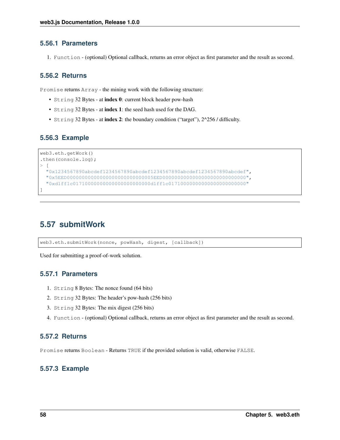### **5.56.1 Parameters**

1. Function - (optional) Optional callback, returns an error object as first parameter and the result as second.

## **5.56.2 Returns**

Promise returns Array - the mining work with the following structure:

- String 32 Bytes at index 0: current block header pow-hash
- String 32 Bytes at index 1: the seed hash used for the DAG.
- String 32 Bytes at index 2: the boundary condition ("target"), 2^256 / difficulty.

## **5.56.3 Example**

```
web3.eth.getWork()
.then(console.log);
> [
  "0x1234567890abcdef1234567890abcdef1234567890abcdef1234567890abcdef",
  "0x5EED00000000000000000000000000005EED0000000000000000000000000000",
  "0xd1ff1c01710000000000000000000000d1ff1c01710000000000000000000000"
]
```
# **5.57 submitWork**

web3.eth.submitWork(nonce, powHash, digest, [callback])

Used for submitting a proof-of-work solution.

### **5.57.1 Parameters**

- 1. String 8 Bytes: The nonce found (64 bits)
- 2. String 32 Bytes: The header's pow-hash (256 bits)
- 3. String 32 Bytes: The mix digest (256 bits)
- 4. Function (optional) Optional callback, returns an error object as first parameter and the result as second.

### **5.57.2 Returns**

Promise returns Boolean - Returns TRUE if the provided solution is valid, otherwise FALSE.

### **5.57.3 Example**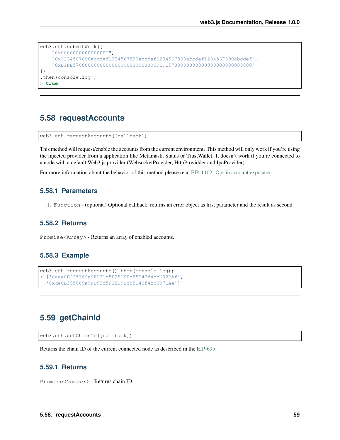```
web3.eth.submitWork([
    "0x0000000000000001",
    "0x1234567890abcdef1234567890abcdef1234567890abcdef1234567890abcdef",
    "0xD1FE5700000000000000000000000000D1FE5700000000000000000000000000"
])
.then(console.log);
> true
```
# **5.58 requestAccounts**

web3.eth.requestAccounts([callback])

This method will request/enable the accounts from the current environment. This method will only work if you're using the injected provider from a application like Metamask, Status or TrustWallet. It doesn't work if you're connected to a node with a default Web3.js provider (WebsocketProvider, HttpProvidder and IpcProvider).

For more information about the behavior of this method please read [EIP-1102: Opt-in account exposure.](https://github.com/ethereum/EIPs/blob/master/EIPS/eip-1102.md)

### **5.58.1 Parameters**

1. Function - (optional) Optional callback, returns an error object as first parameter and the result as second.

#### **5.58.2 Returns**

Promise<Array> - Returns an array of enabled accounts.

### **5.58.3 Example**

```
web3.eth.requestAccounts().then(console.log);
> ['0aae0B295369a9FD31d5F28D9Ec85E40f4cb692BAf',
˓→'0xde0B295669a9FD93d5F28D9Ec85E40f4cb697BAe']
```
## **5.59 getChainId**

```
web3.eth.getChainId([callback])
```
Returns the chain ID of the current connected node as described in the [EIP-695.](https://github.com/ethereum/EIPs/blob/master/EIPS/eip-695.md)

### **5.59.1 Returns**

Promise<Number> - Returns chain ID.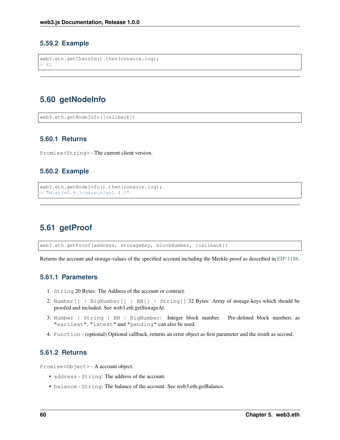#### **5.59.2 Example**

```
web3.eth.getChainId().then(console.log);
> 61
```
# **5.60 getNodeInfo**

web3.eth.getNodeInfo([callback])

### **5.60.1 Returns**

Promise<String> - The current client version.

#### **5.60.2 Example**

```
web3.eth.getNodeInfo().then(console.log);
> "Mist/v0.9.3/darwin/go1.4.1"
```
# **5.61 getProof**

web3.eth.getProof(address, storageKey, blockNumber, [callback])

Returns the account and storage-values of the specified account including the Merkle-proof as described in [EIP-1186.](https://github.com/ethereum/EIPs/blob/master/EIPS/eip-1186.md)

### **5.61.1 Parameters**

- 1. String 20 Bytes: The Address of the account or contract.
- 2. Number[] | BigNumber[] | BN[] | String[] 32 Bytes: Array of storage-keys which should be proofed and included. See web3.eth.getStorageAt.
- 3. Number | String | BN | BigNumber: Integer block number. Pre-defined block numbers as "earliest", "latest" and "pending" can also be used.
- 4. Function (optional) Optional callback, returns an error object as first parameter and the result as second.

### **5.61.2 Returns**

Promise<Object> - A account object.

- address String: The address of the account.
- balance String: The balance of the account. See web3.eth.getBalance.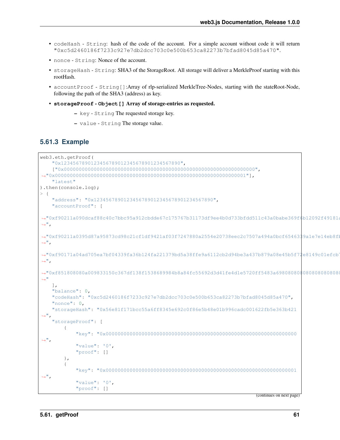- codeHash String: hash of the code of the account. For a simple account without code it will return "0xc5d2460186f7233c927e7db2dcc703c0e500b653ca82273b7bfad8045d85a470".
- nonce String: Nonce of the account.
- storageHash String: SHA3 of the StorageRoot. All storage will deliver a MerkleProof starting with this rootHash.
- accountProof String[]:Array of rlp-serialized MerkleTree-Nodes, starting with the stateRoot-Node, following the path of the SHA3 (address) as key.
- **storageProof Object[]** Array of storage-entries as requested.
	- key String The requested storage key.
	- value String The storage value.

### **5.61.3 Example**

```
web3.eth.getProof(
 "0x1234567890123456789012345678901234567890",
 ["0x0000000000000000000000000000000000000000000000000000000000000000",
˓→"0x0000000000000000000000000000000000000000000000000000000000000001"],
 "latest"
).then(console.log);
> {
 "address": "0x1234567890123456789012345678901234567890",
 "accountProof": [
4"0xf90211a090dcaf88c40c7bbc95a912cbdde67c175767b31173df9ee4b0d733bffdd511c43a0babe369f6b12092f49181dightharpoonup",
\leftrightarrow"0xf90211a0395d87a95873cd98c21cf1df9421af03f7247880a2554e20738eec2c7507a494a0bcf65463$9a1e7e14eb8fk
\hookrightarrow",
→"0xf90171a04ad705ea7bf04339fa36b124fa221379bd5a38ffe9a6112cb2d94be3a437b879a08e45b5f72e8149c01efcb
ightharpoonup",
→"0xf851808080a009833150c367df138f1538689984b8a84fc55692d3d41fe4d1e5720ff5483a69808080$080808080808
˓→"
 \cdot"balance": 0,
 "codeHash": "0xc5d2460186f7233c927e7db2dcc703c0e500b653ca82273b7bfad8045d85a470",
 "nonce": 0,
 "storageHash": "0x56e81f171bcc55a6ff8345e692c0f86e5b48e01b996cadc001622fb5e363b421
\hookrightarrow ^{\mathfrak{m}} ,
 "storageProof": [
   {
    "key": "0x0000000000000000000000000000000000000000000000000000000000000000
\hookrightarrow",
    "value": '0',
    "proof": []
   },
   {
    "key": "0x0000000000000000000000000000000000000000000000000000000000000001
˓→",
    "value": '0',
    "proof": []
```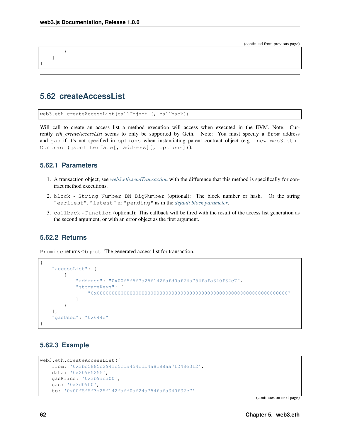(continued from previous page)

```
]
}
```
}

# **5.62 createAccessList**

web3.eth.createAccessList(callObject [, callback])

Will call to create an access list a method execution will access when executed in the EVM. Note: Currently *eth\_createAccessList* seems to only be supported by Geth. Note: You must specify a from address and gas if it's not specified in options when instantiating parent contract object (e.g. new web3.eth. Contract(jsonInterface[, address][, options])).

### **5.62.1 Parameters**

- 1. A transaction object, see *[web3.eth.sendTransaction](#page-58-0)* with the difference that this method is specifically for contract method executions.
- 2. block String|Number|BN|BigNumber (optional): The block number or hash. Or the string "earliest", "latest" or "pending" as in the *[default block parameter](#page-36-0)*.
- 3. callback Function (optional): This callback will be fired with the result of the access list generation as the second argument, or with an error object as the first argument.

### **5.62.2 Returns**

Promise returns Object: The generated access list for transaction.

```
{
    "accessList": [
        {
            "address": "0x00f5f5f3a25f142fafd0af24a754fafa340f32c7",
            "storageKeys": [
                "0x0000000000000000000000000000000000000000000000000000000000000000"
            ]
        }
   ],
    "gasUsed": "0x644e"
}
```
### **5.62.3 Example**

```
web3.eth.createAccessList({
    from: '0x3bc5885c2941c5cda454bdb4a8c88aa7f248e312',
   data: '0x20965255',
   gasPrice: '0x3b9aca00',
    gas: '0x3d0900',
    to: '0x00f5f5f3a25f142fafd0af24a754fafa340f32c7'
```
(continues on next page)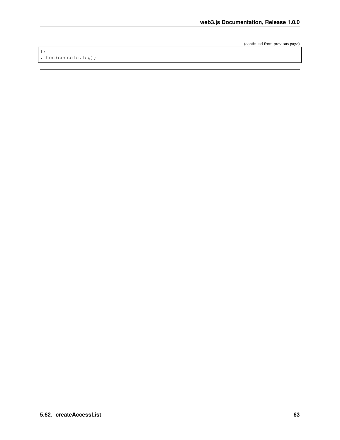(continued from previous page)

}) .then(console.log);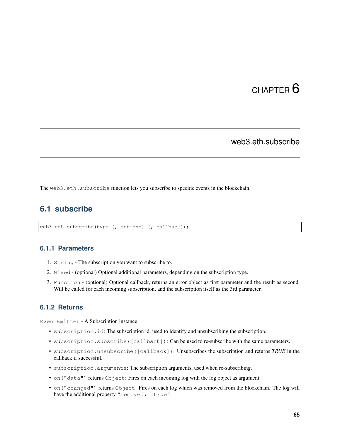# CHAPTER 6

# web3.eth.subscribe

The web3.eth.subscribe function lets you subscribe to specific events in the blockchain.

# **6.1 subscribe**

web3.eth.subscribe(type [, options] [, callback]);

### **6.1.1 Parameters**

- 1. String The subscription you want to subscribe to.
- 2. Mixed (optional) Optional additional parameters, depending on the subscription type.
- 3. Function (optional) Optional callback, returns an error object as first parameter and the result as second. Will be called for each incoming subscription, and the subscription itself as the 3rd parameter.

### <span id="page-72-0"></span>**6.1.2 Returns**

EventEmitter - A Subscription instance

- subscription.id: The subscription id, used to identify and unsubscribing the subscription.
- subscription.subscribe([callback]): Can be used to re-subscribe with the same parameters.
- subscription.unsubscribe([callback]): Unsubscribes the subscription and returns *TRUE* in the callback if successful.
- subscription.arguments: The subscription arguments, used when re-subscribing.
- on ("data") returns Object: Fires on each incoming log with the log object as argument.
- on("changed") returns Object: Fires on each log which was removed from the blockchain. The log will have the additional property "removed: true".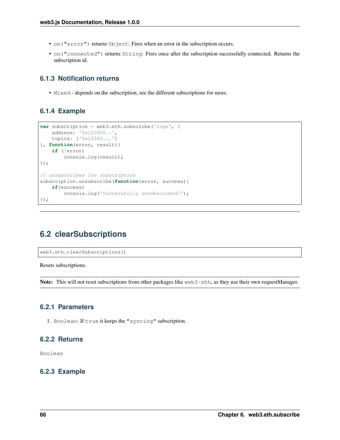- on ("error") returns Object: Fires when an error in the subscription occurs.
- on("connected") returns String: Fires once after the subscription successfully connected. Returns the subscription id.

### **6.1.3 Notification returns**

• Mixed - depends on the subscription, see the different subscriptions for more.

### **6.1.4 Example**

```
var subscription = web3.eth.subscribe('logs', {
    address: '0x123456..',
   topics: ['0x12345...']
}, function(error, result){
   if (!error)
        console.log(result);
});
// unsubscribes the subscription
subscription.unsubscribe(function(error, success){
   if(success)
       console.log('Successfully unsubscribed!');
});
```
# **6.2 clearSubscriptions**

web3.eth.clearSubscriptions()

Resets subscriptions.

Note: This will not reset subscriptions from other packages like web3-shh, as they use their own requestManager.

### **6.2.1 Parameters**

1. Boolean: If true it keeps the "syncing" subscription.

### **6.2.2 Returns**

Boolean

### **6.2.3 Example**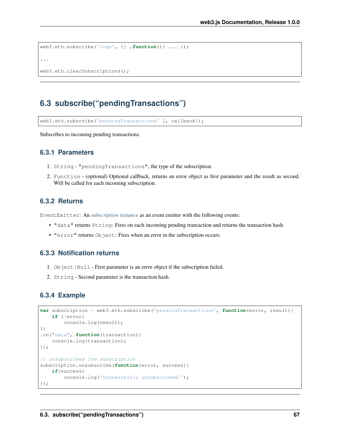```
web3.eth.subscribe('logs', {} ,function(){ ... });
...
web3.eth.clearSubscriptions();
```
# **6.3 subscribe("pendingTransactions")**

web3.eth.subscribe('pendingTransactions' [, callback]);

Subscribes to incoming pending transactions.

#### **6.3.1 Parameters**

- 1. String "pendingTransactions", the type of the subscription.
- 2. Function (optional) Optional callback, returns an error object as first parameter and the result as second. Will be called for each incoming subscription.

#### **6.3.2 Returns**

EventEmitter: An *[subscription instance](#page-72-0)* as an event emitter with the following events:

- "data" returns String: Fires on each incoming pending transaction and returns the transaction hash.
- "error" returns Object: Fires when an error in the subscription occurs.

#### **6.3.3 Notification returns**

- 1. Object | Null First parameter is an error object if the subscription failed.
- 2. String Second parameter is the transaction hash.

#### **6.3.4 Example**

```
var subscription = web3.eth.subscribe('pendingTransactions', function(error, result){
   if (!error)
        console.log(result);
})
.on("data", function(transaction){
    console.log(transaction);
});
// unsubscribes the subscription
subscription.unsubscribe(function(error, success){
   if(success)
        console.log('Successfully unsubscribed!');
});
```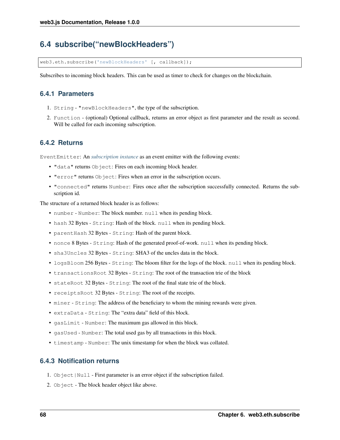# **6.4 subscribe("newBlockHeaders")**

web3.eth.subscribe('newBlockHeaders' [, callback]);

Subscribes to incoming block headers. This can be used as timer to check for changes on the blockchain.

### **6.4.1 Parameters**

- 1. String "newBlockHeaders", the type of the subscription.
- 2. Function (optional) Optional callback, returns an error object as first parameter and the result as second. Will be called for each incoming subscription.

### **6.4.2 Returns**

EventEmitter: An *[subscription instance](#page-72-0)* as an event emitter with the following events:

- "data" returns Object: Fires on each incoming block header.
- "error" returns Object: Fires when an error in the subscription occurs.
- "connected" returns Number: Fires once after the subscription successfully connected. Returns the subscription id.

The structure of a returned block header is as follows:

- number Number: The block number. null when its pending block.
- hash 32 Bytes String: Hash of the block. null when its pending block.
- parentHash 32 Bytes String: Hash of the parent block.
- nonce 8 Bytes String: Hash of the generated proof-of-work. null when its pending block.
- sha3Uncles 32 Bytes String: SHA3 of the uncles data in the block.
- logsBloom 256 Bytes String: The bloom filter for the logs of the block. null when its pending block.
- transactionsRoot 32 Bytes String: The root of the transaction trie of the block
- stateRoot 32 Bytes String: The root of the final state trie of the block.
- receiptsRoot 32 Bytes String: The root of the receipts.
- miner String: The address of the beneficiary to whom the mining rewards were given.
- extraData String: The "extra data" field of this block.
- gasLimit Number: The maximum gas allowed in this block.
- gasUsed Number: The total used gas by all transactions in this block.
- timestamp Number: The unix timestamp for when the block was collated.

### **6.4.3 Notification returns**

- 1. Object | Null First parameter is an error object if the subscription failed.
- 2. Object The block header object like above.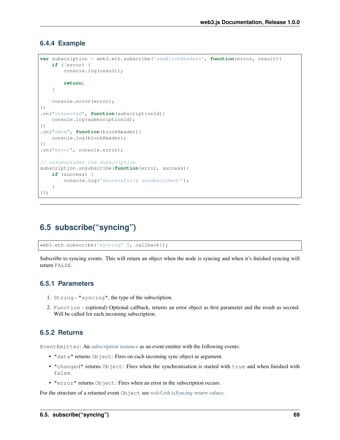#### **6.4.4 Example**

```
var subscription = web3.eth.subscribe('newBlockHeaders', function(error, result){
    if (!error) {
        console.log(result);
        return;
    }
    console.error(error);
})
.on("connected", function(subscriptionId){
    console.log(subscriptionId);
})
.on("data", function(blockHeader){
    console.log(blockHeader);
})
.on("error", console.error);
// unsubscribes the subscription
subscription.unsubscribe(function(error, success){
    if (success) {
       console.log('Successfully unsubscribed!');
    }
});
```
# **6.5 subscribe("syncing")**

web3.eth.subscribe('syncing' [, callback]);

Subscribe to syncing events. This will return an object when the node is syncing and when it's finished syncing will return FALSE.

#### **6.5.1 Parameters**

- 1. String "syncing", the type of the subscription.
- 2. Function (optional) Optional callback, returns an error object as first parameter and the result as second. Will be called for each incoming subscription.

### **6.5.2 Returns**

EventEmitter: An *[subscription instance](#page-72-0)* as an event emitter with the following events:

- "data" returns Object: Fires on each incoming sync object as argument.
- "changed" returns Object: Fires when the synchronisation is started with true and when finished with false.
- "error" returns Object: Fires when an error in the subscription occurs.

For the structure of a returned event Object see *[web3.eth.isSyncing return values](#page-43-0)*.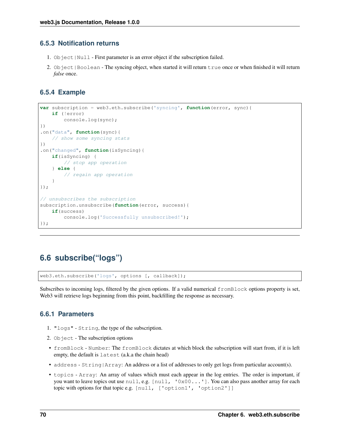### **6.5.3 Notification returns**

- 1. Object | Null First parameter is an error object if the subscription failed.
- 2. Object | Boolean The syncing object, when started it will return true once or when finished it will return *false* once.

### **6.5.4 Example**

```
var subscription = web3.eth.subscribe('syncing', function(error, sync){
    if (!error)
        console.log(sync);
})
.on("data", function(sync){
    // show some syncing stats
})
.on("changed", function(isSyncing){
   if(isSyncing) {
        // stop app operation
    } else {
        // regain app operation
    }
});
// unsubscribes the subscription
subscription.unsubscribe(function(error, success){
   if(success)
        console.log('Successfully unsubscribed!');
});
```
# **6.6 subscribe("logs")**

web3.eth.subscribe('logs', options [, callback]);

Subscribes to incoming logs, filtered by the given options. If a valid numerical fromBlock options property is set, Web3 will retrieve logs beginning from this point, backfilling the response as necessary.

### **6.6.1 Parameters**

- 1. "logs" String, the type of the subscription.
- 2. Object The subscription options
- fromBlock Number: The fromBlock dictates at which block the subscription will start from, if it is left empty, the default is latest (a.k.a the chain head)
- address String | Array: An address or a list of addresses to only get logs from particular account(s).
- topics Array: An array of values which must each appear in the log entries. The order is important, if you want to leave topics out use null, e.g. [null, '0x00...']. You can also pass another array for each topic with options for that topic e.g. [null, ['option1', 'option2']]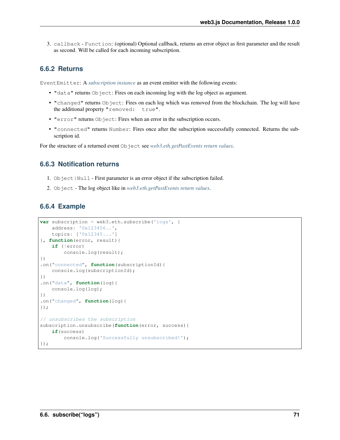3. callback - Function: (optional) Optional callback, returns an error object as first parameter and the result as second. Will be called for each incoming subscription.

### **6.6.2 Returns**

EventEmitter: A *[subscription instance](#page-72-0)* as an event emitter with the following events:

- "data" returns Object: Fires on each incoming log with the log object as argument.
- "changed" returns Object: Fires on each log which was removed from the blockchain. The log will have the additional property "removed: true".
- "error" returns Object: Fires when an error in the subscription occurs.
- "connected" returns Number: Fires once after the subscription successfully connected. Returns the subscription id.

For the structure of a returned event Object see *[web3.eth.getPastEvents return values](#page-64-0)*.

#### **6.6.3 Notification returns**

- 1. Object | Null First parameter is an error object if the subscription failed.
- 2. Object The log object like in *[web3.eth.getPastEvents return values](#page-64-0)*.

#### **6.6.4 Example**

```
var subscription = web3.eth.subscribe('logs', {
    address: '0x123456..',
   topics: ['0x12345...']
}, function(error, result){
   if (!error)
        console.log(result);
})
.on("connected", function(subscriptionId){
   console.log(subscriptionId);
})
.on("data", function(log){
   console.log(log);
})
.on("changed", function(log){
});
// unsubscribes the subscription
subscription.unsubscribe(function(error, success){
    if(success)
        console.log('Successfully unsubscribed!');
});
```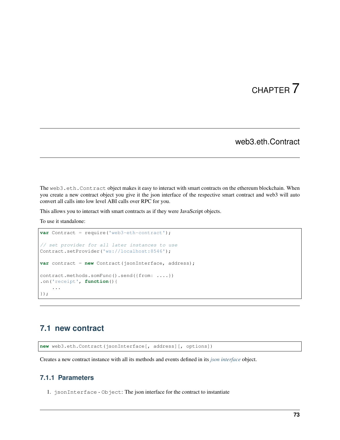# CHAPTER 7

### web3.eth.Contract

The web3.eth.Contract object makes it easy to interact with smart contracts on the ethereum blockchain. When you create a new contract object you give it the json interface of the respective smart contract and web3 will auto convert all calls into low level ABI calls over RPC for you.

This allows you to interact with smart contracts as if they were JavaScript objects.

To use it standalone:

```
var Contract = require('web3-eth-contract');
// set provider for all later instances to use
Contract.setProvider('ws://localhost:8546');
var contract = new Contract(jsonInterface, address);
contract.methods.somFunc().send({from: ....})
.on('receipt', function(){
    ...
});
```
# **7.1 new contract**

**new** web3.eth.Contract(jsonInterface[, address][, options])

Creates a new contract instance with all its methods and events defined in its *[json interface](#page-14-0)* object.

### **7.1.1 Parameters**

1. jsonInterface - Object: The json interface for the contract to instantiate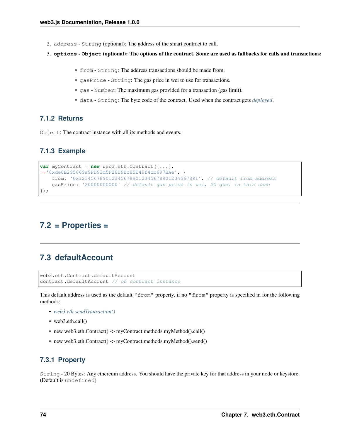- 2. address String (optional): The address of the smart contract to call.
- 3. **options Object** (optional): The options of the contract. Some are used as fallbacks for calls and transactions:
	- from String: The address transactions should be made from.
	- gasPrice String: The gas price in wei to use for transactions.
	- gas Number: The maximum gas provided for a transaction (gas limit).
	- data String: The byte code of the contract. Used when the contract gets *[deployed](#page-89-0)*.

#### **7.1.2 Returns**

Object: The contract instance with all its methods and events.

### **7.1.3 Example**

```
var myContract = new web3.eth.Contract([...],
˓→'0xde0B295669a9FD93d5F28D9Ec85E40f4cb697BAe', {
    from: '0x1234567890123456789012345678901234567891', // default from address
   gasPrice: '20000000000' // default gas price in wei, 20 gwei in this case
});
```
# **7.2 = Properties =**

### **7.3 defaultAccount**

```
web3.eth.Contract.defaultAccount
contract.defaultAccount // on contract instance
```
This default address is used as the default "from" property, if no "from" property is specified in for the following methods:

- *[web3.eth.sendTransaction\(\)](#page-57-0)*
- web3.eth.call()
- new web3.eth.Contract() -> myContract.methods.myMethod().call()
- new web3.eth.Contract() -> myContract.methods.myMethod().send()

### **7.3.1 Property**

String - 20 Bytes: Any ethereum address. You should have the private key for that address in your node or keystore. (Default is undefined)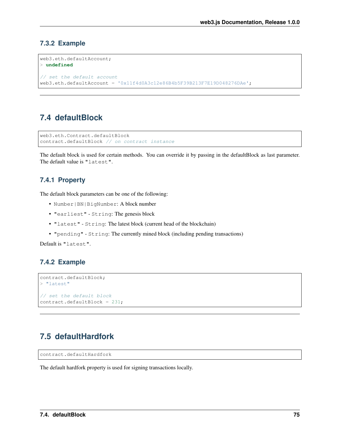### **7.3.2 Example**

```
web3.eth.defaultAccount;
> undefined
// set the default account
web3.eth.defaultAccount = '0x11f4d0A3c12e86B4b5F39B213F7E19D048276DAe';
```
# **7.4 defaultBlock**

```
web3.eth.Contract.defaultBlock
contract.defaultBlock // on contract instance
```
The default block is used for certain methods. You can override it by passing in the defaultBlock as last parameter. The default value is "latest".

### **7.4.1 Property**

The default block parameters can be one of the following:

- Number|BN|BigNumber: A block number
- "earliest" String: The genesis block
- "latest" String: The latest block (current head of the blockchain)
- "pending" String: The currently mined block (including pending transactions)

Default is "latest".

### **7.4.2 Example**

```
contract.defaultBlock;
> "latest"
// set the default block
contract.defaultBlock = 231;
```
# <span id="page-82-0"></span>**7.5 defaultHardfork**

```
contract.defaultHardfork
```
The default hardfork property is used for signing transactions locally.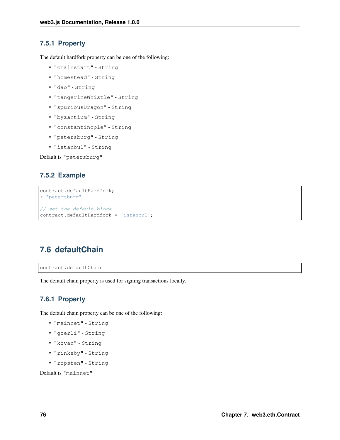### **7.5.1 Property**

The default hardfork property can be one of the following:

- "chainstart" String
- "homestead" String
- "dao" String
- "tangerineWhistle" String
- "spuriousDragon" String
- "byzantium" String
- "constantinople" String
- "petersburg" String
- "istanbul" String

Default is "petersburg"

### **7.5.2 Example**

```
contract.defaultHardfork;
> "petersburg"
// set the default block
contract.defaultHardfork = 'istanbul';
```
# <span id="page-83-0"></span>**7.6 defaultChain**

```
contract.defaultChain
```
The default chain property is used for signing transactions locally.

### **7.6.1 Property**

The default chain property can be one of the following:

- "mainnet" String
- "goerli" String
- "kovan" String
- "rinkeby" String
- "ropsten" String

Default is "mainnet"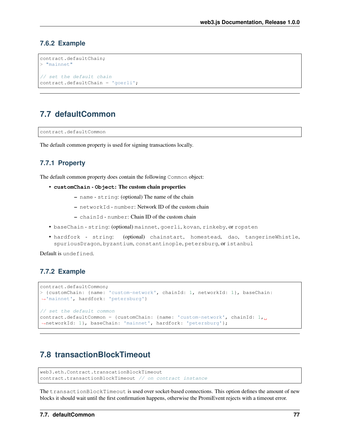#### **7.6.2 Example**

```
contract.defaultChain;
> "mainnet"
// set the default chain
contract.defaultChain = 'goerli';
```
### <span id="page-84-1"></span>**7.7 defaultCommon**

contract.defaultCommon

The default common property is used for signing transactions locally.

### **7.7.1 Property**

The default common property does contain the following Common object:

- **customChain Object**: The custom chain properties
	- name string: (optional) The name of the chain
	- networkId number: Network ID of the custom chain
	- chainId number: Chain ID of the custom chain
- baseChain string: (optional) mainnet, goerli, kovan, rinkeby, or ropsten
- hardfork string: (optional) chainstart, homestead, dao, tangerineWhistle, spuriousDragon, byzantium, constantinople, petersburg, or istanbul

Default is undefined.

### **7.7.2 Example**

```
contract.defaultCommon;
> {customChain: {name: 'custom-network', chainId: 1, networkId: 1}, baseChain:
˓→'mainnet', hardfork: 'petersburg'}
// set the default common
contract.defaultCommon = {customChain: {name: 'custom-network', chainId: 1,
˓→networkId: 1}, baseChain: 'mainnet', hardfork: 'petersburg'};
```
### <span id="page-84-0"></span>**7.8 transactionBlockTimeout**

```
web3.eth.Contract.transcationBlockTimeout
contract.transactionBlockTimeout // on contract instance
```
The transactionBlockTimeout is used over socket-based connections. This option defines the amount of new blocks it should wait until the first confirmation happens, otherwise the PromiEvent rejects with a timeout error.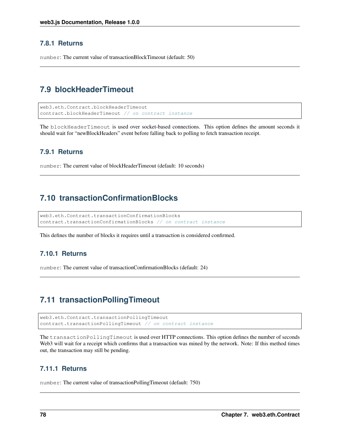### **7.8.1 Returns**

number: The current value of transactionBlockTimeout (default: 50)

# **7.9 blockHeaderTimeout**

```
web3.eth.Contract.blockHeaderTimeout
contract.blockHeaderTimeout // on contract instance
```
The blockHeaderTimeout is used over socket-based connections. This option defines the amount seconds it should wait for "newBlockHeaders" event before falling back to polling to fetch transaction receipt.

#### **7.9.1 Returns**

number: The current value of blockHeaderTimeout (default: 10 seconds)

### <span id="page-85-0"></span>**7.10 transactionConfirmationBlocks**

```
web3.eth.Contract.transactionConfirmationBlocks
contract.transactionConfirmationBlocks // on contract instance
```
This defines the number of blocks it requires until a transaction is considered confirmed.

### **7.10.1 Returns**

number: The current value of transactionConfirmationBlocks (default: 24)

### <span id="page-85-1"></span>**7.11 transactionPollingTimeout**

```
web3.eth.Contract.transactionPollingTimeout
contract.transactionPollingTimeout // on contract instance
```
The transactionPollingTimeout is used over HTTP connections. This option defines the number of seconds Web3 will wait for a receipt which confirms that a transaction was mined by the network. Note: If this method times out, the transaction may still be pending.

#### **7.11.1 Returns**

number: The current value of transactionPollingTimeout (default: 750)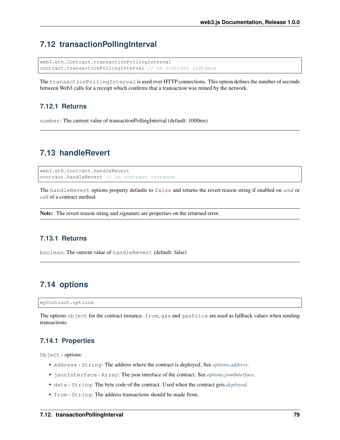# **7.12 transactionPollingInterval**

```
web3.eth.Contract.transactionPollingInterval
contract.transactionPollingInterval // on contract instance
```
The transactionPollingInterval is used over HTTP connections. This option defines the number of seconds between Web3 calls for a receipt which confirms that a transaction was mined by the network.

#### **7.12.1 Returns**

number: The current value of transactionPollingInterval (default: 1000ms)

### <span id="page-86-0"></span>**7.13 handleRevert**

```
web3.eth.Contract.handleRevert
contract.handleRevert // on contract instance
```
The handleRevert options property defaults to false and returns the revert reason string if enabled on *[send](#page-94-0)* or *[call](#page-92-0)* of a contract method.

Note: The revert reason string and signature are properties on the returned error.

### **7.13.1 Returns**

boolean: The current value of handleRevert (default: false)

# **7.14 options**

myContract.options

The options object for the contract instance. from, gas and gasPrice are used as fallback values when sending transactions.

#### **7.14.1 Properties**

Object - options:

- address String: The address where the contract is deployed. See *[options.address](#page-87-0)*.
- jsonInterface Array: The json interface of the contract. See *[options.jsonInterface](#page-88-0)*.
- data String: The byte code of the contract. Used when the contract gets *[deployed](#page-89-0)*.
- from String: The address transactions should be made from.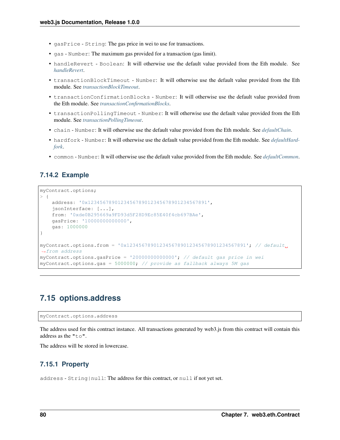- gasPrice String: The gas price in wei to use for transactions.
- gas Number: The maximum gas provided for a transaction (gas limit).
- handleRevert Boolean: It will otherwise use the default value provided from the Eth module. See *[handleRevert](#page-86-0)*.
- transactionBlockTimeout Number: It will otherwise use the default value provided from the Eth module. See *[transactionBlockTimeout](#page-84-0)*.
- transactionConfirmationBlocks Number: It will otherwise use the default value provided from the Eth module. See *[transactionConfirmationBlocks](#page-85-0)*.
- transactionPollingTimeout Number: It will otherwise use the default value provided from the Eth module. See *[transactionPollingTimeout](#page-85-1)*.
- chain Number: It will otherwise use the default value provided from the Eth module. See *[defaultChain](#page-83-0)*.
- hardfork Number: It will otherwise use the default value provided from the Eth module. See *[defaultHard](#page-82-0)[fork](#page-82-0)*.
- common Number: It will otherwise use the default value provided from the Eth module. See *[defaultCommon](#page-84-1)*.

#### **7.14.2 Example**

```
myContract.options;
> 1address: '0x1234567890123456789012345678901234567891',
    jsonInterface: [...],
   from: '0xde0B295669a9FD93d5F28D9Ec85E40f4cb697BAe',
   gasPrice: '10000000000000',
    gas: 1000000
}
myContract.options.from = '0x1234567890123456789012345678901234567891'; // default
˓→from address
myContract.options.gasPrice = '20000000000000'; // default gas price in wei
myContract.options.gas = 5000000; // provide as fallback always 5M gas
```
# <span id="page-87-0"></span>**7.15 options.address**

myContract.options.address

The address used for this contract instance. All transactions generated by web3.js from this contract will contain this address as the "to".

The address will be stored in lowercase.

#### **7.15.1 Property**

address - String|null: The address for this contract, or null if not yet set.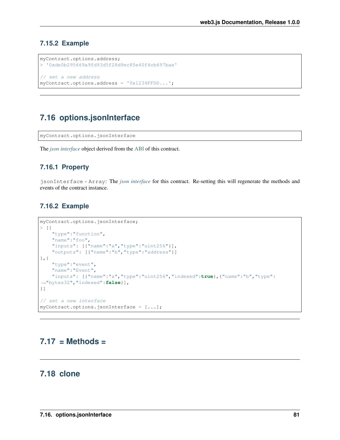### **7.15.2 Example**

```
myContract.options.address;
> '0xde0b295669a9fd93d5f28d9ec85e40f4cb697bae'
// set a new address
myContract.options.address = '0x1234FFDD...';
```
# <span id="page-88-0"></span>**7.16 options.jsonInterface**

myContract.options.jsonInterface

The *[json interface](#page-14-0)* object derived from the [ABI](https://github.com/ethereum/wiki/wiki/Ethereum-Contract-ABI) of this contract.

### **7.16.1 Property**

jsonInterface - Array: The *[json interface](#page-14-0)* for this contract. Re-setting this will regenerate the methods and events of the contract instance.

### **7.16.2 Example**

```
myContract.options.jsonInterface;
> [{
    "type":"function",
    "name":"foo",
    "inputs": [{"name":"a","type":"uint256"}],
    "outputs": [{"name":"b","type":"address"}]
},{
    "type":"event",
    "name":"Event",
    "inputs": [{"name":"a","type":"uint256","indexed":true},{"name":"b","type":
˓→"bytes32","indexed":false}],
}]
// set a new interface
myContract.options.jo on a Internet = <math>[...]</math>
```
# **7.17 = Methods =**

# **7.18 clone**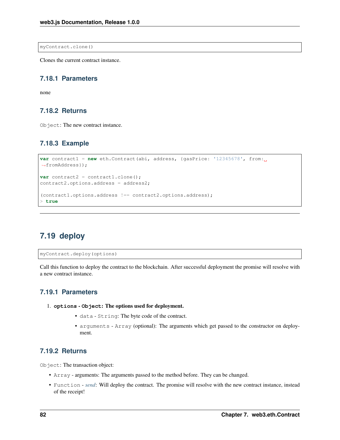myContract.clone()

Clones the current contract instance.

### **7.18.1 Parameters**

none

### **7.18.2 Returns**

Object: The new contract instance.

### **7.18.3 Example**

```
var contract1 = new eth.Contract(abi, address, {gasPrice: '12345678', from:
˓→fromAddress});
var contract2 = contract1.clone();
contract2.options.address = address2;
(contract1.options.address !== contract2.options.address);
> true
```
# <span id="page-89-0"></span>**7.19 deploy**

myContract.deploy(options)

Call this function to deploy the contract to the blockchain. After successful deployment the promise will resolve with a new contract instance.

#### **7.19.1 Parameters**

- 1. **options Object**: The options used for deployment.
	- data String: The byte code of the contract.
	- arguments Array (optional): The arguments which get passed to the constructor on deployment.

#### **7.19.2 Returns**

Object: The transaction object:

- Array arguments: The arguments passed to the method before. They can be changed.
- Function *[send](#page-94-0)*: Will deploy the contract. The promise will resolve with the new contract instance, instead of the receipt!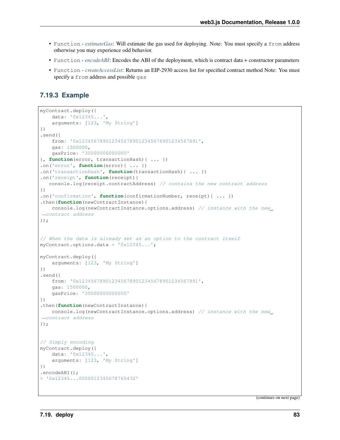- Function *[estimateGas](#page-96-0)*: Will estimate the gas used for deploying. Note: You must specify a from address otherwise you may experience odd behavior.
- Function *[encodeABI](#page-97-0)*: Encodes the ABI of the deployment, which is contract data + constructor parameters
- Function *[createAccessList](#page-98-0)*: Returns an EIP-2930 access list for specified contract method Note: You must specify a from address and possible gas

### **7.19.3 Example**

```
myContract.deploy({
    data: '0x12345...',
    arguments: [123, 'My String']
})
.send({
    from: '0x1234567890123456789012345678901234567891',
    gas: 1500000,
    gasPrice: '30000000000000'
}, function(error, transactionHash){ ... })
.on('error', function(error){ ... })
.on('transactionHash', function(transactionHash){ ... })
.on('receipt', function(receipt){
   console.log(receipt.contractAddress) // contains the new contract address
})
.on('confirmation', function(confirmationNumber, receipt){ ... })
.then(function(newContractInstance){
    console.log(newContractInstance.options.address) // instance with the new
˓→contract address
});
// When the data is already set as an option to the contract itself
myContract.options.data = '0x12345...';
myContract.deploy({
    arguments: [123, 'My String']
})
.send({
    from: '0x1234567890123456789012345678901234567891',
    gas: 1500000,
    gasPrice: '30000000000000'
})
.then(function(newContractInstance){
    console.log(newContractInstance.options.address) // instance with the new
˓→contract address
});
// Simply encoding
myContract.deploy({
    data: '0x12345...',
    arguments: [123, 'My String']
})
.encodeABI();
> '0x12345...0000012345678765432'
```
(continues on next page)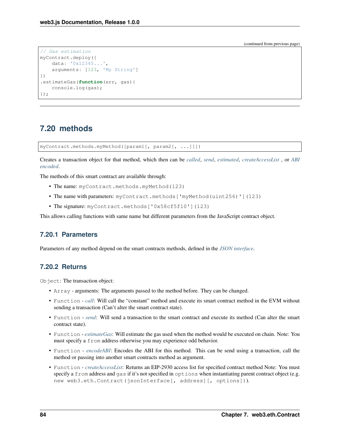(continued from previous page)

```
// Gas estimation
myContract.deploy({
   data: '0x12345...',
    arguments: [123, 'My String']
})
.estimateGas(function(err, gas){
   console.log(gas);
});
```
# **7.20 methods**

myContract.methods.myMethod([param1[, param2[, ...]]])

Creates a transaction object for that method, which then can be *[called](#page-92-0)*, *[send](#page-94-0)*, *[estimated](#page-96-0)*, *[createAccessList](#page-98-0)* , or *[ABI](#page-97-0) [encoded](#page-97-0)*.

The methods of this smart contract are available through:

- The name: myContract.methods.myMethod(123)
- The name with parameters: myContract.methods ['myMethod(uint256)'](123)
- The signature: myContract.methods ['0x58cf5f10'](123)

This allows calling functions with same name but different parameters from the JavaScript contract object.

#### **7.20.1 Parameters**

Parameters of any method depend on the smart contracts methods, defined in the *[JSON interface](#page-14-0)*.

### **7.20.2 Returns**

Object: The transaction object:

- Array arguments: The arguments passed to the method before. They can be changed.
- Function *[call](#page-92-0)*: Will call the "constant" method and execute its smart contract method in the EVM without sending a transaction (Can't alter the smart contract state).
- Function *[send](#page-94-0)*: Will send a transaction to the smart contract and execute its method (Can alter the smart contract state).
- Function *[estimateGas](#page-96-0)*: Will estimate the gas used when the method would be executed on chain. Note: You must specify a from address otherwise you may experience odd behavior.
- Function *[encodeABI](#page-97-0)*: Encodes the ABI for this method. This can be send using a transaction, call the method or passing into another smart contracts method as argument.
- Function *[createAccessList](#page-98-0)*: Returns an EIP-2930 access list for specified contract method Note: You must specify a from address and gas if it's not specified in options when instantiating parent contract object (e.g. new web3.eth.Contract(jsonInterface[, address][, options])).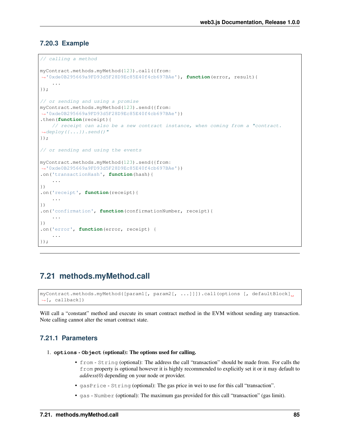### **7.20.3 Example**

```
// calling a method
myContract.methods.myMethod(123).call({from:
˓→'0xde0B295669a9FD93d5F28D9Ec85E40f4cb697BAe'}, function(error, result){
    ...
});
// or sending and using a promise
myContract.methods.myMethod(123).send({from:
˓→'0xde0B295669a9FD93d5F28D9Ec85E40f4cb697BAe'})
.then(function(receipt){
    // receipt can also be a new contract instance, when coming from a "contract.
\rightarrowdeploy({...}).send()"
});
// or sending and using the events
myContract.methods.myMethod(123).send({from:
˓→'0xde0B295669a9FD93d5F28D9Ec85E40f4cb697BAe'})
.on('transactionHash', function(hash){
    ...
})
.on('receipt', function(receipt){
    ...
})
.on('confirmation', function(confirmationNumber, receipt){
    ...
})
.on('error', function(error, receipt) {
    ...
});
```
# <span id="page-92-0"></span>**7.21 methods.myMethod.call**

```
myContract.methods.myMethod([param1[, param2[, ...]]]).call(options [, defaultBlock]
˓→[, callback])
```
Will call a "constant" method and execute its smart contract method in the EVM without sending any transaction. Note calling cannot alter the smart contract state.

### **7.21.1 Parameters**

- 1. **options Object** (optional): The options used for calling.
	- from String (optional): The address the call "transaction" should be made from. For calls the from property is optional however it is highly recommended to explicitly set it or it may default to *address(0)* depending on your node or provider.
	- gasPrice String (optional): The gas price in wei to use for this call "transaction".
	- gas Number (optional): The maximum gas provided for this call "transaction" (gas limit).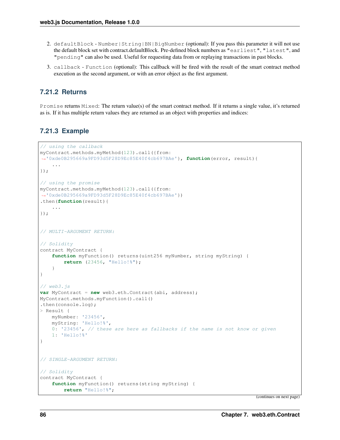- 2. defaultBlock Number | String | BN | BigNumber (optional): If you pass this parameter it will not use the default block set with contract.defaultBlock. Pre-defined block numbers as "earliest", "latest", and "pending" can also be used. Useful for requesting data from or replaying transactions in past blocks.
- 3. callback Function (optional): This callback will be fired with the result of the smart contract method execution as the second argument, or with an error object as the first argument.

### **7.21.2 Returns**

Promise returns Mixed: The return value(s) of the smart contract method. If it returns a single value, it's returned as is. If it has multiple return values they are returned as an object with properties and indices:

#### **7.21.3 Example**

```
// using the callback
myContract.methods.myMethod(123).call({from:
˓→'0xde0B295669a9FD93d5F28D9Ec85E40f4cb697BAe'}, function(error, result){
    ...
});
// using the promise
myContract.methods.myMethod(123).call({from:
˓→'0xde0B295669a9FD93d5F28D9Ec85E40f4cb697BAe'})
.then(function(result){
    ...
});
// MULTI-ARGUMENT RETURN:
// Solidity
contract MyContract {
    function myFunction() returns(uint256 myNumber, string myString) {
        return (23456, "Hello!%");
    }
}
// web3.js
var MyContract = new web3.eth.Contract(abi, address);
MyContract.methods.myFunction().call()
.then(console.log);
> Result {
   myNumber: '23456',
   myString: 'Hello!%',
   0: '23456', // these are here as fallbacks if the name is not know or given
    1: 'Hello!%'
}
// SINGLE-ARGUMENT RETURN:
// Solidity
contract MyContract {
    function myFunction() returns(string myString) {
        return "Hello!%";
```
(continues on next page)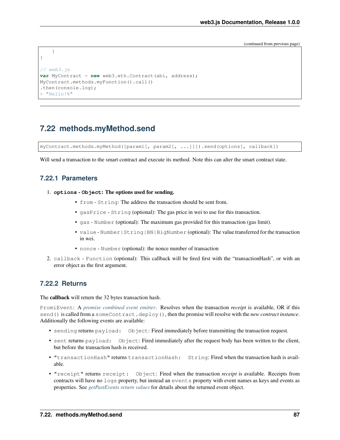(continued from previous page)

```
}
// web3.js
var MyContract = new web3.eth.Contract(abi, address);
MyContract.methods.myFunction().call()
.then(console.log);
  "Hello!%"
```
# <span id="page-94-0"></span>**7.22 methods.myMethod.send**

myContract.methods.myMethod([param1[, param2[, ...]]]).send(options[, callback])

Will send a transaction to the smart contract and execute its method. Note this can alter the smart contract state.

### **7.22.1 Parameters**

}

- 1. **options Object**: The options used for sending.
	- from String: The address the transaction should be sent from.
	- gasPrice String (optional): The gas price in wei to use for this transaction.
	- gas Number (optional): The maximum gas provided for this transaction (gas limit).
	- value Number|String|BN|BigNumber (optional): The value transferred for the transaction in wei.
	- nonce Number (optional): the nonce number of transaction
- 2. callback Function (optional): This callback will be fired first with the "transactionHash", or with an error object as the first argument.

#### **7.22.2 Returns**

The callback will return the 32 bytes transaction hash.

PromiEvent: A *[promise combined event emitter](#page-12-0)*. Resolves when the transaction *receipt* is available, OR if this send() is called from a someContract.deploy(), then the promise will resolve with the *new contract instance*. Additionally the following events are available:

- sending returns payload: Object: Fired immediately before transmitting the transaction request.
- sent returns payload: Object: Fired immediately after the request body has been written to the client, but before the transaction hash is received.
- "transactionHash" returns transactionHash: String: Fired when the transaction hash is available.
- "receipt" returns receipt: Object: Fired when the transaction *receipt* is available. Receipts from contracts will have no logs property, but instead an events property with event names as keys and events as properties. See *[getPastEvents return values](#page-100-0)* for details about the returned event object.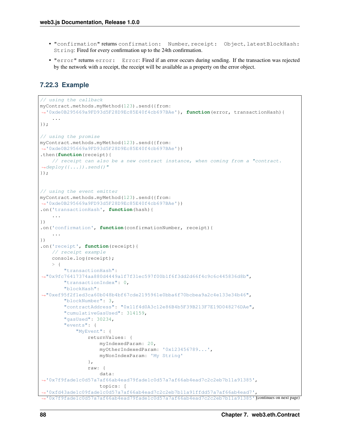- "confirmation" returns confirmation: Number, receipt: Object, latestBlockHash: String: Fired for every confirmation up to the 24th confirmation.
- "error" returns error: Error: Fired if an error occurs during sending. If the transaction was rejected by the network with a receipt, the receipt will be available as a property on the error object.

### **7.22.3 Example**

```
// using the callback
myContract.methods.myMethod(123).send({from:
˓→'0xde0B295669a9FD93d5F28D9Ec85E40f4cb697BAe'}, function(error, transactionHash){
    ...
});
// using the promise
myContract.methods.myMethod(123).send({from:
˓→'0xde0B295669a9FD93d5F28D9Ec85E40f4cb697BAe'})
.then(function(receipt){
    // receipt can also be a new contract instance, when coming from a "contract.
\rightarrowdeploy({...}).send()"
});
// using the event emitter
myContract.methods.myMethod(123).send({from:
˓→'0xde0B295669a9FD93d5F28D9Ec85E40f4cb697BAe'})
.on('transactionHash', function(hash){
    ...
})
.on('confirmation', function(confirmationNumber, receipt){
    ...
})
.on('receipt', function(receipt){
    // receipt example
    console.log(receipt);
    > 1"transactionHash":
˓→"0x9fc76417374aa880d4449a1f7f31ec597f00b1f6f3dd2d66f4c9c6c445836d8b",
        "transactionIndex": 0,
        "blockHash":
˓→"0xef95f2f1ed3ca60b048b4bf67cde2195961e0bba6f70bcbea9a2c4e133e34b46",
        "blockNumber": 3,
        "contractAddress": "0x11f4d0A3c12e86B4b5F39B213F7E19D048276DAe",
        "cumulativeGasUsed": 314159,
        "gasUsed": 30234,
        "events": {
            "MyEvent": {
                returnValues: {
                    myIndexedParam: 20,
                    myOtherIndexedParam: '0x123456789...',
                    myNonIndexParam: 'My String'
                },
                raw: {
                    data:
˓→'0x7f9fade1c0d57a7af66ab4ead79fade1c0d57a7af66ab4ead7c2c2eb7b11a91385',
                    topics: [
˓→'0xfd43ade1c09fade1c0d57a7af66ab4ead7c2c2eb7b11a91ffdd57a7af66ab4ead7',
 →'0x7f9fade1c0d57a7af66ab4ead79fade1c0d57a7af66ab4ead7c2c2eb7b11a91385'[continues on next page)
```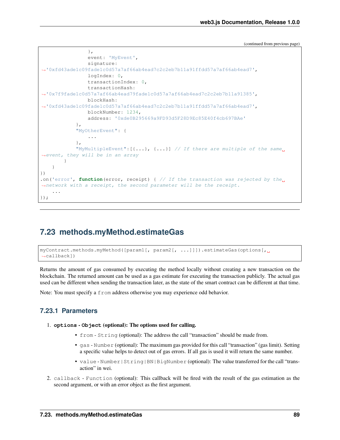(continued from previous page)

```
},
                event: 'MyEvent',
                signature:
˓→'0xfd43ade1c09fade1c0d57a7af66ab4ead7c2c2eb7b11a91ffdd57a7af66ab4ead7',
                logIndex: 0,
                transactionIndex: 0,
                transactionHash:
˓→'0x7f9fade1c0d57a7af66ab4ead79fade1c0d57a7af66ab4ead7c2c2eb7b11a91385',
                blockHash:
˓→'0xfd43ade1c09fade1c0d57a7af66ab4ead7c2c2eb7b11a91ffdd57a7af66ab4ead7',
                blockNumber: 1234,
                address: '0xde0B295669a9FD93d5F28D9Ec85E40f4cb697BAe'
            },
            "MyOtherEvent": {
                ...
            },
            "MyMultipleEvent":[{...}, {...}] \text{...} / If there are multiple of the same
˓→event, they will be in an array
        }
    }
})
.on('error', function(error, receipt) { // If the transaction was rejected by the
˓→network with a receipt, the second parameter will be the receipt.
    ...
});
```
### <span id="page-96-0"></span>**7.23 methods.myMethod.estimateGas**

```
myContract.methods.myMethod([param1[, param2[, ...]]]).estimateGas(options[,
˓→callback])
```
Returns the amount of gas consumed by executing the method locally without creating a new transaction on the blockchain. The returned amount can be used as a gas estimate for executing the transaction publicly. The actual gas used can be different when sending the transaction later, as the state of the smart contract can be different at that time.

Note: You must specify a from address otherwise you may experience odd behavior.

### **7.23.1 Parameters**

```
1. options - Object (optional): The options used for calling.
```
- from String (optional): The address the call "transaction" should be made from.
- gas Number (optional): The maximum gas provided for this call "transaction" (gas limit). Setting a specific value helps to detect out of gas errors. If all gas is used it will return the same number.
- value Number | String | BN | BigNumber (optional): The value transferred for the call "transaction" in wei.
- 2. callback Function (optional): This callback will be fired with the result of the gas estimation as the second argument, or with an error object as the first argument.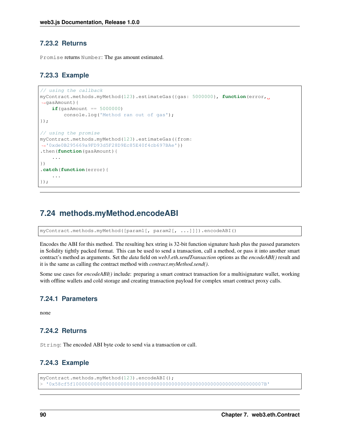### **7.23.2 Returns**

Promise returns Number: The gas amount estimated.

#### **7.23.3 Example**

```
// using the callback
myContract.methods.myMethod(123).estimateGas({gas: 5000000}, function(error,
˓→gasAmount){
    if(gasAmount == 5000000)
        console.log('Method ran out of gas');
});
// using the promise
myContract.methods.myMethod(123).estimateGas({from:
˓→'0xde0B295669a9FD93d5F28D9Ec85E40f4cb697BAe'})
.then(function(gasAmount){
    ...
})
.catch(function(error){
    ...
});
```
### <span id="page-97-0"></span>**7.24 methods.myMethod.encodeABI**

myContract.methods.myMethod([param1[, param2[, ...]]]).encodeABI()

Encodes the ABI for this method. The resulting hex string is 32-bit function signature hash plus the passed parameters in Solidity tightly packed format. This can be used to send a transaction, call a method, or pass it into another smart contract's method as arguments. Set the *data* field on *web3.eth.sendTransaction* options as the *encodeABI()* result and it is the same as calling the contract method with *contract.myMethod.send()*.

Some use cases for *encodeABI()* include: preparing a smart contract transaction for a multisignature wallet, working with offline wallets and cold storage and creating transaction payload for complex smart contract proxy calls.

### **7.24.1 Parameters**

none

### **7.24.2 Returns**

String: The encoded ABI byte code to send via a transaction or call.

#### **7.24.3 Example**

```
myContract.methods.myMethod(123).encodeABI();
  > '0x58cf5f1000000000000000000000000000000000000000000000000000000000000007B'
```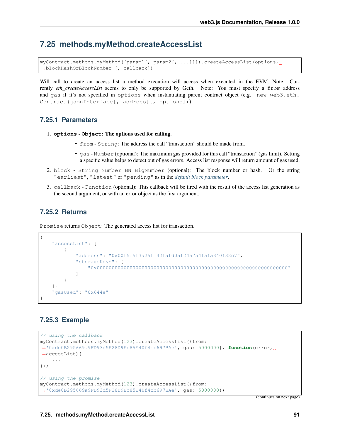### <span id="page-98-0"></span>**7.25 methods.myMethod.createAccessList**

```
myContract.methods.myMethod([param1[, param2[, ...]]]).createAccessList(options,
˓→blockHashOrBlockNumber [, callback])
```
Will call to create an access list a method execution will access when executed in the EVM. Note: Currently *eth\_createAccessList* seems to only be supported by Geth. Note: You must specify a from address and gas if it's not specified in options when instantiating parent contract object (e.g. new web3.eth. Contract(jsonInterface[, address][, options])).

### **7.25.1 Parameters**

- 1. **options Object**: The options used for calling.
	- from String: The address the call "transaction" should be made from.
	- gas Number (optional): The maximum gas provided for this call "transaction" (gas limit). Setting a specific value helps to detect out of gas errors. Access list response will return amount of gas used.
- 2. block String|Number|BN|BigNumber (optional): The block number or hash. Or the string "earliest", "latest" or "pending" as in the *[default block parameter](#page-36-0)*.
- 3. callback Function (optional): This callback will be fired with the result of the access list generation as the second argument, or with an error object as the first argument.

### **7.25.2 Returns**

Promise returns Object: The generated access list for transaction.

```
{
    "accessList": [
        {
            "address": "0x00f5f5f3a25f142fafd0af24a754fafa340f32c7",
            "storageKeys": [
                "0x0000000000000000000000000000000000000000000000000000000000000000"
            ]
        }
   ],
    "gasUsed": "0x644e"
}
```
### **7.25.3 Example**

```
// using the callback
myContract.methods.myMethod(123).createAccessList({from:
˓→'0xde0B295669a9FD93d5F28D9Ec85E40f4cb697BAe', gas: 5000000}, function(error,
˓→accessList){
    ...
});
// using the promise
myContract.methods.myMethod(123).createAccessList({from:
˓→'0xde0B295669a9FD93d5F28D9Ec85E40f4cb697BAe', gas: 5000000})
```
(continues on next page)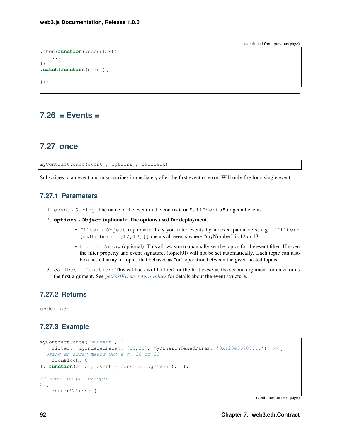(continued from previous page)

```
.then(function(accessList){
    ...
})
.catch(function(error){
    ...
});
```
### **7.26 = Events =**

### **7.27 once**

myContract.once(event[, options], callback)

Subscribes to an event and unsubscribes immediately after the first event or error. Will only fire for a single event.

### **7.27.1 Parameters**

- 1. event String: The name of the event in the contract, or "allEvents" to get all events.
- 2. **options Object** (optional): The options used for deployment.
	- filter Object (optional): Lets you filter events by indexed parameters, e.g. {filter: {myNumber: [12,13]}} means all events where "myNumber" is 12 or 13.
	- topics Array (optional): This allows you to manually set the topics for the event filter. If given the filter property and event signature, (topic[0]) will not be set automatically. Each topic can also be a nested array of topics that behaves as "or" operation between the given nested topics.
- 3. callback Function: This callback will be fired for the first *event* as the second argument, or an error as the first argument. See *[getPastEvents return values](#page-100-0)* for details about the event structure.

### **7.27.2 Returns**

undefined

### **7.27.3 Example**

```
myContract.once('MyEvent', {
   filter: {myIndexedParam: [20,23], myOtherIndexedParam: '0x123456789...'}, //
˓→Using an array means OR: e.g. 20 or 23
    fromBlock: 0
}, function(error, event){ console.log(event); });
// event output example
> {
    returnValues: {
```
(continues on next page)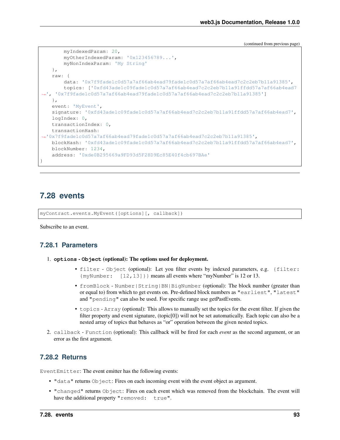(continued from previous page)

```
myIndexedParam: 20,
       myOtherIndexedParam: '0x123456789...',
       myNonIndexParam: 'My String'
    },
   raw: {
        data: '0x7f9fade1c0d57a7af66ab4ead79fade1c0d57a7af66ab4ead7c2c2eb7b11a91385',
        topics: ['0xfd43ade1c09fade1c0d57a7af66ab4ead7c2c2eb7b11a91ffdd57a7af66ab4ead7
˓→', '0x7f9fade1c0d57a7af66ab4ead79fade1c0d57a7af66ab4ead7c2c2eb7b11a91385']
   },
   event: 'MyEvent',
   signature: '0xfd43ade1c09fade1c0d57a7af66ab4ead7c2c2eb7b11a91ffdd57a7af66ab4ead7',
   logIndex: 0,
   transactionIndex: 0,
   transactionHash:
˓→'0x7f9fade1c0d57a7af66ab4ead79fade1c0d57a7af66ab4ead7c2c2eb7b11a91385',
   blockHash: '0xfd43ade1c09fade1c0d57a7af66ab4ead7c2c2eb7b11a91ffdd57a7af66ab4ead7',
   blockNumber: 1234,
   address: '0xde0B295669a9FD93d5F28D9Ec85E40f4cb697BAe'
}
```
### <span id="page-100-1"></span>**7.28 events**

```
myContract.events.MyEvent([options][, callback])
```
Subscribe to an event.

### **7.28.1 Parameters**

- 1. **options Object** (optional): The options used for deployment.
	- filter Object (optional): Let you filter events by indexed parameters, e.g. {filter:  ${m}\$ Number:  $[12,13]$ } means all events where "myNumber" is 12 or 13.
	- fromBlock Number|String|BN|BigNumber (optional): The block number (greater than or equal to) from which to get events on. Pre-defined block numbers as "earliest", "latest" and "pending" can also be used. For specific range use getPastEvents.
	- topics Array (optional): This allows to manually set the topics for the event filter. If given the filter property and event signature, (topic[0]) will not be set automatically. Each topic can also be a nested array of topics that behaves as "or" operation between the given nested topics.
- 2. callback Function (optional): This callback will be fired for each *event* as the second argument, or an error as the first argument.

### <span id="page-100-0"></span>**7.28.2 Returns**

EventEmitter: The event emitter has the following events:

- "data" returns Object: Fires on each incoming event with the event object as argument.
- "changed" returns Object: Fires on each event which was removed from the blockchain. The event will have the additional property "removed: true".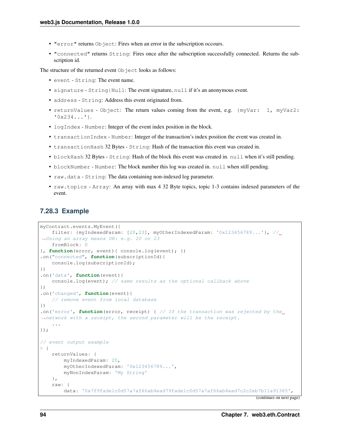- "error" returns Object: Fires when an error in the subscription occours.
- "connected" returns String: Fires once after the subscription successfully connected. Returns the subscription id.

The structure of the returned event Object looks as follows:

- event String: The event name.
- signature String|Null: The event signature, null if it's an anonymous event.
- address String: Address this event originated from.
- returnValues Object: The return values coming from the event, e.g. {myVar: 1, myVar2: '0x234...'}.
- logIndex Number: Integer of the event index position in the block.
- transactionIndex Number: Integer of the transaction's index position the event was created in.
- transactionHash 32 Bytes String: Hash of the transaction this event was created in.
- blockHash 32 Bytes String: Hash of the block this event was created in. null when it's still pending.
- blockNumber Number: The block number this log was created in. null when still pending.
- raw.data String: The data containing non-indexed log parameter.
- raw.topics Array: An array with max 4 32 Byte topics, topic 1-3 contains indexed parameters of the event.

#### **7.28.3 Example**

```
myContract.events.MyEvent({
    filter: \{myIndexedParam: [20, 23], myOtherIndexedParam: '0x123456789...'}, //
˓→Using an array means OR: e.g. 20 or 23
   fromBlock: 0
}, function(error, event){ console.log(event); })
.on("connected", function(subscriptionId){
    console.log(subscriptionId);
})
.on('data', function(event){
    console.log(event); // same results as the optional callback above
})
.on('changed', function(event){
    // remove event from local database
})
.on('error', function(error, receipt) { // If the transaction was rejected by the<sub>d</sub>
˓→network with a receipt, the second parameter will be the receipt.
    ...
});
// event output example
> {
    returnValues: {
        myIndexedParam: 20,
        myOtherIndexedParam: '0x123456789...',
       myNonIndexParam: 'My String'
    },
    raw: {
        data: '0x7f9fade1c0d57a7af66ab4ead79fade1c0d57a7af66ab4ead7c2c2eb7b11a91385',
```
(continues on next page)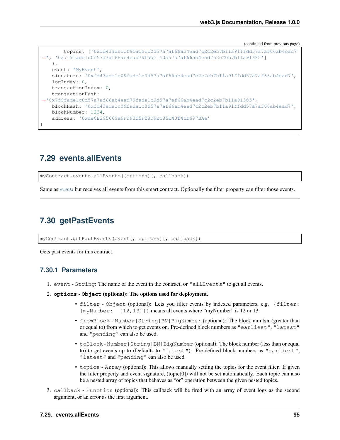(continued from previous page)

```
topics: ['0xfd43ade1c09fade1c0d57a7af66ab4ead7c2c2eb7b11a91ffdd57a7af66ab4ead7
˓→', '0x7f9fade1c0d57a7af66ab4ead79fade1c0d57a7af66ab4ead7c2c2eb7b11a91385']
   },
   event: 'MyEvent',
   signature: '0xfd43ade1c09fade1c0d57a7af66ab4ead7c2c2eb7b11a91ffdd57a7af66ab4ead7',
   logIndex: 0,
   transactionIndex: 0,
   transactionHash:
˓→'0x7f9fade1c0d57a7af66ab4ead79fade1c0d57a7af66ab4ead7c2c2eb7b11a91385',
   blockHash: '0xfd43ade1c09fade1c0d57a7af66ab4ead7c2c2eb7b11a91ffdd57a7af66ab4ead7',
   blockNumber: 1234,
   address: '0xde0B295669a9FD93d5F28D9Ec85E40f4cb697BAe'
}
```
# **7.29 events.allEvents**

myContract.events.allEvents([options][, callback])

Same as *[events](#page-100-1)* but receives all events from this smart contract. Optionally the filter property can filter those events.

# **7.30 getPastEvents**

myContract.getPastEvents(event[, options][, callback])

Gets past events for this contract.

#### **7.30.1 Parameters**

- 1. event String: The name of the event in the contract, or "allEvents" to get all events.
- 2. **options Object** (optional): The options used for deployment.
	- filter Object (optional): Lets you filter events by indexed parameters, e.g. {filter: {myNumber: [12,13]}} means all events where "myNumber" is 12 or 13.
	- fromBlock Number|String|BN|BigNumber (optional): The block number (greater than or equal to) from which to get events on. Pre-defined block numbers as "earliest", "latest" and "pending" can also be used.
	- toBlock Number | String | BN | BigNumber (optional): The block number (less than or equal to) to get events up to (Defaults to "latest"). Pre-defined block numbers as "earliest", "latest" and "pending" can also be used.
	- topics Array (optional): This allows manually setting the topics for the event filter. If given the filter property and event signature, (topic[0]) will not be set automatically. Each topic can also be a nested array of topics that behaves as "or" operation between the given nested topics.
- 3. callback Function (optional): This callback will be fired with an array of event logs as the second argument, or an error as the first argument.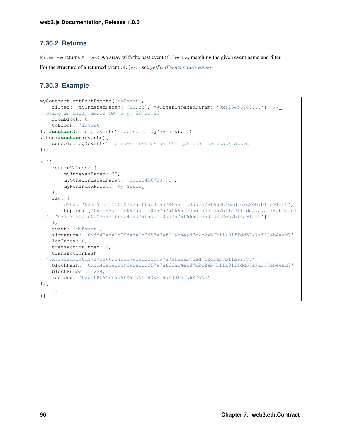### **7.30.2 Returns**

Promise returns Array: An array with the past event Objects, matching the given event name and filter. For the structure of a returned event Object see *[getPastEvents return values](#page-100-0)*.

### **7.30.3 Example**

```
myContract.getPastEvents('MyEvent', {
   filter: {myIndexedParam: [20,23], myOtherIndexedParam: '0x123456789...'}, //
˓→Using an array means OR: e.g. 20 or 23
   fromBlock: 0,
    toBlock: 'latest'
}, function(error, events){ console.log(events); })
.then(function(events){
    console.log(events) // same results as the optional callback above
});
> [{
    returnValues: {
       myIndexedParam: 20,
       myOtherIndexedParam: '0x123456789...',
       myNonIndexParam: 'My String'
   },
   raw: {
        data: '0x7f9fade1c0d57a7af66ab4ead79fade1c0d57a7af66ab4ead7c2c2eb7b11a91385',
        topics: ['0xfd43ade1c09fade1c0d57a7af66ab4ead7c2c2eb7b11a91ffdd57a7af66ab4ead7
˓→', '0x7f9fade1c0d57a7af66ab4ead79fade1c0d57a7af66ab4ead7c2c2eb7b11a91385']
   },
   event: 'MyEvent',
   signature: '0xfd43ade1c09fade1c0d57a7af66ab4ead7c2c2eb7b11a91ffdd57a7af66ab4ead7',
   logIndex: 0,
   transactionIndex: 0,
   transactionHash:
˓→'0x7f9fade1c0d57a7af66ab4ead79fade1c0d57a7af66ab4ead7c2c2eb7b11a91385',
   blockHash: '0xfd43ade1c09fade1c0d57a7af66ab4ead7c2c2eb7b11a91ffdd57a7af66ab4ead7',
   blockNumber: 1234,
    address: '0xde0B295669a9FD93d5F28D9Ec85E40f4cb697BAe'
},{
    ...
}]
```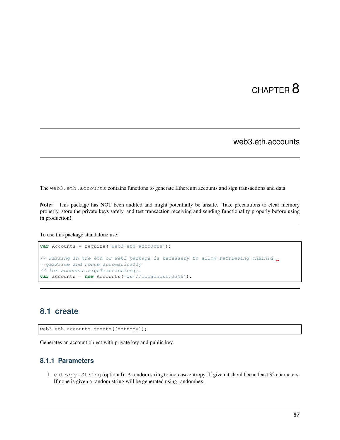# CHAPTER  $8$

web3.eth.accounts

The web3.eth.accounts contains functions to generate Ethereum accounts and sign transactions and data.

Note: This package has NOT been audited and might potentially be unsafe. Take precautions to clear memory properly, store the private keys safely, and test transaction receiving and sending functionality properly before using in production!

To use this package standalone use:

```
var Accounts = require('web3-eth-accounts');
// Passing in the eth or web3 package is necessary to allow retrieving chainId,
˓→gasPrice and nonce automatically
// for accounts.signTransaction().
var accounts = new Accounts('ws://localhost:8546');
```
# **8.1 create**

web3.eth.accounts.create([entropy]);

Generates an account object with private key and public key.

### **8.1.1 Parameters**

1. entropy - String (optional): A random string to increase entropy. If given it should be at least 32 characters. If none is given a random string will be generated using randomhex.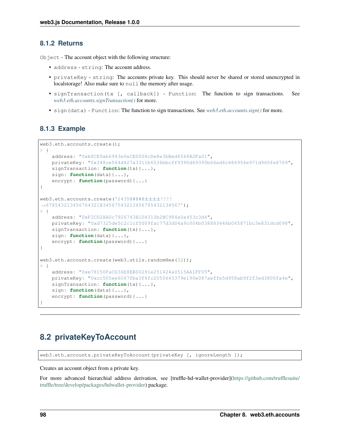### <span id="page-105-0"></span>**8.1.2 Returns**

Object - The account object with the following structure:

- address string: The account address.
- privateKey string: The accounts private key. This should never be shared or stored unencrypted in localstorage! Also make sure to null the memory after usage.
- signTransaction(tx [, callback]) Function: The function to sign transactions. See *[web3.eth.accounts.signTransaction\(\)](#page-106-0)* for more.
- sign(data) Function: The function to sign transactions. See *[web3.eth.accounts.sign\(\)](#page-109-0)* for more.

### **8.1.3 Example**

```
web3.eth.accounts.create();
> {
   address: "0xb8CE9ab6943e0eCED004cDe8e3bBed6568B2Fa01",
   privateKey: "0x348ce564d427a3311b6536bbcff9390d69395b06ed6c486954e971d960fe8709",
   signTransaction: function(tx){...},
   sign: function(data){...},
   encrypt: function(password){...}
}
web3.eth.accounts.create('2435@#@#@±±±±!!!!
˓→678543213456764321§34567543213456785432134567');
> {
   address: "0xF2CD2AA0c7926743B1D4310b2BC984a0a453c3d4",
   privateKey: "0xd7325de5c2c1cf0009fac77d3d04a9c004b038883446b065871bc3e831dcd098",
   signTransaction: function(tx){...},
   sign: function(data){...},
   encrypt: function(password){...}
}
web3.eth.accounts.create(web3.utils.randomHex(32));
> {
   address: "0xe78150FaCD36E8EB00291e251424a0515AA1FF05",
   privateKey: "0xcc505ee6067fba3f6fc2050643379e190e087aeffe5d958ab9f2f3ed3800fa4e",
    signTransaction: function(tx){...},
    sign: function(data){...},
    encrypt: function(password){...}
}
```
# **8.2 privateKeyToAccount**

web3.eth.accounts.privateKeyToAccount(privateKey [, ignoreLength ]);

Creates an account object from a private key.

For more advanced hierarchial address derivation, see [truffle-hd-wallet-provider][\(https://github.com/trufflesuite/](https://github.com/trufflesuite/truffle/tree/develop/packages/hdwallet-provider) [truffle/tree/develop/packages/hdwallet-provider\)](https://github.com/trufflesuite/truffle/tree/develop/packages/hdwallet-provider) package.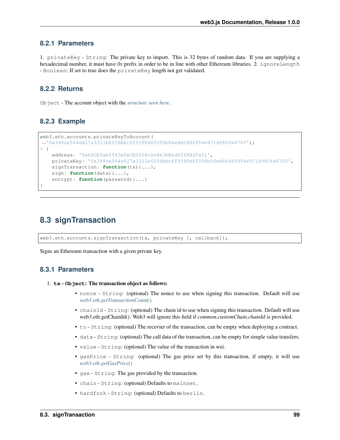### **8.2.1 Parameters**

1. privateKey - String: The private key to import. This is 32 bytes of random data. If you are supplying a hexadecimal number, it must have  $0x$  prefix in order to be in line with other Ethereum libraries. 2. ignoreLength - Boolean: If set to true does the privateKey length not get validated.

### **8.2.2 Returns**

Object - The account object with the *[structure seen here](#page-105-0)*.

#### **8.2.3 Example**

```
web3.eth.accounts.privateKeyToAccount(
˓→'0x348ce564d427a3311b6536bbcff9390d69395b06ed6c486954e971d960fe8709');
> {
    address: '0xb8CE9ab6943e0eCED004cDe8e3bBed6568B2Fa01',
    privateKey: '0x348ce564d427a3311b6536bbcff9390d69395b06ed6c486954e971d960fe8709',
    signTransaction: function(tx){...},
    sign: function(data){...},
    encrypt: function(password){...}
}
```
### <span id="page-106-0"></span>**8.3 signTransaction**

web3.eth.accounts.signTransaction(tx, privateKey [, callback]);

Signs an Ethereum transaction with a given private key.

### **8.3.1 Parameters**

- 1. **tx Object**: The transaction object as follows:
	- nonce String: (optional) The nonce to use when signing this transaction. Default will use *[web3.eth.getTransactionCount\(\)](#page-56-0)*.
	- chainId String: (optional) The chain id to use when signing this transaction. Default will use web3.eth.getChainId(). Web3 will ignore this field if *common.customChain.chainId* is provided.
	- to String: (optional) The recevier of the transaction, can be empty when deploying a contract.
	- data String: (optional) The call data of the transaction, can be empty for simple value transfers.
	- value String: (optional) The value of the transaction in wei.
	- gasPrice String: (optional) The gas price set by this transaction, if empty, it will use *[web3.eth.getGasPrice\(\)](#page-45-0)*
	- gas String: The gas provided by the transaction.
	- chain String: (optional) Defaults to mainnet.
	- hardfork String: (optional) Defaults to berlin.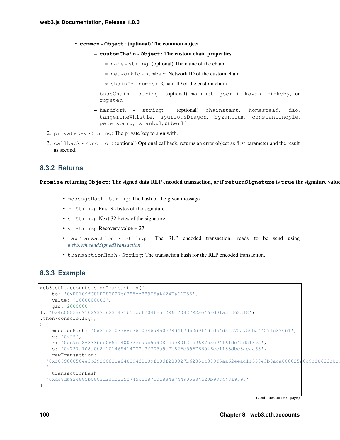- **common Object**: (optional) The common object
	- **customChain Object**: The custom chain properties
		- \* name string: (optional) The name of the chain
		- \* networkId number: Network ID of the custom chain
		- \* chainId number: Chain ID of the custom chain
	- baseChain string: (optional) mainnet, goerli, kovan, rinkeby, or ropsten
	- hardfork string: (optional) chainstart, homestead, dao, tangerineWhistle, spuriousDragon, byzantium, constantinople, petersburg, istanbul, or berlin
- 2. privateKey String: The private key to sign with.
- 3. callback Function: (optional) Optional callback, returns an error object as first parameter and the result as second.

### **8.3.2 Returns**

**Promise** returning **Object**: The signed data RLP encoded transaction, or if **returnSignature** is **true** the signature values as follows:

- messageHash String: The hash of the given message.
- r String: First 32 bytes of the signature
- s String: Next 32 bytes of the signature
- v String: Recovery value + 27
- rawTransaction String: The RLP encoded transaction, ready to be send using *[web3.eth.sendSignedTransaction](#page-59-0)*.
- transactionHash String: The transaction hash for the RLP encoded transaction.

#### **8.3.3 Example**

```
web3.eth.accounts.signTransaction({
    to: '0xF0109fC8DF283027b6285cc889F5aA624EaC1F55',
    value: '1000000000',
    gas: 2000000
}, '0x4c0883a69102937d6231471b5dbb6204fe5129617082792ae468d01a3f362318')
.then(console.log);
> {
    messageHash: '0x31c2f03766b36f0346a850e78d4f7db2d9f4d7d54d5f272a750ba44271e370b1',
    v: '0x25',
    r: '0xc9cf86333bcb065d140032ecaab5d9281bde80f21b9687b3e94161de42d51895',
    s: '0x727a108a0b8d101465414033c3f705a9c7b826e596766046ee1183dbc8aeaa68',
    rawTransaction:
˓→'0xf869808504e3b29200831e848094f0109fc8df283027b6285cc889f5aa624eac1f55843b9aca008025a0c9cf86333bcb065d140032ecaab5d9281bde80f21b9687b3e94161de42d51895a0727a108a0b8d101465414033c3f705a9c7b826e596766046ee1183dbc8aeaa68
˓→'
    transactionHash:
˓→'0xde8db924885b0803d2edc335f745b2b8750c8848744905684c20b987443a9593'
}
```
(continues on next page)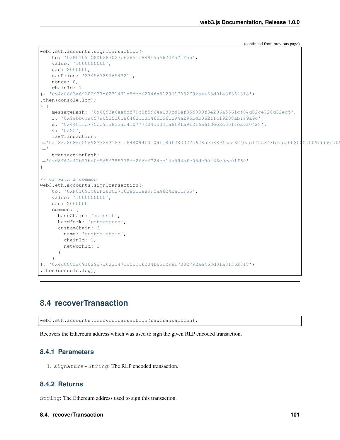(continued from previous page)

```
web3.eth.accounts.signTransaction({
   to: '0xF0109fC8DF283027b6285cc889F5aA624EaC1F55',
    value: '1000000000',
    gas: 2000000,
    gasPrice: '234567897654321',
    nonce: 0,
    chainId: 1
}, '0x4c0883a69102937d6231471b5dbb6204fe5129617082792ae468d01a3f362318')
.then(console.log);
> {
    messageHash: '0x6893a6ee8df79b0f5d64a180cd1ef35d030f3e296a5361cf04d02ce720d32ec5',
    r: '0x9ebb6ca057a0535d6186462bc0b465b561c94a295bdb0621fc19208ab149a9c',
    s: '0x440ffd775ce91a833ab410777204d5341a6f9fa91216a6f3ee2c051fea6a0428',
    v: '0x25',
    rawTransaction:
˓→'0xf86a8086d55698372431831e848094f0109fc8df283027b6285cc889f5aa624eac1f55843b9aca008025a009ebb6ca057a0535d6186462bc0b465b561c94a295bdb0621fc19208ab149a9ca0440ffd775ce91a833ab410777204d5341a6f9fa91216a6f3ee2c051fea6a0428
˓→'
    transactionHash:
˓→'0xd8f64a42b57be0d565f385378db2f6bf324ce14a594afc05de90436e9ce01f60'
}
// or with a common
web3.eth.accounts.signTransaction({
   to: '0xF0109fC8DF283027b6285cc889F5aA624EaC1F55',
   value: '1000000000',
   gas: 2000000
    common: {
      baseChain: 'mainnet',
      hardfork: 'petersburg',
      customChain: {
        name: 'custom-chain',
         chainId: 1,
        networkId: 1
      }
    }
}, '0x4c0883a69102937d6231471b5dbb6204fe5129617082792ae468d01a3f362318')
.then(console.log);
```
# **8.4 recoverTransaction**

web3.eth.accounts.recoverTransaction(rawTransaction);

Recovers the Ethereum address which was used to sign the given RLP encoded transaction.

#### **8.4.1 Parameters**

1. signature - String: The RLP encoded transaction.

#### **8.4.2 Returns**

String: The Ethereum address used to sign this transaction.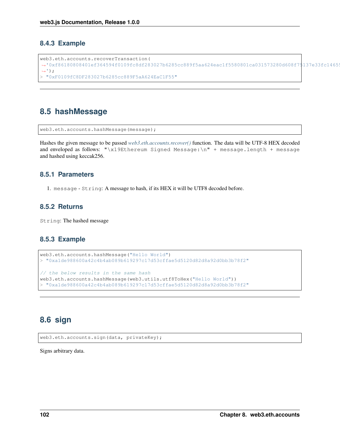### **8.4.3 Example**

```
web3.eth.accounts.recoverTransaction(
\rightarrow'0xf86180808401ef364594f0109fc8df283027b6285cc889f5aa624eac1f5580801ca031573280d608f7$137e33fc1465
\leftrightarrow');
> "0xF0109fC8DF283027b6285cc889F5aA624EaC1F55"
```
# **8.5 hashMessage**

```
web3.eth.accounts.hashMessage(message);
```
Hashes the given message to be passed *[web3.eth.accounts.recover\(\)](#page-110-0)* function. The data will be UTF-8 HEX decoded and enveloped as follows: "\x19Ethereum Signed Message:\n" + message.length + message and hashed using keccak256.

### **8.5.1 Parameters**

1. message - String: A message to hash, if its HEX it will be UTF8 decoded before.

### **8.5.2 Returns**

String: The hashed message

### **8.5.3 Example**

```
web3.eth.accounts.hashMessage("Hello World")
> "0xa1de988600a42c4b4ab089b619297c17d53cffae5d5120d82d8a92d0bb3b78f2"
// the below results in the same hash
web3.eth.accounts.hashMessage(web3.utils.utf8ToHex("Hello World"))
> "0xa1de988600a42c4b4ab089b619297c17d53cffae5d5120d82d8a92d0bb3b78f2"
```
# **8.6 sign**

web3.eth.accounts.sign(data, privateKey);

Signs arbitrary data.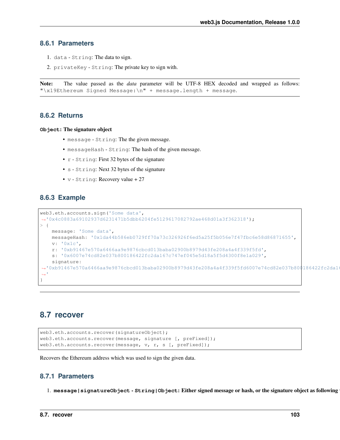#### **8.6.1 Parameters**

- 1. data String: The data to sign.
- 2. privateKey String: The private key to sign with.

Note: The value passed as the *data* parameter will be UTF-8 HEX decoded and wrapped as follows: "\x19Ethereum Signed Message:\n" + message.length + message.

#### **8.6.2 Returns**

**Object**: The signature object

- message String: The the given message.
- messageHash String: The hash of the given message.
- r String: First 32 bytes of the signature
- s String: Next 32 bytes of the signature
- v String: Recovery value + 27

#### **8.6.3 Example**

```
web3.eth.accounts.sign('Some data',
˓→'0x4c0883a69102937d6231471b5dbb6204fe5129617082792ae468d01a3f362318');
> {
    message: 'Some data',
    messageHash: '0x1da44b586eb0729ff70a73c326926f6ed5a25f5b056e7f47fbc6e58d86871655',
    v: '0x1c',
    r: '0xb91467e570a6466aa9e9876cbcd013baba02900b8979d43fe208a4a4f339f5fd',
    s: '0x6007e74cd82e037b800186422fc2da167c747ef045e5d18a5f5d4300f8e1a029',
    signature:
˓→'0xb91467e570a6466aa9e9876cbcd013baba02900b8979d43fe208a4a4f339f5fd6007e74cd82e037b800186422fc2da167c747ef045e5d18a5f5d4300f8e1a0291c
˓→'
}
```
### <span id="page-110-0"></span>**8.7 recover**

```
web3.eth.accounts.recover(signatureObject);
web3.eth.accounts.recover(message, signature [, preFixed]);
web3.eth.accounts.recover(message, v, r, s [, preFixed]);
```
Recovers the Ethereum address which was used to sign the given data.

### **8.7.1 Parameters**

1. message | signatureObject - String | Object: Either signed message or hash, or the signature object as following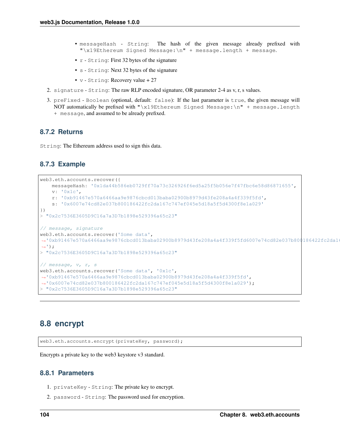- messageHash String: The hash of the given message already prefixed with "\x19Ethereum Signed Message:\n" + message.length + message.
- r String: First 32 bytes of the signature
- s String: Next 32 bytes of the signature
- v String: Recovery value + 27
- 2. signature String: The raw RLP encoded signature, OR parameter 2-4 as v, r, s values.
- 3. preFixed Boolean (optional, default: false): If the last parameter is true, the given message will NOT automatically be prefixed with "\x19Ethereum Signed Message:\n" + message.length
	- + message, and assumed to be already prefixed.

#### **8.7.2 Returns**

String: The Ethereum address used to sign this data.

#### **8.7.3 Example**

```
web3.eth.accounts.recover({
    messageHash: '0x1da44b586eb0729ff70a73c326926f6ed5a25f5b056e7f47fbc6e58d86871655',
    v: '0x1c',
    r: '0xb91467e570a6466aa9e9876cbcd013baba02900b8979d43fe208a4a4f339f5fd',
    s: '0x6007e74cd82e037b800186422fc2da167c747ef045e5d18a5f5d4300f8e1a029'
})
> "0x2c7536E3605D9C16a7a3D7b1898e529396a65c23"
// message, signature
web3.eth.accounts.recover('Some data',
˓→'0xb91467e570a6466aa9e9876cbcd013baba02900b8979d43fe208a4a4f339f5fd6007e74cd82e037b800186422fc2da167c747ef045e5d18a5f5d4300f8e1a0291c
\leftrightarrow'):
> "0x2c7536E3605D9C16a7a3D7b1898e529396a65c23"
// message, v, r, s
web3.eth.accounts.recover('Some data', '0x1c',
˓→'0xb91467e570a6466aa9e9876cbcd013baba02900b8979d43fe208a4a4f339f5fd',
˓→'0x6007e74cd82e037b800186422fc2da167c747ef045e5d18a5f5d4300f8e1a029');
> "0x2c7536E3605D9C16a7a3D7b1898e529396a65c23"
```
# **8.8 encrypt**

web3.eth.accounts.encrypt(privateKey, password);

Encrypts a private key to the web3 keystore v3 standard.

### **8.8.1 Parameters**

- 1. privateKey String: The private key to encrypt.
- 2. password String: The password used for encryption.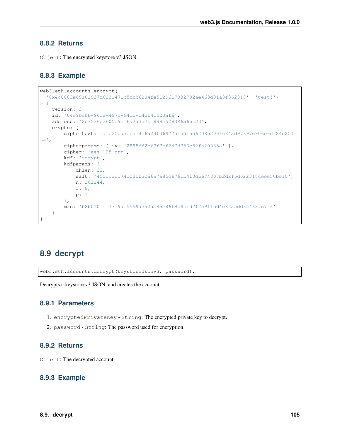#### **8.8.2 Returns**

Object: The encrypted keystore v3 JSON.

### **8.8.3 Example**

```
web3.eth.accounts.encrypt(
˓→'0x4c0883a69102937d6231471b5dbb6204fe5129617082792ae468d01a3f362318', 'test!')
> {
   version: 3,
   id: '04e9bcbb-96fa-497b-94d1-14df4cd20af6',
   address: '2c7536e3605d9c16a7a3d7b1898e529396a65c23',
    crypto: {
        ciphertext: 'a1c25da3ecde4e6a24f3697251dd15d6208520efc84ad97397e906e6df24d251
ightharpoonup',
        cipherparams: { iv: '2885df2b63f7ef247d753c82fa20038a' },
        cipher: 'aes-128-ctr',
        kdf: 'scrypt',
        kdfparams: {
            dklen: 32,
            salt: '4531b3c174cc3ff32a6a7a85d6761b410db674807b2d216d022318ceee50be10',
            n: 262144,
            r: 8,
            p: 1
        },
        mac: 'b8b010fff37f9ae5559a352a185e86f9b9c1d7f7a9f1bd4e82a5dd35468fc7f6'
    }
}
```
# **8.9 decrypt**

web3.eth.accounts.decrypt(keystoreJsonV3, password);

Decrypts a keystore v3 JSON, and creates the account.

#### **8.9.1 Parameters**

- 1. encryptedPrivateKey String: The encrypted private key to decrypt.
- 2. password String: The password used for encryption.

### **8.9.2 Returns**

Object: The decrypted account.

#### **8.9.3 Example**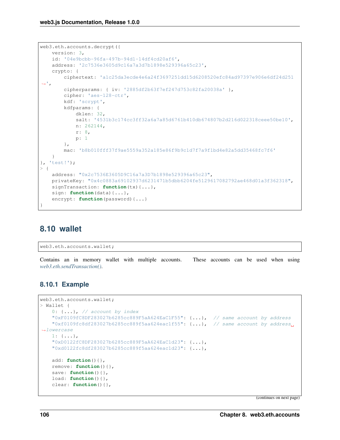```
web3.eth.accounts.decrypt({
   version: 3,
   id: '04e9bcbb-96fa-497b-94d1-14df4cd20af6',
   address: '2c7536e3605d9c16a7a3d7b1898e529396a65c23',
   crypto: {
        ciphertext: 'a1c25da3ecde4e6a24f3697251dd15d6208520efc84ad97397e906e6df24d251
ightharpoonup',
        cipherparams: { iv: '2885df2b63f7ef247d753c82fa20038a' },
        cipher: 'aes-128-ctr',
        kdf: 'scrypt',
        kdfparams: {
            dklen: 32,
            salt: '4531b3c174cc3ff32a6a7a85d6761b410db674807b2d216d022318ceee50be10',
            n: 262144,
            r: 8,
            p: 1
        },
        mac: 'b8b010fff37f9ae5559a352a185e86f9b9c1d7f7a9f1bd4e82a5dd35468fc7f6'
    }
}, 'test!');
> {
   address: "0x2c7536E3605D9C16a7a3D7b1898e529396a65c23",
   privateKey: "0x4c0883a69102937d6231471b5dbb6204fe5129617082792ae468d01a3f362318",
    signTransaction: function(tx){...},
    sign: function(data){...},
    encrypt: function(password){...}
}
```
# **8.10 wallet**

web3.eth.accounts.wallet;

Contains an in memory wallet with multiple accounts. These accounts can be used when using *[web3.eth.sendTransaction\(\)](#page-57-0)*.

### **8.10.1 Example**

```
web3.eth.accounts.wallet;
> Wallet {
    0: \{\ldots\}, // account by index
    "0xF0109fC8DF283027b6285cc889F5aA624EaC1F55": {...}, // same account by address
    "0xf0109fc8df283027b6285cc889f5aa624eac1f55": {...}, // same account by address
˓→lowercase
   1: {...},
    "0xD0122fC8DF283027b6285cc889F5aA624EaC1d23": {...},
    "0xd0122fc8df283027b6285cc889f5aa624eac1d23": {...},
   add: function(){},
   remove: function(){},
   save: function(){},
   load: function(){},
   clear: function(){},
```
(continues on next page)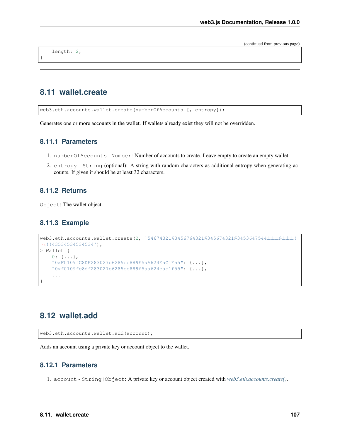(continued from previous page)

length: 2,

}

# **8.11 wallet.create**

web3.eth.accounts.wallet.create(numberOfAccounts [, entropy]);

Generates one or more accounts in the wallet. If wallets already exist they will not be overridden.

#### **8.11.1 Parameters**

- 1. numberOfAccounts Number: Number of accounts to create. Leave empty to create an empty wallet.
- 2. entropy String (optional): A string with random characters as additional entropy when generating accounts. If given it should be at least 32 characters.

### **8.11.2 Returns**

Object: The wallet object.

#### **8.11.3 Example**

```
web3.eth.accounts.wallet.create(2, '54674321§3456764321§345674321§3453647544±±±§±±±!
\leftrightarrow!!43534534534');
> Wallet {
    0: \{ \ldots \},"0xF0109fC8DF283027b6285cc889F5aA624EaC1F55": {...},
    "0xf0109fc8df283027b6285cc889f5aa624eac1f55": {...},
    ...
}
```
# **8.12 wallet.add**

web3.eth.accounts.wallet.add(account);

Adds an account using a private key or account object to the wallet.

#### **8.12.1 Parameters**

1. account - String|Object: A private key or account object created with *[web3.eth.accounts.create\(\)](#page-104-0)*.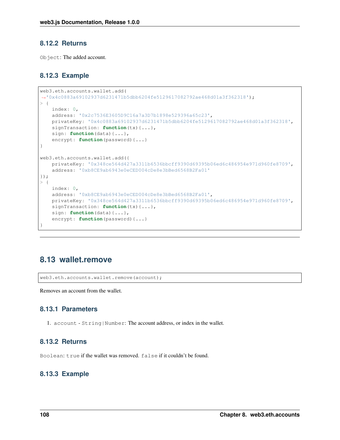#### **8.12.2 Returns**

Object: The added account.

### **8.12.3 Example**

```
web3.eth.accounts.wallet.add(
˓→'0x4c0883a69102937d6231471b5dbb6204fe5129617082792ae468d01a3f362318');
> {
   index: 0,
   address: '0x2c7536E3605D9C16a7a3D7b1898e529396a65c23',
   privateKey: '0x4c0883a69102937d6231471b5dbb6204fe5129617082792ae468d01a3f362318',
   signTransaction: function(tx){...},
   sign: function(data){...},
   encrypt: function(password){...}
}
web3.eth.accounts.wallet.add({
   privateKey: '0x348ce564d427a3311b6536bbcff9390d69395b06ed6c486954e971d960fe8709',
    address: '0xb8CE9ab6943e0eCED004cDe8e3bBed6568B2Fa01'
});
> 1index: 0,
   address: '0xb8CE9ab6943e0eCED004cDe8e3bBed6568B2Fa01',
   privateKey: '0x348ce564d427a3311b6536bbcff9390d69395b06ed6c486954e971d960fe8709',
   signTransaction: function(tx){...},
   sign: function(data){...},
    encrypt: function(password){...}
}
```
# **8.13 wallet.remove**

web3.eth.accounts.wallet.remove(account);

Removes an account from the wallet.

### **8.13.1 Parameters**

1. account - String|Number: The account address, or index in the wallet.

### **8.13.2 Returns**

Boolean: true if the wallet was removed. false if it couldn't be found.

### **8.13.3 Example**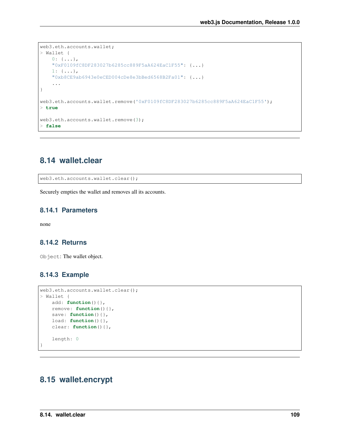```
web3.eth.accounts.wallet;
> Wallet {
   0: \{\ldots\},"0xF0109fC8DF283027b6285cc889F5aA624EaC1F55": {...}
    1: \{\ldots\},\"0xb8CE9ab6943e0eCED004cDe8e3bBed6568B2Fa01": {...}
    ...
}
web3.eth.accounts.wallet.remove('0xF0109fC8DF283027b6285cc889F5aA624EaC1F55');
> true
web3.eth.accounts.wallet.remove(3);
> false
```
# **8.14 wallet.clear**

web3.eth.accounts.wallet.clear();

Securely empties the wallet and removes all its accounts.

#### **8.14.1 Parameters**

none

#### **8.14.2 Returns**

Object: The wallet object.

#### **8.14.3 Example**

```
web3.eth.accounts.wallet.clear();
> Wallet {
   add: function(){},
   remove: function(){},
   save: function(){},
   load: function(){},
   clear: function(){},
    length: 0
}
```
# **8.15 wallet.encrypt**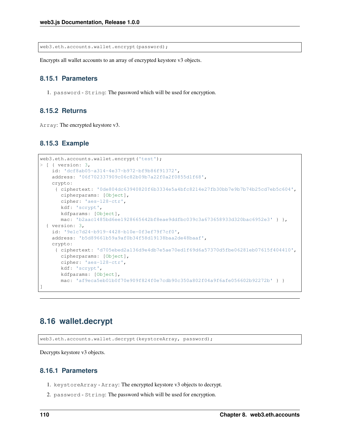web3.eth.accounts.wallet.encrypt(password);

Encrypts all wallet accounts to an array of encrypted keystore v3 objects.

#### **8.15.1 Parameters**

1. password - String: The password which will be used for encryption.

### **8.15.2 Returns**

Array: The encrypted keystore v3.

#### **8.15.3 Example**

```
web3.eth.accounts.wallet.encrypt('test');
> [ { version: 3,
   id: 'dcf8ab05-a314-4e37-b972-bf9b86f91372',
   address: '06f702337909c06c82b09b7a22f0a2f0855d1f68',
   crypto:
    { ciphertext: '0de804dc63940820f6b3334e5a4bfc8214e27fb30bb7e9b7b74b25cd7eb5c604',
      cipherparams: [Object],
      cipher: 'aes-128-ctr',
      kdf: 'scrypt',
      kdfparams: [Object],
      mac: 'b2aac1485bd6ee1928665642bf8eae9ddfbc039c3a673658933d320bac6952e3' } },
  { version: 3,
   id: '9e1c7d24-b919-4428-b10e-0f3ef79f7cf0',
   address: 'b5d89661b59a9af0b34f58d19138baa2de48baaf',
   crypto:
    { ciphertext: 'd705ebed2a136d9e4db7e5ae70ed1f69d6a57370d5fbe06281eb07615f404410',
      cipherparams: [Object],
      cipher: 'aes-128-ctr',
      kdf: 'scrypt',
      kdfparams: [Object],
      mac: 'af9eca5eb01b0f70e909f824f0e7cdb90c350a802f04a9f6afe056602b92272b' } }
]
```
# **8.16 wallet.decrypt**

web3.eth.accounts.wallet.decrypt(keystoreArray, password);

Decrypts keystore v3 objects.

#### **8.16.1 Parameters**

- 1. keystoreArray Array: The encrypted keystore v3 objects to decrypt.
- 2. password String: The password which will be used for encryption.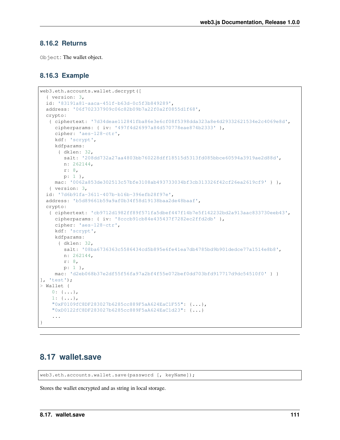### **8.16.2 Returns**

Object: The wallet object.

### **8.16.3 Example**

```
web3.eth.accounts.wallet.decrypt([
  { version: 3,
  id: '83191a81-aaca-451f-b63d-0c5f3b849289',
  address: '06f702337909c06c82b09b7a22f0a2f0855d1f68',
  crypto:
  { ciphertext: '7d34deae112841fba86e3e6cf08f5398dda323a8e4d29332621534e2c4069e8d',
     cipherparams: { iv: '497f4d26997a84d570778eae874b2333' },
     cipher: 'aes-128-ctr',
     kdf: 'scrypt',
     kdfparams:
      { dklen: 32,
        salt: '208dd732a27aa4803bb760228dff18515d5313fd085bbce60594a3919ae2d88d',
        n: 262144,
        r: 8,
       p: 1 },
    mac: '0062a853de302513c57bfe3108ab493733034bf3cb313326f42cf26ea2619cf9' } },
   { version: 3,
  id: '7d6b91fa-3611-407b-b16b-396efb28f97e',
  address: 'b5d89661b59a9af0b34f58d19138baa2de48baaf',
  crypto:
   { ciphertext: 'cb9712d1982ff89f571fa5dbef447f14b7e5f142232bd2a913aac833730eeb43',
     cipherparams: { iv: '8cccb91cb84e435437f7282ec2ffd2db' },
     cipher: 'aes-128-ctr',
     kdf: 'scrypt',
     kdfparams:
      { dklen: 32,
        salt: '08ba6736363c5586434cd5b895e6fe41ea7db4785bd9b901dedce77a1514e8b8',
        n: 262144,
        r: 8,
        p: 1 },
    mac: 'd2eb068b37e2df55f56fa97a2bf4f55e072bef0dd703bfd917717d9dc54510f0' } }
], 'test');
> Wallet {
   0: \{ \ldots \},
   1: {...},
    "0xF0109fC8DF283027b6285cc889F5aA624EaC1F55": {...},
    "0xD0122fC8DF283027b6285cc889F5aA624EaC1d23": {...}
    ...
}
```
# **8.17 wallet.save**

web3.eth.accounts.wallet.save(password [, keyName]);

Stores the wallet encrypted and as string in local storage.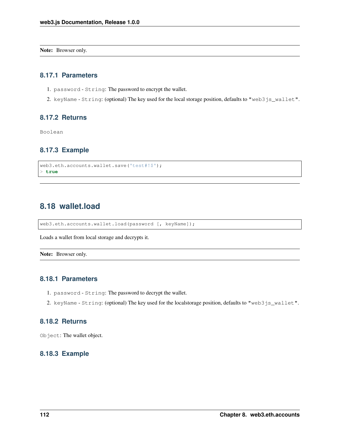Note: Browser only.

#### **8.17.1 Parameters**

- 1. password String: The password to encrypt the wallet.
- 2. keyName String: (optional) The key used for the local storage position, defaults to "web3js\_wallet".

#### **8.17.2 Returns**

Boolean

### **8.17.3 Example**

```
web3.eth.accounts.wallet.save('test#!$');
> true
```
# **8.18 wallet.load**

web3.eth.accounts.wallet.load(password [, keyName]);

Loads a wallet from local storage and decrypts it.

Note: Browser only.

#### **8.18.1 Parameters**

- 1. password String: The password to decrypt the wallet.
- 2. keyName String: (optional) The key used for the localstorage position, defaults to "web3js\_wallet".

### **8.18.2 Returns**

Object: The wallet object.

#### **8.18.3 Example**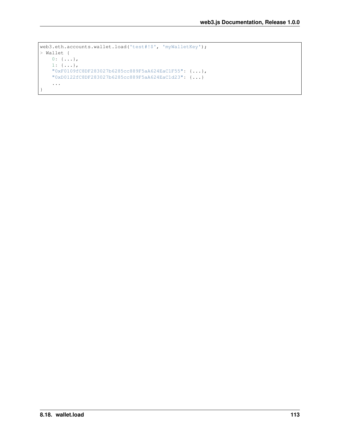```
web3.eth.accounts.wallet.load('test#!$', 'myWalletKey');
> Wallet {
   0: \{\ldots\},1: {...},
    "0xF0109fC8DF283027b6285cc889F5aA624EaC1F55": {...},
    "0xD0122fC8DF283027b6285cc889F5aA624EaC1d23": {...}
    ...
}
```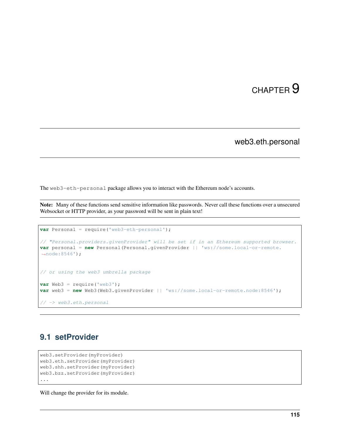# CHAPTER<sup>9</sup>

web3.eth.personal

The web3-eth-personal package allows you to interact with the Ethereum node's accounts.

Note: Many of these functions send sensitive information like passwords. Never call these functions over a unsecured Websocket or HTTP provider, as your password will be sent in plain text!

```
var Personal = require('web3-eth-personal');
// "Personal.providers.givenProvider" will be set if in an Ethereum supported browser.
var personal = new Personal(Personal.givenProvider || \cdot || ws://some.local-or-remote.
\leftrightarrownode:8546');
// or using the web3 umbrella package
var Web3 = require('web3');
var web3 = new Web3(Web3.givenProvider || 'ws://some.local-or-remote.node:8546');
 // -> web3.eth.personal
```
# **9.1 setProvider**

```
web3.setProvider(myProvider)
web3.eth.setProvider(myProvider)
web3.shh.setProvider(myProvider)
web3.bzz.setProvider(myProvider)
...
```
Will change the provider for its module.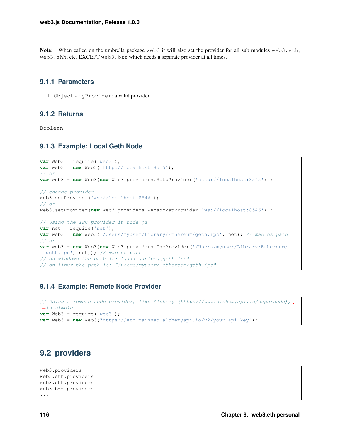Note: When called on the umbrella package web3 it will also set the provider for all sub modules web3.eth, web3.shh, etc. EXCEPT web3.bzz which needs a separate provider at all times.

#### **9.1.1 Parameters**

1. Object - myProvider: a valid provider.

### **9.1.2 Returns**

Boolean

#### **9.1.3 Example: Local Geth Node**

```
var Web3 = require('web3');
var web3 = new Web3('http://localhost:8545');
// or
var web3 = new Web3(new Web3.providers.HttpProvider('http://localhost:8545'));
// change provider
web3.setProvider('ws://localhost:8546');
// or
web3.setProvider(new Web3.providers.WebsocketProvider('ws://localhost:8546'));
// Using the IPC provider in node.js
var net = require('net');
var web3 = new Web3('/Users/myuser/Library/Ethereum/geth.ipc', net); // mac os path
// or
var web3 = new Web3(new Web3.providers.IpcProvider('/Users/myuser/Library/Ethereum/
˓→geth.ipc', net)); // mac os path
// on windows the path is: "\\\\.\\pipe\\geth.ipc"
// on linux the path is: "/users/myuser/.ethereum/geth.ipc"
```
#### **9.1.4 Example: Remote Node Provider**

```
// Using a remote node provider, like Alchemy (https://www.alchemyapi.io/supernode),
˓→is simple.
var Web3 = require('web3');
var web3 = new Web3("https://eth-mainnet.alchemyapi.io/v2/your-api-key");
```
# **9.2 providers**

```
web3.providers
web3.eth.providers
web3.shh.providers
web3.bzz.providers
...
```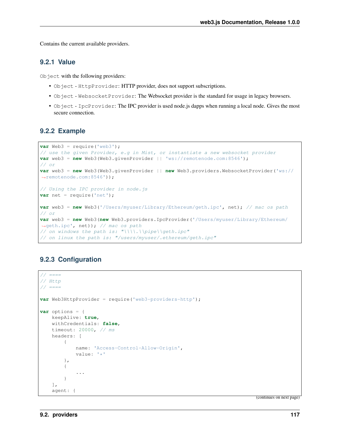Contains the current available providers.

#### **9.2.1 Value**

Object with the following providers:

- Object HttpProvider: HTTP provider, does not support subscriptions.
- Object WebsocketProvider: The Websocket provider is the standard for usage in legacy browsers.
- Object IpcProvider: The IPC provider is used node.js dapps when running a local node. Gives the most secure connection.

#### **9.2.2 Example**

```
var Web3 = require('web3');
// use the given Provider, e.g in Mist, or instantiate a new websocket provider
var web3 = new Web3(Web3.givenProvider || \cdot | ws://remotenode.com:8546');
// or
var web3 = new Web3(Web3.givenProvider || new Web3.providers.WebsocketProvider('ws://
˓→remotenode.com:8546'));
// Using the IPC provider in node.js
var net = require('net');
var web3 = new Web3('/Users/myuser/Library/Ethereum/geth.ipc', net); // mac os path
// or
var web3 = new Web3(new Web3.providers.IpcProvider('/Users/myuser/Library/Ethereum/
˓→geth.ipc', net)); // mac os path
// on windows the path is: "\\\\.\\pipe\\geth.ipc"
// on linux the path is: "/users/myuser/.ethereum/geth.ipc"
```
### **9.2.3 Configuration**

```
// == ==// Http
// == ==var Web3HttpProvider = require('web3-providers-http');
var options = {
   keepAlive: true,
   withCredentials: false,
   timeout: 20000, // ms
   headers: [
        {
            name: 'Access-Control-Allow-Origin',
            value: '*'
        },
        {
            ...
        }
    ],
    agent: {
```
(continues on next page)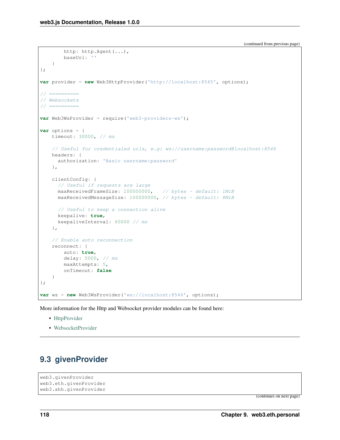```
http: http.Agent(...),
        baseUrl: ''
    }
};
var provider = new Web3HttpProvider('http://localhost:8545', options);
// ==========
// Websockets
// ==========
var Web3WsProvider = require('web3-providers-ws');
var options = {
   timeout: 30000, // ms
    // Useful for credentialed urls, e.g: ws://username:password@localhost:8546
   headers: {
      authorization: 'Basic username:password'
    },
   clientConfig: {
      // Useful if requests are large
     maxReceivedFrameSize: 100000000, // bytes - default: 1MiB
     maxReceivedMessageSize: 100000000, // bytes - default: 8MiB
      // Useful to keep a connection alive
     keepalive: true,
      keepaliveInterval: 60000 // ms
    },
    // Enable auto reconnection
    reconnect: {
        auto: true,
        delay: 5000, // ms
       maxAttempts: 5,
        onTimeout: false
    }
};
var ws = new Web3WsProvider('ws://localhost:8546', options);
```
More information for the Http and Websocket provider modules can be found here:

- [HttpProvider](https://github.com/ethereum/web3.js/tree/1.x/packages/web3-providers-http#usage)
- [WebsocketProvider](https://github.com/ethereum/web3.js/tree/1.x/packages/web3-providers-ws#usage)

# **9.3 givenProvider**

```
web3.givenProvider
web3.eth.givenProvider
web3.shh.givenProvider
```
(continues on next page)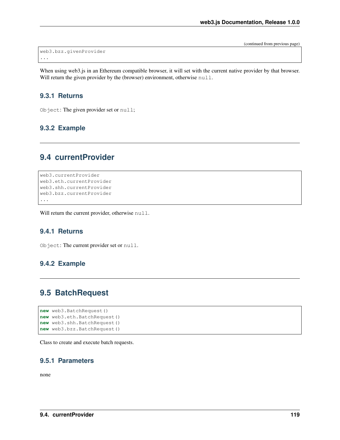(continued from previous page)

```
web3.bzz.givenProvider
...
```
When using web3.js in an Ethereum compatible browser, it will set with the current native provider by that browser. Will return the given provider by the (browser) environment, otherwise null.

#### **9.3.1 Returns**

Object: The given provider set or null;

### **9.3.2 Example**

# **9.4 currentProvider**

```
web3.currentProvider
web3.eth.currentProvider
web3.shh.currentProvider
web3.bzz.currentProvider
...
```
Will return the current provider, otherwise null.

#### **9.4.1 Returns**

Object: The current provider set or null.

#### **9.4.2 Example**

# **9.5 BatchRequest**

```
new web3.BatchRequest()
new web3.eth.BatchRequest()
new web3.shh.BatchRequest()
new web3.bzz.BatchRequest()
```
Class to create and execute batch requests.

#### **9.5.1 Parameters**

none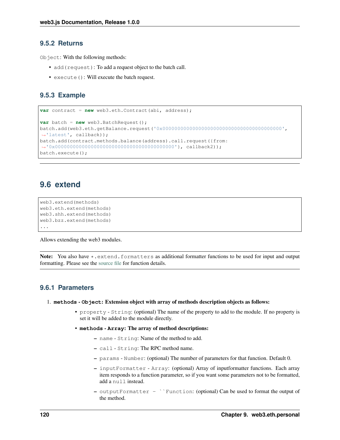#### **9.5.2 Returns**

Object: With the following methods:

- add(request): To add a request object to the batch call.
- execute(): Will execute the batch request.

### **9.5.3 Example**

```
var contract = new web3.eth.Contract(abi, address);
var batch = new web3.BatchRequest();
batch.add(web3.eth.getBalance.request('0x0000000000000000000000000000000000000000',
˓→'latest', callback));
batch.add(contract.methods.balance(address).call.request({from:
˓→'0x0000000000000000000000000000000000000000'}, callback2));
batch.execute();
```
# **9.6 extend**

```
web3.extend(methods)
web3.eth.extend(methods)
web3.shh.extend(methods)
web3.bzz.extend(methods)
...
```
Allows extending the web3 modules.

Note: You also have \*.extend.formatters as additional formatter functions to be used for input and output formatting. Please see the [source file](https://github.com/ethereum/web3.js/blob/1.x/packages/web3-core-helpers/src/formatters.js) for function details.

### **9.6.1 Parameters**

#### 1. **methods** - **Object**: Extension object with array of methods description objects as follows:

- property String: (optional) The name of the property to add to the module. If no property is set it will be added to the module directly.
- **methods Array**: The array of method descriptions:
	- name String: Name of the method to add.
	- call String: The RPC method name.
	- params Number: (optional) The number of parameters for that function. Default 0.
	- inputFormatter Array: (optional) Array of inputformatter functions. Each array item responds to a function parameter, so if you want some parameters not to be formatted, add a null instead.
	- outputFormatter ``Function: (optional) Can be used to format the output of the method.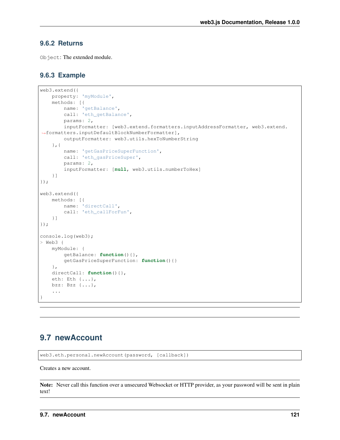#### **9.6.2 Returns**

Object: The extended module.

#### **9.6.3 Example**

```
web3.extend({
    property: 'myModule',
    methods: [{
        name: 'getBalance',
        call: 'eth_getBalance',
        params: 2,
        inputFormatter: [web3.extend.formatters.inputAddressFormatter, web3.extend.
˓→formatters.inputDefaultBlockNumberFormatter],
        outputFormatter: web3.utils.hexToNumberString
    },{
        name: 'getGasPriceSuperFunction',
        call: 'eth_gasPriceSuper',
        params: 2,
        inputFormatter: [null, web3.utils.numberToHex]
    }]
});
web3.extend({
   methods: [{
       name: 'directCall',
        call: 'eth_callForFun',
    }]
});
console.log(web3);
> Web3 {
    myModule: {
        getBalance: function(){},
        getGasPriceSuperFunction: function(){}
    },
    directCall: function() { },
    eth: Eth {...},
    bzz: Bzz {...},
    ...
}
```
# **9.7 newAccount**

web3.eth.personal.newAccount(password, [callback])

Creates a new account.

Note: Never call this function over a unsecured Websocket or HTTP provider, as your password will be sent in plain text!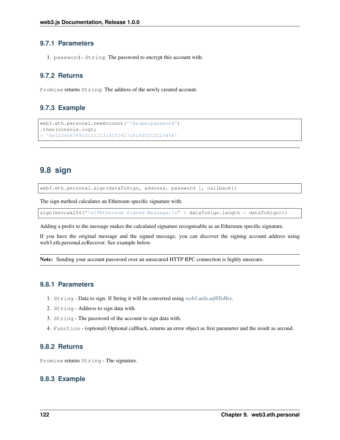#### **9.7.1 Parameters**

1. password - String: The password to encrypt this account with.

#### **9.7.2 Returns**

Promise returns String: The address of the newly created account.

#### **9.7.3 Example**

```
web3.eth.personal.newAccount('!@superpassword')
.then(console.log);
> '0x1234567891011121314151617181920212223456'
```
# **9.8 sign**

web3.eth.personal.sign(dataToSign, address, password [, callback])

The sign method calculates an Ethereum specific signature with:

sign(keccak256("\x19Ethereum Signed Message:\n" + dataToSign.length + dataToSign)))

Adding a prefix to the message makes the calculated signature recognisable as an Ethereum specific signature.

If you have the original message and the signed message, you can discover the signing account address using web3.eth.personal.ecRecover. See example below.

Note: Sending your account password over an unsecured HTTP RPC connection is highly unsecure.

### **9.8.1 Parameters**

- 1. String Data to sign. If String it will be converted using *[web3.utils.utf8ToHex](#page-226-0)*.
- 2. String Address to sign data with.
- 3. String The password of the account to sign data with.
- 4. Function (optional) Optional callback, returns an error object as first parameter and the result as second.

#### **9.8.2 Returns**

Promise returns String - The signature.

#### **9.8.3 Example**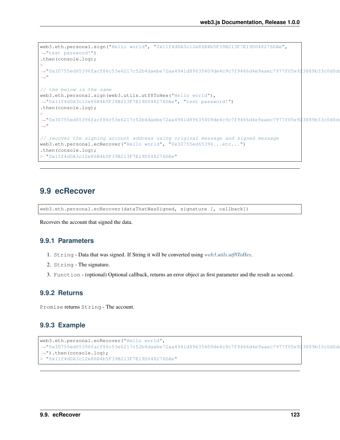```
web3.eth.personal.sign("Hello world", "0x11f4d0A3c12e86B4b5F39B213F7E19D048276DAe",
˓→"test password!")
.then(console.log);
>
˓→"0x30755ed65396facf86c53e6217c52b4daebe72aa4941d89635409de4c9c7f9466d4e9aaec7977f05e923889b33c0d0dd27d7226b6e6f56ce737465c5cfd04be400
˓→"
// the below is the same
web3.eth.personal.sign(web3.utils.utf8ToHex("Hello world"),
˓→"0x11f4d0A3c12e86B4b5F39B213F7E19D048276DAe", "test password!")
.then(console.log);
>
˓→"0x30755ed65396facf86c53e6217c52b4daebe72aa4941d89635409de4c9c7f9466d4e9aaec7977f05e923889b33c0d0dd27d7226b6e6f56ce737465c5cfd04be400
\hookrightarrow "
// recover the signing account address using original message and signed message
web3.eth.personal.ecRecover("Hello world", "0x30755ed65396...etc...")
.then(console.log);
> "0x11f4d0A3c12e86B4b5F39B213F7E19D048276DAe"
```
# **9.9 ecRecover**

```
web3.eth.personal.ecRecover(dataThatWasSigned, signature [, callback])
```
Recovers the account that signed the data.

#### **9.9.1 Parameters**

- 1. String Data that was signed. If String it will be converted using *[web3.utils.utf8ToHex](#page-226-0)*.
- 2. String The signature.
- 3. Function (optional) Optional callback, returns an error object as first parameter and the result as second.

#### **9.9.2 Returns**

Promise returns String - The account.

#### **9.9.3 Example**

```
web3.eth.personal.ecRecover("Hello world",
˓→"0x30755ed65396facf86c53e6217c52b4daebe72aa4941d89635409de4c9c7f9466d4e9aaec7977f05e923889b33c0d0dd27d7226b6e6f56ce737465c5cfd04be400
˓→").then(console.log);
> "0x11f4d0A3c12e86B4b5F39B213F7E19D048276DAe"
```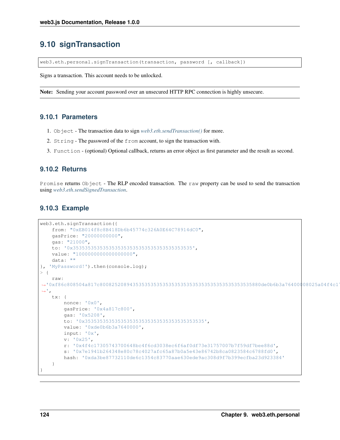# **9.10 signTransaction**

web3.eth.personal.signTransaction(transaction, password [, callback])

Signs a transaction. This account needs to be unlocked.

Note: Sending your account password over an unsecured HTTP RPC connection is highly unsecure.

#### **9.10.1 Parameters**

- 1. Object The transaction data to sign *[web3.eth.sendTransaction\(\)](#page-57-0)* for more.
- 2. String The password of the from account, to sign the transaction with.
- 3. Function (optional) Optional callback, returns an error object as first parameter and the result as second.

#### **9.10.2 Returns**

Promise returns Object - The RLP encoded transaction. The raw property can be used to send the transaction using *[web3.eth.sendSignedTransaction](#page-59-0)*.

#### **9.10.3 Example**

```
web3.eth.signTransaction({
    from: "0xEB014f8c8B418Db6b45774c326A0E64C78914dC0",
    gasPrice: "20000000000",
    gas: "21000",
    to: '0x3535353535353535353535353535353535353535',
    value: "1000000000000000000",
    data: ""
}, 'MyPassword!').then(console.log);
> {
    raw:
˓→'0xf86c808504a817c800825208943535353535353535353535353535353535353535880de0b6b3a76400008025a04f4c17305743700648bc4f6cd3038ec6f6af0df73e31757007b7f59df7bee88da07e1941b264348e80c78c4027afc65a87b0a5e43e86742b8ca0823584c6788fd0
\hookrightarrow',
    tx: {
         nonce: '0x0',
         gasPrice: '0x4a817c800',
         gas: '0x5208',
         to: '0x3535353535353535353535353535353535353535',
         value: '0xde0b6b3a7640000',
         input: '0x',
         v: '0x25',
         r: '0x4f4c17305743700648bc4f6cd3038ec6f6af0df73e31757007b7f59df7bee88d',
         s: '0x7e1941b264348e80c78c4027afc65a87b0a5e43e86742b8ca0823584c6788fd0',
         hash: '0xda3be87732110de6c1354c83770aae630ede9ac308d9f7b399ecfba23d923384'
    }
}
```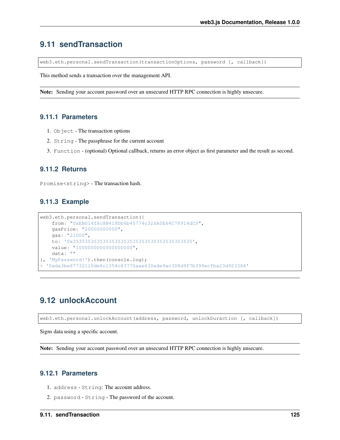# **9.11 sendTransaction**

web3.eth.personal.sendTransaction(transactionOptions, password [, callback])

This method sends a transaction over the management API.

Note: Sending your account password over an unsecured HTTP RPC connection is highly unsecure.

#### **9.11.1 Parameters**

- 1. Object The transaction options
- 2. String The passphrase for the current account
- 3. Function (optional) Optional callback, returns an error object as first parameter and the result as second.

#### **9.11.2 Returns**

Promise<string> - The transaction hash.

#### **9.11.3 Example**

```
web3.eth.personal.sendTransaction({
   from: "0xEB014f8c8B418Db6b45774c326A0E64C78914dC0",
   gasPrice: "20000000000",
   gas: "21000",
   to: '0x3535353535353535353535353535353535353535',
   value: "1000000000000000000",
   data: ""
}, 'MyPassword!').then(console.log);
  > '0xda3be87732110de6c1354c83770aae630ede9ac308d9f7b399ecfba23d923384'
```
# **9.12 unlockAccount**

web3.eth.personal.unlockAccount(address, password, unlockDuraction [, callback])

Signs data using a specific account.

Note: Sending your account password over an unsecured HTTP RPC connection is highly unsecure.

#### **9.12.1 Parameters**

- 1. address String: The account address.
- 2. password String The password of the account.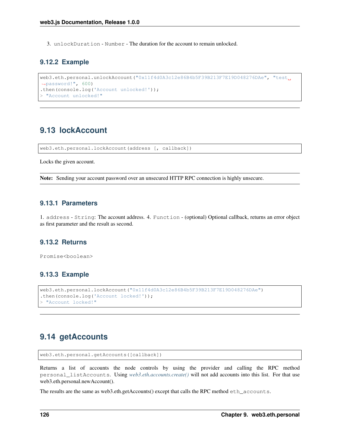3. unlockDuration - Number - The duration for the account to remain unlocked.

#### **9.12.2 Example**

```
web3.eth.personal.unlockAccount("0x11f4d0A3c12e86B4b5F39B213F7E19D048276DAe", "test
˓→password!", 600)
.then(console.log('Account unlocked!'));
> "Account unlocked!"
```
## **9.13 lockAccount**

web3.eth.personal.lockAccount(address [, callback])

Locks the given account.

Note: Sending your account password over an unsecured HTTP RPC connection is highly unsecure.

### **9.13.1 Parameters**

1. address - String: The account address. 4. Function - (optional) Optional callback, returns an error object as first parameter and the result as second.

#### **9.13.2 Returns**

Promise<boolean>

#### **9.13.3 Example**

```
web3.eth.personal.lockAccount("0x11f4d0A3c12e86B4b5F39B213F7E19D048276DAe")
.then(console.log('Account locked!'));
> "Account locked!"
```
# **9.14 getAccounts**

```
web3.eth.personal.getAccounts([callback])
```
Returns a list of accounts the node controls by using the provider and calling the RPC method personal\_listAccounts. Using *[web3.eth.accounts.create\(\)](#page-104-0)* will not add accounts into this list. For that use web3.eth.personal.newAccount().

The results are the same as web3.eth.getAccounts() except that calls the RPC method eth\_accounts.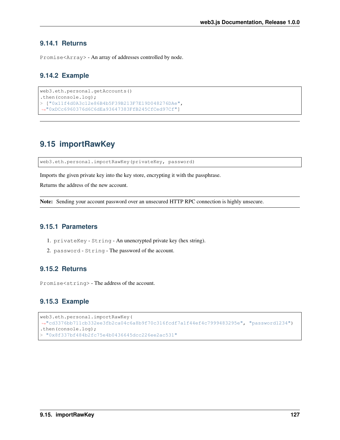#### **9.14.1 Returns**

Promise<Array> - An array of addresses controlled by node.

### **9.14.2 Example**

```
web3.eth.personal.getAccounts()
.then(console.log);
> ["0x11f4d0A3c12e86B4b5F39B213F7E19D048276DAe",
˓→"0xDCc6960376d6C6dEa93647383FfB245CfCed97Cf"]
```
# **9.15 importRawKey**

web3.eth.personal.importRawKey(privateKey, password)

Imports the given private key into the key store, encrypting it with the passphrase.

Returns the address of the new account.

Note: Sending your account password over an unsecured HTTP RPC connection is highly unsecure.

### **9.15.1 Parameters**

- 1. privateKey String An unencrypted private key (hex string).
- 2. password String The password of the account.

#### **9.15.2 Returns**

Promise<string> - The address of the account.

#### **9.15.3 Example**

```
web3.eth.personal.importRawKey(
˓→"cd3376bb711cb332ee3fb2ca04c6a8b9f70c316fcdf7a1f44ef4c7999483295e", "password1234")
.then(console.log);
> "0x8f337bf484b2fc75e4b0436645dcc226ee2ac531"
```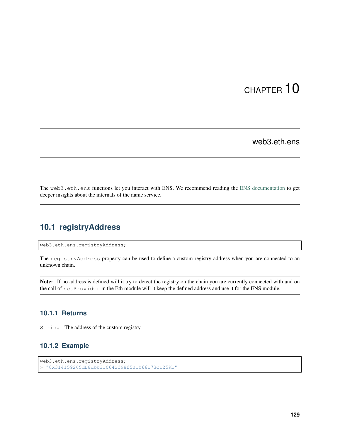# CHAPTER 10

web3.eth.ens

The web3.eth.ens functions let you interact with ENS. We recommend reading the [ENS documentation](https://docs.ens.domains/) to get deeper insights about the internals of the name service.

# **10.1 registryAddress**

web3.eth.ens.registryAddress;

The registryAddress property can be used to define a custom registry address when you are connected to an unknown chain.

Note: If no address is defined will it try to detect the registry on the chain you are currently connected with and on the call of setProvider in the Eth module will it keep the defined address and use it for the ENS module.

#### **10.1.1 Returns**

String - The address of the custom registry.

#### **10.1.2 Example**

```
web3.eth.ens.registryAddress;
> "0x314159265dD8dbb310642f98f50C066173C1259b"
```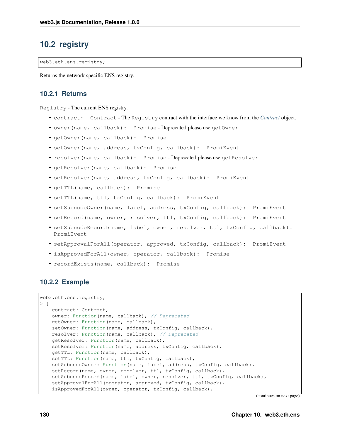# **10.2 registry**

web3.eth.ens.registry;

Returns the network specific ENS registry.

#### **10.2.1 Returns**

Registry - The current ENS registry.

- contract: Contract The Registry contract with the interface we know from the *[Contract](#page-80-0)* object.
- owner(name, callback): Promise Deprecated please use getOwner
- getOwner(name, callback): Promise
- setOwner(name, address, txConfig, callback): PromiEvent
- resolver(name, callback): Promise Deprecated please use getResolver
- getResolver(name, callback): Promise
- setResolver(name, address, txConfig, callback): PromiEvent
- getTTL(name, callback): Promise
- setTTL(name, ttl, txConfig, callback): PromiEvent
- setSubnodeOwner(name, label, address, txConfig, callback): PromiEvent
- setRecord(name, owner, resolver, ttl, txConfig, callback): PromiEvent
- setSubnodeRecord(name, label, owner, resolver, ttl, txConfig, callback): PromiEvent
- setApprovalForAll(operator, approved, txConfig, callback): PromiEvent
- isApprovedForAll(owner, operator, callback): Promise
- recordExists(name, callback): Promise

#### **10.2.2 Example**

```
web3.eth.ens.registry;
> {
   contract: Contract,
   owner: Function(name, callback), // Deprecated
   getOwner: Function(name, callback),
   setOwner: Function(name, address, txConfig, callback),
   resolver: Function(name, callback), // Deprecated
   getResolver: Function(name, callback),
   setResolver: Function(name, address, txConfig, callback),
   getTTL: Function(name, callback),
   setTTL: Function(name, ttl, txConfig, callback),
   setSubnodeOwner: Function(name, label, address, txConfig, callback),
   setRecord(name, owner, resolver, ttl, txConfig, callback),
   setSubnodeRecord(name, label, owner, resolver, ttl, txConfig, callback),
   setApprovalForAll(operator, approved, txConfig, callback),
    isApprovedForAll(owner, operator, txConfig, callback),
```
(continues on next page)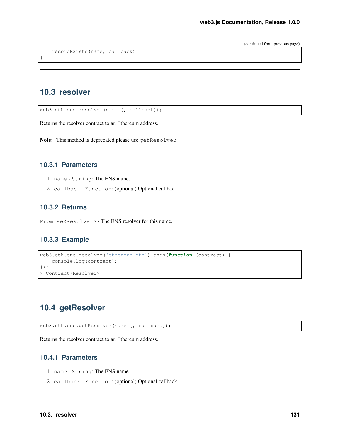(continued from previous page)

recordExists(name, callback)

# **10.3 resolver**

}

web3.eth.ens.resolver(name [, callback]);

Returns the resolver contract to an Ethereum address.

Note: This method is deprecated please use getResolver

#### **10.3.1 Parameters**

- 1. name String: The ENS name.
- 2. callback Function: (optional) Optional callback

#### **10.3.2 Returns**

Promise<Resolver> - The ENS resolver for this name.

### **10.3.3 Example**

```
web3.eth.ens.resolver('ethereum.eth').then(function (contract) {
    console.log(contract);
});
> Contract<Resolver>
```
# **10.4 getResolver**

web3.eth.ens.getResolver(name [, callback]);

Returns the resolver contract to an Ethereum address.

#### **10.4.1 Parameters**

- 1. name String: The ENS name.
- 2. callback Function: (optional) Optional callback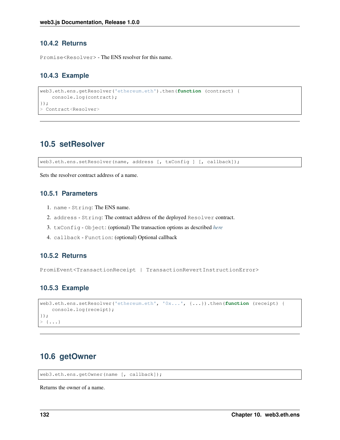### **10.4.2 Returns**

Promise<Resolver> - The ENS resolver for this name.

#### **10.4.3 Example**

```
web3.eth.ens.getResolver('ethereum.eth').then(function (contract) {
    console.log(contract);
});
> Contract<Resolver>
```
### **10.5 setResolver**

web3.eth.ens.setResolver(name, address [, txConfig ] [, callback]);

Sets the resolver contract address of a name.

### **10.5.1 Parameters**

- 1. name String: The ENS name.
- 2. address String: The contract address of the deployed Resolver contract.
- 3. txConfig Object: (optional) The transaction options as described *[here](#page-57-0)*
- 4. callback Function: (optional) Optional callback

#### **10.5.2 Returns**

PromiEvent<TransactionReceipt | TransactionRevertInstructionError>

#### **10.5.3 Example**

```
web3.eth.ens.setResolver('ethereum.eth', '0x...', {...}).then(function (receipt) {
   console.log(receipt);
});
> {...}
```
## **10.6 getOwner**

web3.eth.ens.getOwner(name [, callback]);

Returns the owner of a name.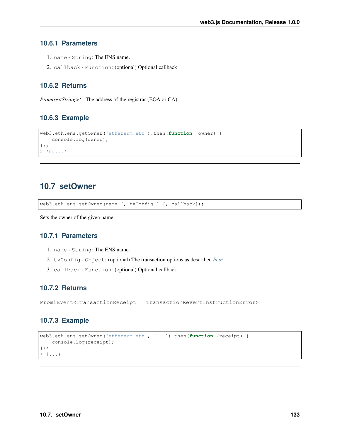### **10.6.1 Parameters**

- 1. name String: The ENS name.
- 2. callback Function: (optional) Optional callback

#### **10.6.2 Returns**

*Promise<String>'* - The address of the registrar (EOA or CA).

#### **10.6.3 Example**

```
web3.eth.ens.getOwner('ethereum.eth').then(function (owner) {
    console.log(owner);
});
> 10x...'
```
### **10.7 setOwner**

web3.eth.ens.setOwner(name [, txConfig ] [, callback]);

Sets the owner of the given name.

### **10.7.1 Parameters**

- 1. name String: The ENS name.
- 2. txConfig Object: (optional) The transaction options as described *[here](#page-57-0)*
- 3. callback Function: (optional) Optional callback

#### **10.7.2 Returns**

PromiEvent<TransactionReceipt | TransactionRevertInstructionError>

### **10.7.3 Example**

```
web3.eth.ens.setOwner('ethereum.eth', {...}).then(function (receipt) {
    console.log(receipt);
});
> \{\ldots\}
```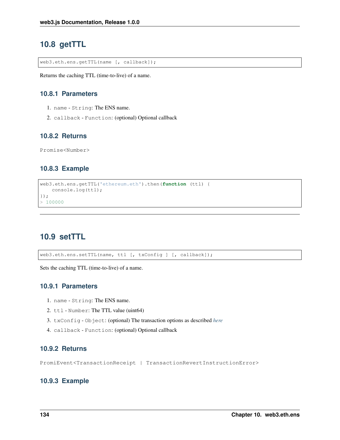# **10.8 getTTL**

web3.eth.ens.getTTL(name [, callback]);

Returns the caching TTL (time-to-live) of a name.

#### **10.8.1 Parameters**

- 1. name String: The ENS name.
- 2. callback Function: (optional) Optional callback

#### **10.8.2 Returns**

Promise<Number>

### **10.8.3 Example**

```
web3.eth.ens.getTTL('ethereum.eth').then(function (ttl) {
    console.log(ttl);
});
> 100000
```
# **10.9 setTTL**

web3.eth.ens.setTTL(name, ttl [, txConfig ] [, callback]);

Sets the caching TTL (time-to-live) of a name.

#### **10.9.1 Parameters**

- 1. name String: The ENS name.
- 2. ttl Number: The TTL value (uint64)
- 3. txConfig Object: (optional) The transaction options as described *[here](#page-57-0)*
- 4. callback Function: (optional) Optional callback

### **10.9.2 Returns**

PromiEvent<TransactionReceipt | TransactionRevertInstructionError>

#### **10.9.3 Example**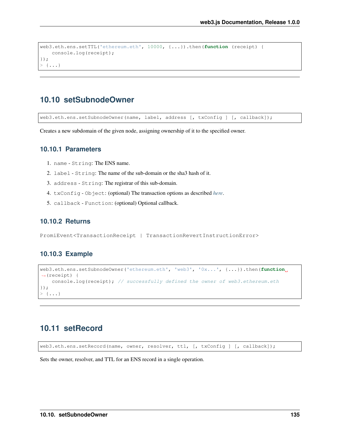```
web3.eth.ens.setTTL('ethereum.eth', 10000, {...}).then(function (receipt) {
   console.log(receipt);
});
> \{\ldots\}
```
# **10.10 setSubnodeOwner**

web3.eth.ens.setSubnodeOwner(name, label, address [, txConfig ] [, callback]);

Creates a new subdomain of the given node, assigning ownership of it to the specified owner.

### **10.10.1 Parameters**

- 1. name String: The ENS name.
- 2. label String: The name of the sub-domain or the sha3 hash of it.
- 3. address String: The registrar of this sub-domain.
- 4. txConfig Object: (optional) The transaction options as described *[here](#page-57-0)*.
- 5. callback Function: (optional) Optional callback.

### **10.10.2 Returns**

PromiEvent<TransactionReceipt | TransactionRevertInstructionError>

#### **10.10.3 Example**

```
web3.eth.ens.setSubnodeOwner('ethereum.eth', 'web3', '0x...', {...}).then(function
˓→(receipt) {
   console.log(receipt); // successfully defined the owner of web3.ethereum.eth
});
> \{\ldots\}
```
### **10.11 setRecord**

web3.eth.ens.setRecord(name, owner, resolver, ttl, [, txConfig ] [, callback]);

Sets the owner, resolver, and TTL for an ENS record in a single operation.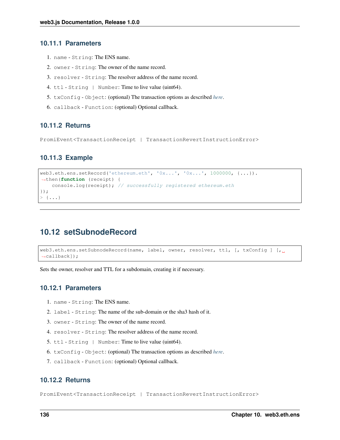#### **10.11.1 Parameters**

- 1. name String: The ENS name.
- 2. owner String: The owner of the name record.
- 3. resolver String: The resolver address of the name record.
- 4. ttl String | Number: Time to live value (uint64).
- 5. txConfig Object: (optional) The transaction options as described *[here](#page-57-0)*.
- 6. callback Function: (optional) Optional callback.

### **10.11.2 Returns**

PromiEvent<TransactionReceipt | TransactionRevertInstructionError>

### **10.11.3 Example**

```
web3.eth.ens.setRecord('ethereum.eth', '0x...', '0x...', 1000000, {...}).˓→then(function (receipt) {
    console.log(receipt); // successfully registered ethereum.eth
});
> \{\ldots\}
```
# **10.12 setSubnodeRecord**

```
web3.eth.ens.setSubnodeRecord(name, label, owner, resolver, ttl, [, txConfig ] [, ]
˓→callback]);
```
Sets the owner, resolver and TTL for a subdomain, creating it if necessary.

#### **10.12.1 Parameters**

- 1. name String: The ENS name.
- 2. label String: The name of the sub-domain or the sha3 hash of it.
- 3. owner String: The owner of the name record.
- 4. resolver String: The resolver address of the name record.
- 5. ttl String | Number: Time to live value (uint64).
- 6. txConfig Object: (optional) The transaction options as described *[here](#page-57-0)*.
- 7. callback Function: (optional) Optional callback.

### **10.12.2 Returns**

PromiEvent<TransactionReceipt | TransactionRevertInstructionError>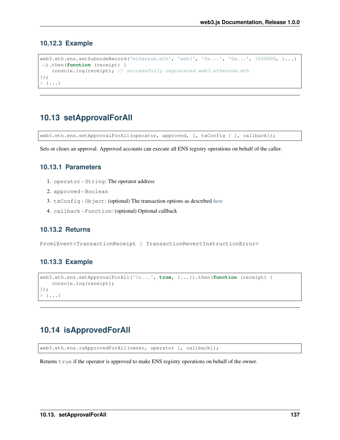#### **10.12.3 Example**

```
web3.eth.ens.setSubnodeRecord('ethereum.eth', 'web3', '0x...', '0x...', 1000000, {...}
˓→).then(function (receipt) {
    console.log(receipt); // successfully registered web3.ethereum.eth
});
> {...}
```
# **10.13 setApprovalForAll**

web3.eth.ens.setApprovalForAll(operator, approved, [, txConfig ] [, callback]);

Sets or clears an approval. Approved accounts can execute all ENS registry operations on behalf of the caller.

## **10.13.1 Parameters**

- 1. operator String: The operator address
- 2. approved Boolean
- 3. txConfig Object: (optional) The transaction options as described *[here](#page-57-0)*
- 4. callback Function: (optional) Optional callback

## **10.13.2 Returns**

PromiEvent<TransactionReceipt | TransactionRevertInstructionError>

#### **10.13.3 Example**

```
web3.eth.ens.setApprovalForAll('0x...', true, {...}).then(function (receipt) {
    console.log(receipt);
});
> \{\ldots\}
```
# **10.14 isApprovedForAll**

web3.eth.ens.isApprovedForAll(owner, operator [, callback]);

Returns true if the operator is approved to make ENS registry operations on behalf of the owner.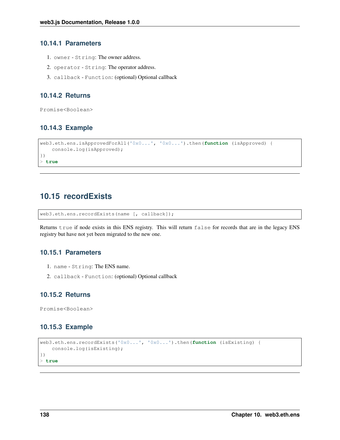#### **10.14.1 Parameters**

- 1. owner String: The owner address.
- 2. operator String: The operator address.
- 3. callback Function: (optional) Optional callback

## **10.14.2 Returns**

Promise<Boolean>

# **10.14.3 Example**

```
web3.eth.ens.isApprovedForAll('0x0...', '0x0...').then(function (isApproved) {
    console.log(isApproved);
})
> true
```
# **10.15 recordExists**

web3.eth.ens.recordExists(name [, callback]);

Returns true if node exists in this ENS registry. This will return false for records that are in the legacy ENS registry but have not yet been migrated to the new one.

### **10.15.1 Parameters**

- 1. name String: The ENS name.
- 2. callback Function: (optional) Optional callback

# **10.15.2 Returns**

Promise<Boolean>

# **10.15.3 Example**

```
web3.eth.ens.recordExists('0x0...', '0x0...').then(function (isExisting) {
    console.log(isExisting);
})
> true
```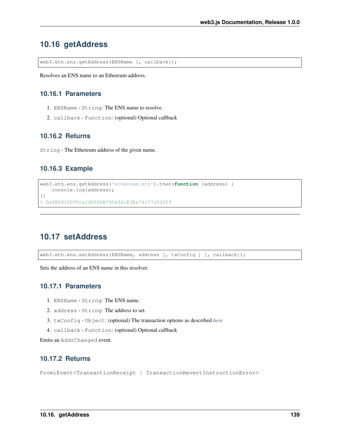# **10.16 getAddress**

web3.eth.ens.getAddress(ENSName [, callback]);

Resolves an ENS name to an Ethereum address.

### **10.16.1 Parameters**

- 1. ENSName String: The ENS name to resolve.
- 2. callback Function: (optional) Optional callback

#### **10.16.2 Returns**

String - The Ethereum address of the given name.

#### **10.16.3 Example**

```
web3.eth.ens.getAddress('ethereum.eth').then(function (address) {
    console.log(address);
})
> 0xfB6916095ca1df60bB79Ce92cE3Ea74c37c5d359
```
# **10.17 setAddress**

web3.eth.ens.setAddress(ENSName, address [, txConfig ] [, callback]);

Sets the address of an ENS name in this resolver.

## **10.17.1 Parameters**

- 1. ENSName String: The ENS name.
- 2. address String: The address to set.
- 3. txConfig Object: (optional) The transaction options as described *[here](#page-57-0)*
- 4. callback Function: (optional) Optional callback

Emits an AddrChanged event.

## **10.17.2 Returns**

PromiEvent<TransactionReceipt | TransactionRevertInstructionError>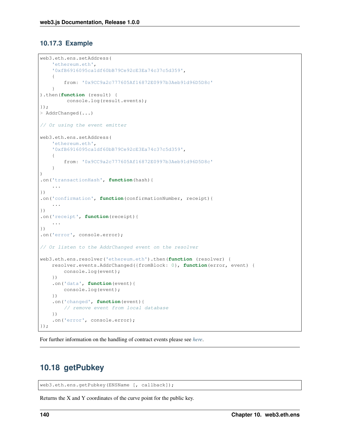# **10.17.3 Example**

```
web3.eth.ens.setAddress(
    'ethereum.eth',
    '0xfB6916095ca1df60bB79Ce92cE3Ea74c37c5d359',
    {
        from: '0x9CC9a2c777605Af16872E0997b3Aeb91d96D5D8c'
    }
).then(function (result) {
        console.log(result.events);
});
> AddrChanged(...)
// Or using the event emitter
web3.eth.ens.setAddress(
    'ethereum.eth',
    '0xfB6916095ca1df60bB79Ce92cE3Ea74c37c5d359',
    {
        from: '0x9CC9a2c777605Af16872E0997b3Aeb91d96D5D8c'
    }
)
.on('transactionHash', function(hash){
    ...
})
.on('confirmation', function(confirmationNumber, receipt){
    ...
})
.on('receipt', function(receipt){
    ...
})
.on('error', console.error);
// Or listen to the AddrChanged event on the resolver
web3.eth.ens.resolver('ethereum.eth').then(function (resolver) {
   resolver.events.AddrChanged({fromBlock: 0}, function(error, event) {
       console.log(event);
   })
    .on('data', function(event){
        console.log(event);
    })
    .on('changed', function(event){
        // remove event from local database
    })
    .on('error', console.error);
});
```
For further information on the handling of contract events please see *[here](#page-100-0)*.

# **10.18 getPubkey**

web3.eth.ens.getPubkey(ENSName [, callback]);

Returns the X and Y coordinates of the curve point for the public key.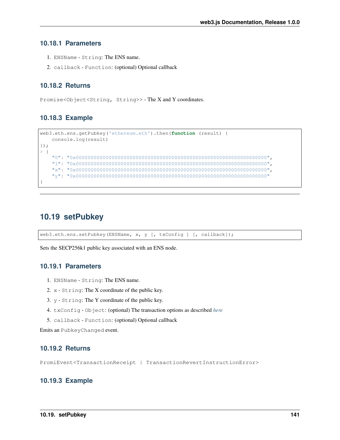#### **10.18.1 Parameters**

- 1. ENSName String: The ENS name.
- 2. callback Function: (optional) Optional callback

### **10.18.2 Returns**

Promise<Object<String, String>> - The X and Y coordinates.

#### **10.18.3 Example**

```
web3.eth.ens.getPubkey('ethereum.eth').then(function (result) {
    console.log(result)
});
> {
    "0": "0x0000000000000000000000000000000000000000000000000000000000000000",
    "1": "0x0000000000000000000000000000000000000000000000000000000000000000",
    "x": "0x0000000000000000000000000000000000000000000000000000000000000000",
    "y": "0x0000000000000000000000000000000000000000000000000000000000000000"
}
```
# **10.19 setPubkey**

web3.eth.ens.setPubkey(ENSName, x, y [, txConfig ] [, callback]);

Sets the SECP256k1 public key associated with an ENS node.

## **10.19.1 Parameters**

- 1. ENSName String: The ENS name.
- 2. x String: The X coordinate of the public key.
- 3. y String: The Y coordinate of the public key.
- 4. txConfig Object: (optional) The transaction options as described *[here](#page-57-0)*
- 5. callback Function: (optional) Optional callback

Emits an PubkeyChanged event.

## **10.19.2 Returns**

PromiEvent<TransactionReceipt | TransactionRevertInstructionError>

#### **10.19.3 Example**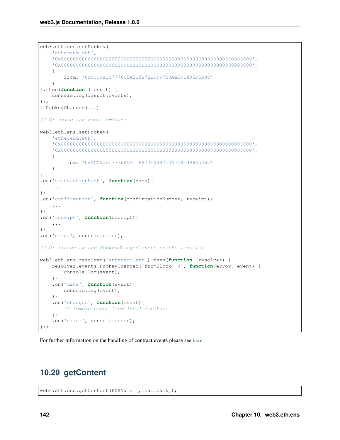```
web3.eth.ens.setPubkey(
    'ethereum.eth',
    '0x0000000000000000000000000000000000000000000000000000000000000000',
    '0x0000000000000000000000000000000000000000000000000000000000000000',
    {
        from: '0x9CC9a2c777605Af16872E0997b3Aeb91d96D5D8c'
    }
).then(function (result) {
   console.log(result.events);
});
> PubkeyChanged(...)
// Or using the event emitter
web3.eth.ens.setPubkey(
    'ethereum.eth',
    '0x0000000000000000000000000000000000000000000000000000000000000000',
    '0x0000000000000000000000000000000000000000000000000000000000000000',
    {
        from: '0x9CC9a2c777605Af16872E0997b3Aeb91d96D5D8c'
    }
)
.on('transactionHash', function(hash){
    ...
})
.on('confirmation', function(confirmationNumber, receipt){
    ...
})
.on('receipt', function(receipt){
    ...
})
.on('error', console.error);
// Or listen to the PubkeyChanged event on the resolver
web3.eth.ens.resolver('ethereum.eth').then(function (resolver) {
    resolver.events.PubkeyChanged({fromBlock: 0}, function(error, event) {
        console.log(event);
    })
    .on('data', function(event){
        console.log(event);
    })
    .on('changed', function(event){
        // remove event from local database
    })
    .on('error', console.error);
});
```
For further information on the handling of contract events please see *[here](#page-100-0)*.

# **10.20 getContent**

web3.eth.ens.getContent(ENSName [, callback]);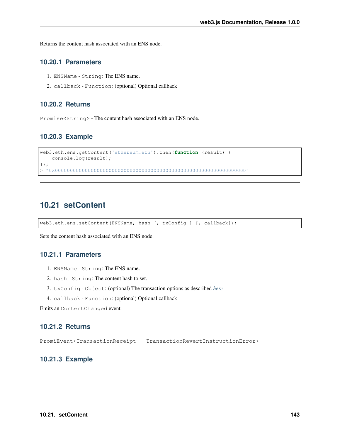Returns the content hash associated with an ENS node.

## **10.20.1 Parameters**

- 1. ENSName String: The ENS name.
- 2. callback Function: (optional) Optional callback

#### **10.20.2 Returns**

Promise<String> - The content hash associated with an ENS node.

#### **10.20.3 Example**

```
web3.eth.ens.getContent('ethereum.eth').then(function (result) {
   console.log(result);
});
> "0x0000000000000000000000000000000000000000000000000000000000000000"
```
# **10.21 setContent**

web3.eth.ens.setContent(ENSName, hash [, txConfig ] [, callback]);

Sets the content hash associated with an ENS node.

# **10.21.1 Parameters**

- 1. ENSName String: The ENS name.
- 2. hash String: The content hash to set.
- 3. txConfig Object: (optional) The transaction options as described *[here](#page-57-0)*
- 4. callback Function: (optional) Optional callback

Emits an ContentChanged event.

#### **10.21.2 Returns**

PromiEvent<TransactionReceipt | TransactionRevertInstructionError>

#### **10.21.3 Example**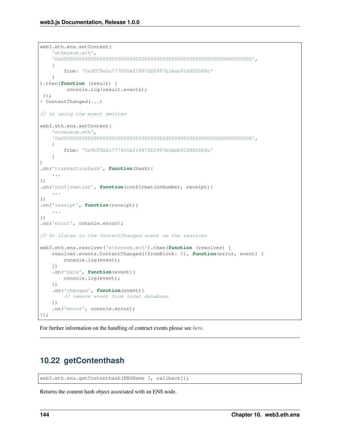```
web3.eth.ens.setContent(
    'ethereum.eth',
    '0x0000000000000000000000000000000000000000000000000000000000000000',
    {
        from: '0x9CC9a2c777605Af16872E0997b3Aeb91d96D5D8c'
    }
).then(function (result) {
        console.log(result.events);
});
> ContentChanged(...)
// Or using the event emitter
web3.eth.ens.setContent(
    'ethereum.eth',
    '0x0000000000000000000000000000000000000000000000000000000000000000',
    {
        from: '0x9CC9a2c777605Af16872E0997b3Aeb91d96D5D8c'
    }
)
.on('transactionHash', function(hash){
    ...
})
.on('confirmation', function(confirmationNumber, receipt){
    ...
})
.on('receipt', function(receipt){
    ...
})
.on('error', console.error);
// Or listen to the ContentChanged event on the resolver
web3.eth.ens.resolver('ethereum.eth').then(function (resolver) {
   resolver.events.ContentChanged({fromBlock: 0}, function(error, event) {
       console.log(event);
    })
    .on('data', function(event){
        console.log(event);
    })
    .on('changed', function(event){
        // remove event from local database
    })
    .on('error', console.error);
});
```
For further information on the handling of contract events please see *[here](#page-100-0)*.

# **10.22 getContenthash**

web3.eth.ens.getContenthash(ENSName [, callback]);

Returns the content hash object associated with an ENS node.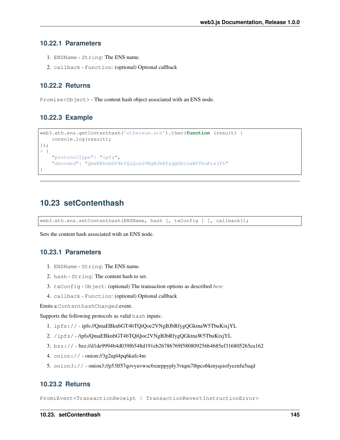#### **10.22.1 Parameters**

- 1. ENSName String: The ENS name.
- 2. callback Function: (optional) Optional callback

### **10.22.2 Returns**

Promise<Object> - The content hash object associated with an ENS node.

#### **10.22.3 Example**

```
web3.eth.ens.getContenthash('ethereum.eth').then(function (result) {
    console.log(result);
});
> {
    "protocolType": "ipfs",
    "decoded": "QmaEBknbGT4bTQiQoe2VNgBJbRfygQGktnaW5TbuKixjYL"
}
```
# **10.23 setContenthash**

web3.eth.ens.setContenthash(ENSName, hash [, txConfig ] [, callback]);

Sets the content hash associated with an ENS node.

#### **10.23.1 Parameters**

- 1. ENSName String: The ENS name.
- 2. hash String: The content hash to set.
- 3. txConfig Object: (optional) The transaction options as described *[here](#page-57-0)*
- 4. callback Function: (optional) Optional callback

Emits a ContenthashChanged event.

Supports the following protocols as valid hash inputs:

- 1. ipfs:// ipfs://QmaEBknbGT4bTQiQoe2VNgBJbRfygQGktnaW5TbuKixjYL
- 2. /ipfs/ /ipfs/QmaEBknbGT4bTQiQoe2VNgBJbRfygQGktnaW5TbuKixjYL
- 3. bzz:// bzz://d1de9994b4d039f6548d191eb26786769f580809256b4685ef316805265ea162
- 4. onion:// onion://3g2upl4pq6kufc4m
- 5. onion3:// onion3://p53lf57qovyuvwsc6xnrppyply3vtqm7l6pcobkmyqsiofyeznfu5uqd

#### **10.23.2 Returns**

PromiEvent<TransactionReceipt | TransactionRevertInstructionError>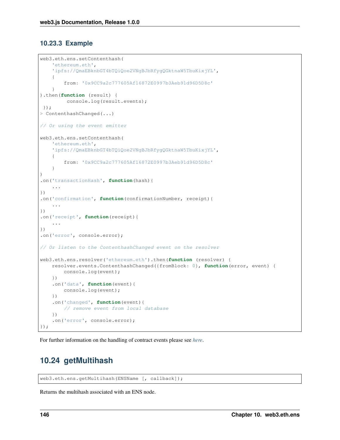# **10.23.3 Example**

```
web3.eth.ens.setContenthash(
    'ethereum.eth',
    'ipfs://QmaEBknbGT4bTQiQoe2VNgBJbRfygQGktnaW5TbuKixjYL',
    {
        from: '0x9CC9a2c777605Af16872E0997b3Aeb91d96D5D8c'
    }
).then(function (result) {
        console.log(result.events);
});
> ContenthashChanged(...)
// Or using the event emitter
web3.eth.ens.setContenthash(
    'ethereum.eth',
    'ipfs://QmaEBknbGT4bTQiQoe2VNgBJbRfygQGktnaW5TbuKixjYL',
    {
        from: '0x9CC9a2c777605Af16872E0997b3Aeb91d96D5D8c'
    }
)
.on('transactionHash', function(hash){
    ...
})
.on('confirmation', function(confirmationNumber, receipt){
    ...
})
.on('receipt', function(receipt){
    ...
})
.on('error', console.error);
// Or listen to the ContenthashChanged event on the resolver
web3.eth.ens.resolver('ethereum.eth').then(function (resolver) {
   resolver.events.ContenthashChanged({fromBlock: 0}, function(error, event) {
        console.log(event);
    })
    .on('data', function(event){
        console.log(event);
    })
    .on('changed', function(event){
        // remove event from local database
    })
    .on('error', console.error);
});
```
For further information on the handling of contract events please see *[here](#page-100-0)*.

# **10.24 getMultihash**

web3.eth.ens.getMultihash(ENSName [, callback]);

Returns the multihash associated with an ENS node.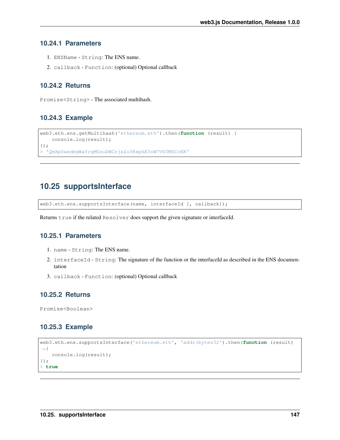#### **10.24.1 Parameters**

- 1. ENSName String: The ENS name.
- 2. callback Function: (optional) Optional callback

### **10.24.2 Returns**

Promise<String> - The associated multihash.

#### **10.24.3 Example**

```
web3.eth.ens.getMultihash('ethereum.eth').then(function (result) {
    console.log(result);
});
> 'QmXpSwxdmgWaYrgMUzuDWCnjsZo5RxphE3oW7VhTMSCoKK'
```
# **10.25 supportsInterface**

web3.eth.ens.supportsInterface(name, interfaceId [, callback]);

Returns true if the related Resolver does support the given signature or interfaceId.

## **10.25.1 Parameters**

- 1. name String: The ENS name.
- 2. interfaceId String: The signature of the function or the interfaceId as described in the ENS documentation
- 3. callback Function: (optional) Optional callback

## **10.25.2 Returns**

Promise<Boolean>

#### **10.25.3 Example**

```
web3.eth.ens.supportsInterface('ethereum.eth', 'addr(bytes32').then(function (result)
˓→{
   console.log(result);
});
> true
```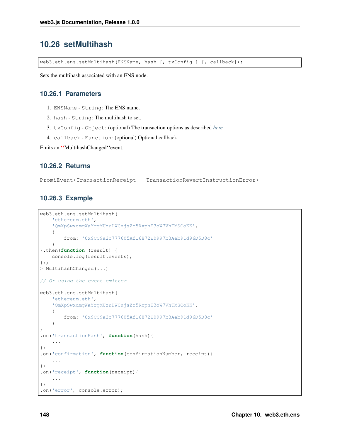# **10.26 setMultihash**

web3.eth.ens.setMultihash(ENSName, hash [, txConfig ] [, callback]);

Sets the multihash associated with an ENS node.

#### **10.26.1 Parameters**

- 1. ENSName String: The ENS name.
- 2. hash String: The multihash to set.
- 3. txConfig Object: (optional) The transaction options as described *[here](#page-57-0)*
- 4. callback Function: (optional) Optional callback

Emits an ''MultihashChanged''event.

#### **10.26.2 Returns**

PromiEvent<TransactionReceipt | TransactionRevertInstructionError>

#### **10.26.3 Example**

```
web3.eth.ens.setMultihash(
    'ethereum.eth',
    'QmXpSwxdmgWaYrgMUzuDWCnjsZo5RxphE3oW7VhTMSCoKK',
    {
        from: '0x9CC9a2c777605Af16872E0997b3Aeb91d96D5D8c'
    }
).then(function (result) {
    console.log(result.events);
});
> MultihashChanged(...)
// Or using the event emitter
web3.eth.ens.setMultihash(
    'ethereum.eth',
    'QmXpSwxdmgWaYrgMUzuDWCnjsZo5RxphE3oW7VhTMSCoKK',
    {
        from: '0x9CC9a2c777605Af16872E0997b3Aeb91d96D5D8c'
    }
)
.on('transactionHash', function(hash){
    ...
})
.on('confirmation', function(confirmationNumber, receipt){
    ...
})
.on('receipt', function(receipt){
    ...
})
.on('error', console.error);
```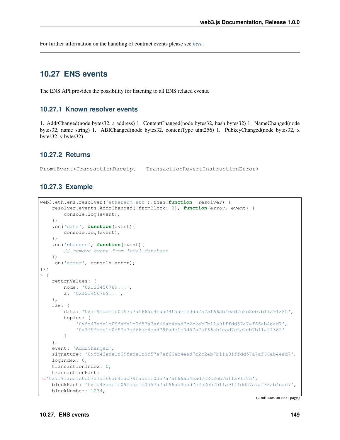For further information on the handling of contract events please see *[here](#page-100-0)*.

# **10.27 ENS events**

The ENS API provides the possibility for listening to all ENS related events.

#### **10.27.1 Known resolver events**

1. AddrChanged(node bytes32, a address) 1. ContentChanged(node bytes32, hash bytes32) 1. NameChanged(node bytes32, name string) 1. ABIChanged(node bytes32, contentType uint256) 1. PubkeyChanged(node bytes32, x bytes32, y bytes32)

#### **10.27.2 Returns**

PromiEvent<TransactionReceipt | TransactionRevertInstructionError>

#### **10.27.3 Example**

```
web3.eth.ens.resolver('ethereum.eth').then(function (resolver) {
    resolver.events.AddrChanged({fromBlock: 0}, function(error, event) {
        console.log(event);
    })
    .on('data', function(event){
        console.log(event);
    })
    .on('changed', function(event){
        // remove event from local database
    })
    .on('error', console.error);
});
> {
    returnValues: {
        node: '0x123456789...',
        a: '0x123456789...',
    },
    raw: {
        data: '0x7f9fade1c0d57a7af66ab4ead79fade1c0d57a7af66ab4ead7c2c2eb7b11a91385',
        topics: [
            '0xfd43ade1c09fade1c0d57a7af66ab4ead7c2c2eb7b11a91ffdd57a7af66ab4ead7',
            '0x7f9fade1c0d57a7af66ab4ead79fade1c0d57a7af66ab4ead7c2c2eb7b11a91385'
        ]
    },
    event: 'AddrChanged',
    signature: '0xfd43ade1c09fade1c0d57a7af66ab4ead7c2c2eb7b11a91ffdd57a7af66ab4ead7',
    logIndex: 0,
    transactionIndex: 0,
    transactionHash:
˓→'0x7f9fade1c0d57a7af66ab4ead79fade1c0d57a7af66ab4ead7c2c2eb7b11a91385',
    blockHash: '0xfd43ade1c09fade1c0d57a7af66ab4ead7c2c2eb7b11a91ffdd57a7af66ab4ead7',
    blockNumber: 1234,
```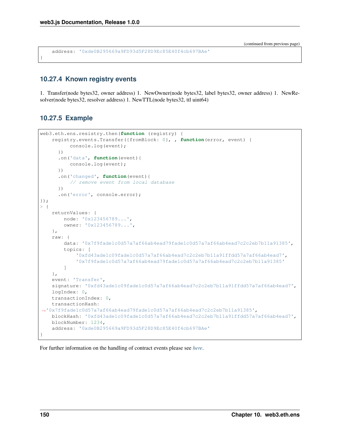address: '0xde0B295669a9FD93d5F28D9Ec85E40f4cb697BAe'

# **10.27.4 Known registry events**

1. Transfer(node bytes32, owner address) 1. NewOwner(node bytes32, label bytes32, owner address) 1. NewResolver(node bytes32, resolver address) 1. NewTTL(node bytes32, ttl uint64)

# **10.27.5 Example**

}

```
web3.eth.ens.resistry.then(function (registry) {
    registry.events.Transfer({fromBlock: 0}, , function(error, event) {
          console.log(event);
      })
      .on('data', function(event){
          console.log(event);
      })
      .on('changed', function(event){
          // remove event from local database
      })
      .on('error', console.error);
});
> {
    returnValues: {
        node: '0x123456789...',
        owner: '0x123456789...',
    },
    raw: {
        data: '0x7f9fade1c0d57a7af66ab4ead79fade1c0d57a7af66ab4ead7c2c2eb7b11a91385',
        topics: [
            '0xfd43ade1c09fade1c0d57a7af66ab4ead7c2c2eb7b11a91ffdd57a7af66ab4ead7',
            '0x7f9fade1c0d57a7af66ab4ead79fade1c0d57a7af66ab4ead7c2c2eb7b11a91385'
        ]
    },
    event: 'Transfer',
    signature: '0xfd43ade1c09fade1c0d57a7af66ab4ead7c2c2eb7b11a91ffdd57a7af66ab4ead7',
    logIndex: 0,
    transactionIndex: 0,
    transactionHash:
˓→'0x7f9fade1c0d57a7af66ab4ead79fade1c0d57a7af66ab4ead7c2c2eb7b11a91385',
    blockHash: '0xfd43ade1c09fade1c0d57a7af66ab4ead7c2c2eb7b11a91ffdd57a7af66ab4ead7',
    blockNumber: 1234,
    address: '0xde0B295669a9FD93d5F28D9Ec85E40f4cb697BAe'
}
```
For further information on the handling of contract events please see *[here](#page-100-0)*.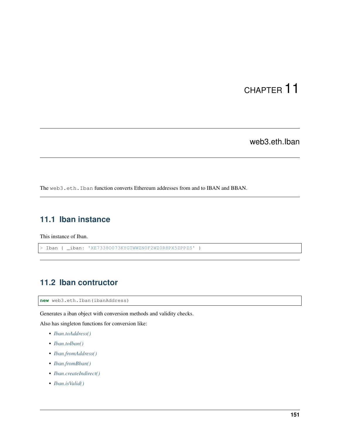# CHAPTER 11

web3.eth.Iban

The web3.eth.Iban function converts Ethereum addresses from and to IBAN and BBAN.

# **11.1 Iban instance**

This instance of Iban.

> Iban { \_iban: 'XE7338O073KYGTWWZN0F2WZ0R8PX5ZPPZS' }

# **11.2 Iban contructor**

**new** web3.eth.Iban(ibanAddress)

Generates a iban object with conversion methods and validity checks.

Also has singleton functions for conversion like:

- *[Iban.toAddress\(\)](#page-159-0)*
- *[Iban.toIban\(\)](#page-159-1)*
- *[Iban.fromAddress\(\)](#page-160-0)*
- *[Iban.fromBban\(\)](#page-160-1)*
- *[Iban.createIndirect\(\)](#page-161-0)*
- *[Iban.isValid\(\)](#page-162-0)*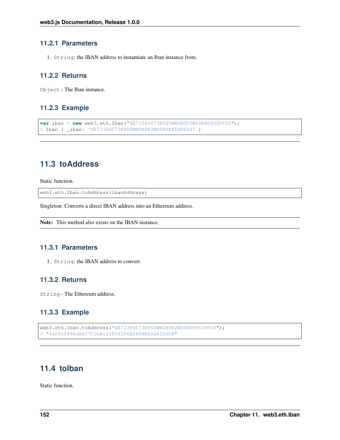#### **11.2.1 Parameters**

1. String: the IBAN address to instantiate an Iban instance from.

#### **11.2.2 Returns**

Object - The Iban instance.

#### **11.2.3 Example**

```
var iban = new web3.eth.Iban("XE73380073KYGTWWZN0F2WZ0R8PX5ZPPZS");
> Iban { _iban: 'XE73380073KYGTWWZN0F2WZ0R8PX5ZPPZS' }
```
# <span id="page-159-0"></span>**11.3 toAddress**

Static function.

web3.eth.Iban.toAddress(ibanAddress)

Singleton: Converts a direct IBAN address into an Ethereum address.

```
Note: This method also exists on the IBAN instance.
```
## **11.3.1 Parameters**

1. String: the IBAN address to convert.

### **11.3.2 Returns**

String - The Ethereum address.

## **11.3.3 Example**

```
web3.eth.Iban.toAddress("XE73380073KYGTWWZN0F2WZ0R8PX5ZPPZS");
> "0x00c5496aEe77C1bA1f0854206A26DdA82a81D6D8"
```
# <span id="page-159-1"></span>**11.4 toIban**

Static function.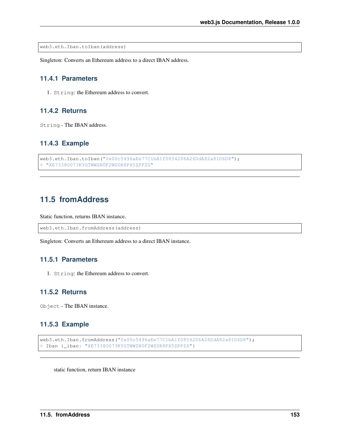web3.eth.Iban.toIban(address)

Singleton: Converts an Ethereum address to a direct IBAN address.

#### **11.4.1 Parameters**

1. String: the Ethereum address to convert.

# **11.4.2 Returns**

String - The IBAN address.

#### **11.4.3 Example**

```
web3.eth.Iban.toIban("0x00c5496aEe77C1bA1f0854206A26DdA82a81D6D8");
> "XE7338O073KYGTWWZN0F2WZ0R8PX5ZPPZS"
```
# <span id="page-160-0"></span>**11.5 fromAddress**

Static function, returns IBAN instance.

```
web3.eth.Iban.fromAddress(address)
```
Singleton: Converts an Ethereum address to a direct IBAN instance.

### **11.5.1 Parameters**

1. String: the Ethereum address to convert.

# **11.5.2 Returns**

Object - The IBAN instance.

#### **11.5.3 Example**

```
web3.eth.Iban.fromAddress("0x00c5496aEe77C1bA1f0854206A26DdA82a81D6D8");
> Iban {_iban: "XE7338O073KYGTWWZN0F2WZ0R8PX5ZPPZS"}
```
<span id="page-160-1"></span>static function, return IBAN instance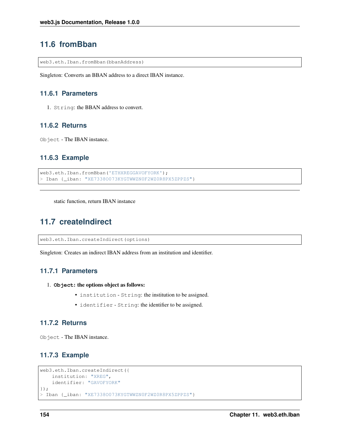# **11.6 fromBban**

web3.eth.Iban.fromBban(bbanAddress)

Singleton: Converts an BBAN address to a direct IBAN instance.

#### **11.6.1 Parameters**

1. String: the BBAN address to convert.

## **11.6.2 Returns**

Object - The IBAN instance.

# **11.6.3 Example**

```
web3.eth.Iban.fromBban('ETHXREGGAVOFYORK');
> Iban { iban: "XE7338O073KYGTWWZN0F2WZ0R8PX5ZPPZS"}
```
<span id="page-161-0"></span>static function, return IBAN instance

# **11.7 createIndirect**

web3.eth.Iban.createIndirect(options)

Singleton: Creates an indirect IBAN address from an institution and identifier.

#### **11.7.1 Parameters**

- 1. **Object**: the options object as follows:
	- institution String: the institution to be assigned.
	- identifier String: the identifier to be assigned.

#### **11.7.2 Returns**

Object - The IBAN instance.

## **11.7.3 Example**

```
web3.eth.Iban.createIndirect({
   institution: "XREG",
    identifier: "GAVOFYORK"
});
> Iban {_iban: "XE7338O073KYGTWWZN0F2WZ0R8PX5ZPPZS"}
```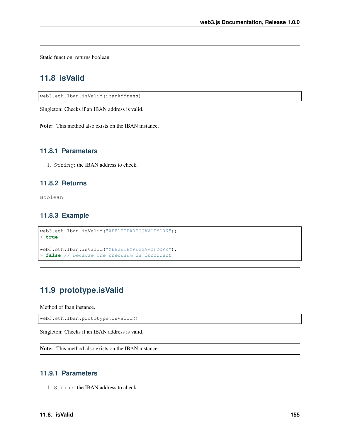<span id="page-162-0"></span>Static function, returns boolean.

# **11.8 isValid**

web3.eth.Iban.isValid(ibanAddress)

Singleton: Checks if an IBAN address is valid.

Note: This method also exists on the IBAN instance.

## **11.8.1 Parameters**

1. String: the IBAN address to check.

#### **11.8.2 Returns**

Boolean

# **11.8.3 Example**

```
web3.eth.Iban.isValid("XE81ETHXREGGAVOFYORK");
> true
web3.eth.Iban.isValid("XE82ETHXREGGAVOFYORK");
```

```
> false // because the checksum is incorrect
```
# **11.9 prototype.isValid**

Method of Iban instance.

web3.eth.Iban.prototype.isValid()

Singleton: Checks if an IBAN address is valid.

Note: This method also exists on the IBAN instance.

# **11.9.1 Parameters**

1. String: the IBAN address to check.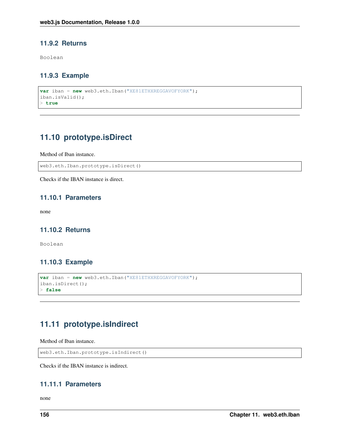# **11.9.2 Returns**

Boolean

# **11.9.3 Example**

```
var iban = new web3.eth.Iban("XE81ETHXREGGAVOFYORK");
iban.isValid();
> true
```
# **11.10 prototype.isDirect**

Method of Iban instance.

web3.eth.Iban.prototype.isDirect()

Checks if the IBAN instance is direct.

## **11.10.1 Parameters**

none

## **11.10.2 Returns**

Boolean

# **11.10.3 Example**

```
var iban = new web3.eth.Iban("XE81ETHXREGGAVOFYORK");
iban.isDirect();
> false
```
# **11.11 prototype.isIndirect**

Method of Iban instance.

```
web3.eth.Iban.prototype.isIndirect()
```
Checks if the IBAN instance is indirect.

# **11.11.1 Parameters**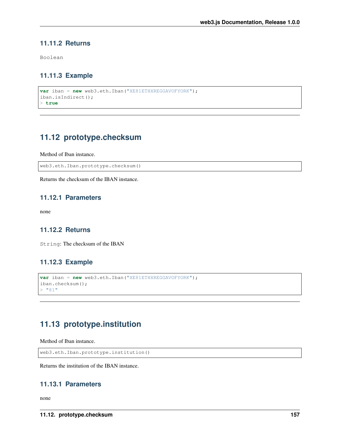# **11.11.2 Returns**

Boolean

# **11.11.3 Example**

```
var iban = new web3.eth.Iban("XE81ETHXREGGAVOFYORK");
iban.isIndirect();
> true
```
# **11.12 prototype.checksum**

Method of Iban instance.

web3.eth.Iban.prototype.checksum()

Returns the checksum of the IBAN instance.

#### **11.12.1 Parameters**

none

## **11.12.2 Returns**

String: The checksum of the IBAN

## **11.12.3 Example**

```
var iban = new web3.eth.Iban("XE81ETHXREGGAVOFYORK");
iban.checksum();
> "81"
```
# **11.13 prototype.institution**

Method of Iban instance.

web3.eth.Iban.prototype.institution()

Returns the institution of the IBAN instance.

## **11.13.1 Parameters**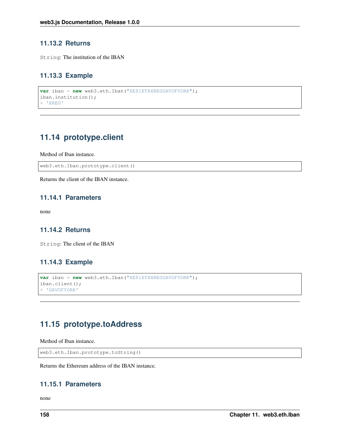## **11.13.2 Returns**

String: The institution of the IBAN

# **11.13.3 Example**

```
var iban = new web3.eth.Iban("XE81ETHXREGGAVOFYORK");
iban.institution();
> 'XREG'
```
# **11.14 prototype.client**

Method of Iban instance.

web3.eth.Iban.prototype.client()

Returns the client of the IBAN instance.

## **11.14.1 Parameters**

none

## **11.14.2 Returns**

String: The client of the IBAN

# **11.14.3 Example**

```
var iban = new web3.eth.Iban("XE81ETHXREGGAVOFYORK");
iban.client();
> 'GAVOFYORK'
```
# **11.15 prototype.toAddress**

Method of Iban instance.

```
web3.eth.Iban.prototype.toString()
```
Returns the Ethereum address of the IBAN instance.

#### **11.15.1 Parameters**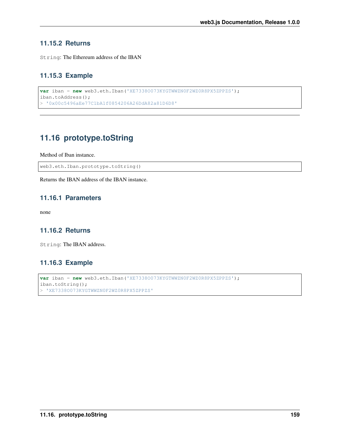# **11.15.2 Returns**

String: The Ethereum address of the IBAN

# **11.15.3 Example**

```
var iban = new web3.eth.Iban('XE7338O073KYGTWWZN0F2WZ0R8PX5ZPPZS');
iban.toAddress();
> '0x00c5496aEe77C1bA1f0854206A26DdA82a81D6D8'
```
# **11.16 prototype.toString**

Method of Iban instance.

web3.eth.Iban.prototype.toString()

Returns the IBAN address of the IBAN instance.

# **11.16.1 Parameters**

none

# **11.16.2 Returns**

String: The IBAN address.

# **11.16.3 Example**

```
var iban = new web3.eth.Iban('XE73380073KYGTWWZN0F2WZ0R8PX5ZPPZS');
iban.toString();
 > 'XE7338O073KYGTWWZN0F2WZ0R8PX5ZPPZS'
```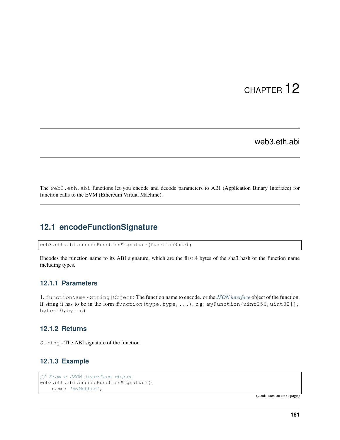# CHAPTER 12

web3.eth.abi

The web3.eth.abi functions let you encode and decode parameters to ABI (Application Binary Interface) for function calls to the EVM (Ethereum Virtual Machine).

# **12.1 encodeFunctionSignature**

web3.eth.abi.encodeFunctionSignature(functionName);

Encodes the function name to its ABI signature, which are the first 4 bytes of the sha3 hash of the function name including types.

#### **12.1.1 Parameters**

1. functionName - String|Object: The function name to encode. or the *[JSON interface](#page-14-0)* object of the function. If string it has to be in the form function (type, type, ...), e.g: myFunction (uint256, uint32[], bytes10,bytes)

#### **12.1.2 Returns**

String - The ABI signature of the function.

## **12.1.3 Example**

```
// From a JSON interface object
web3.eth.abi.encodeFunctionSignature({
   name: 'myMethod',
```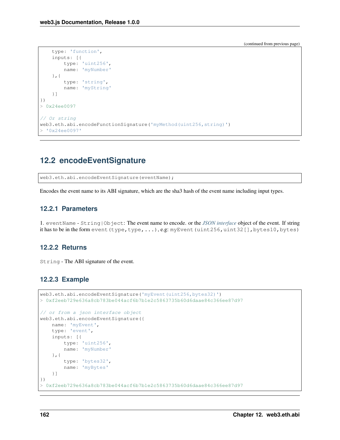```
type: 'function',
    inputs: [{
        type: 'uint256',
        name: 'myNumber'
    },{
        type: 'string',
        name: 'myString'
    }]
})
> 0x24ee0097
// Or string
web3.eth.abi.encodeFunctionSignature('myMethod(uint256,string)')
> '0x24ee0097'
```
# **12.2 encodeEventSignature**

web3.eth.abi.encodeEventSignature(eventName);

Encodes the event name to its ABI signature, which are the sha3 hash of the event name including input types.

#### **12.2.1 Parameters**

1. eventName - String|Object: The event name to encode. or the *[JSON interface](#page-14-0)* object of the event. If string it has to be in the form event  $(type, type,...)$ , e.g: myEvent (uint256,uint32[], bytes10, bytes)

#### **12.2.2 Returns**

String - The ABI signature of the event.

#### **12.2.3 Example**

```
web3.eth.abi.encodeEventSignature('myEvent(uint256,bytes32)')
> 0xf2eeb729e636a8cb783be044acf6b7b1e2c5863735b60d6daae84c366ee87d97
// or from a json interface object
web3.eth.abi.encodeEventSignature({
   name: 'myEvent',
    type: 'event',
    inputs: [{
        type: 'uint256',
        name: 'myNumber'
    },{
        type: 'bytes32',
        name: 'myBytes'
    }]
})
> 0xf2eeb729e636a8cb783be044acf6b7b1e2c5863735b60d6daae84c366ee87d97
```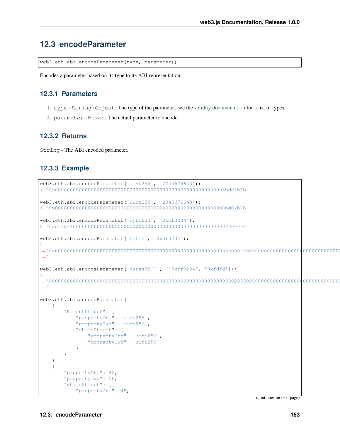# **12.3 encodeParameter**

web3.eth.abi.encodeParameter(type, parameter);

Encodes a parameter based on its type to its ABI representation.

#### **12.3.1 Parameters**

- 1. type String|Object: The type of the parameter, see the [solidity documentation](http://solidity.readthedocs.io/en/develop/types.html) for a list of types.
- 2. parameter Mixed: The actual parameter to encode.

#### **12.3.2 Returns**

String - The ABI encoded parameter.

#### **12.3.3 Example**

```
web3.eth.abi.encodeParameter('uint256', '2345675643');
> "0x000000000000000000000000000000000000000000000000000000008bd02b7b"
web3.eth.abi.encodeParameter('uint256', '2345675643');
> "0x000000000000000000000000000000000000000000000000000000008bd02b7b"
web3.eth.abi.encodeParameter('bytes32', '0xdf3234');
> "0xdf32340000000000000000000000000000000000000000000000000000000000"
web3.eth.abi.encodeParameter('bytes', '0xdf3234');
>
˓→"0x00000000000000000000000000000000000000000000000000000000000000200000000000000000000000000000000000000000000000000000000000000003df32340000000000000000000000000000000000000000000000000000000000
˓→"
web3.eth.abi.encodeParameter('bytes32[]', ['0xdf3234', '0xfdfd']);
>
˓→"00000000000000000000000000000000000000000000000000000000000000200000000000000000000000000000000000000000000000000000000000000002df32340000000000000000000000000000000000000000000000000000000000fdfd000000000000000000000000000000000000000000000000000000000000
˓→"
web3.eth.abi.encodeParameter(
     {
          "ParentStruct": {
               "propertyOne": 'uint256',
               "propertyTwo": 'uint256',
               "childStruct": {
                    "propertyOne": 'uint256',
                     "propertyTwo": 'uint256'
               }
          }
     },
     {
          "propertyOne": 42,
          "propertyTwo": 56,
          "childStruct": {
               "propertyOne": 45,
```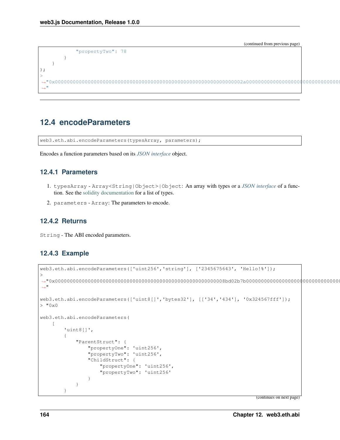```
"propertyTwo": 78
                   }
         }
);
>
 ˓→"0x000000000000000000000000000000000000000000000000000000000000002a0000000000000000000000000000000000000000000000000000000000000038000000000000000000000000000000000000000000000000000000000000002d000000000000000000000000000000000000000000000000000000000000004e
 \hookrightarrow "
```
# **12.4 encodeParameters**

web3.eth.abi.encodeParameters(typesArray, parameters);

Encodes a function parameters based on its *[JSON interface](#page-14-0)* object.

#### **12.4.1 Parameters**

- 1. typesArray Array<String|Object>|Object: An array with types or a *[JSON interface](#page-14-0)* of a function. See the [solidity documentation](http://solidity.readthedocs.io/en/develop/types.html) for a list of types.
- 2. parameters Array: The parameters to encode.

## **12.4.2 Returns**

String - The ABI encoded parameters.

#### **12.4.3 Example**

```
web3.eth.abi.encodeParameters(['uint256','string'], ['2345675643', 'Hello!%']);
>
˓→"0x000000000000000000000000000000000000000000000000000000008bd02b7b0000000000000000000000000000000000000000000000000000000000000040000000000000000000000000000000000000000000000000000000000000000748656c6c6f212500000000000000000000000000000000000000000000000000
\hookrightarrow "
web3.eth.abi.encodeParameters(['uint8[]','bytes32'], [['34','434'], '0x324567fff']);
> 0 \times 0web3.eth.abi.encodeParameters(
     \sqrt{2}'uint8[]',
           {
                 "ParentStruct": {
                       "propertyOne": 'uint256',
                       "propertyTwo": 'uint256',
                       "ChildStruct": {
                             "propertyOne": 'uint256',
                             "propertyTwo": 'uint256'
                       }
                 }
           }
```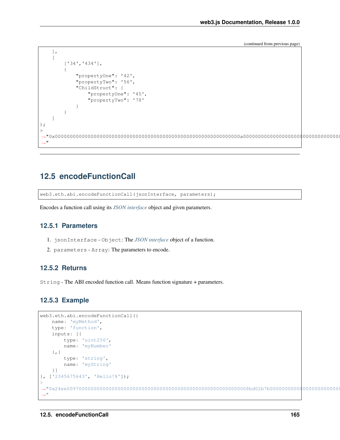```
],
           [
                        ['34','434'],
                        {
                                   "propertyOne": '42',
                                   "propertyTwo": '56',
                                   "ChildStruct": {
                                               "propertyOne": '45',
                                               "propertyTwo": '78'
                                   }
                       }
           ]
);
>
 ˓→"0x00000000000000000000000000000000000000000000000000000000000000a0000000000000000000000000000000000000000000000000000000000000002a0000000000000000000000000000000000000000000000000000000000000038000000000000000000000000000000000000000000000000000000000000002d000000000000000000000000000000000000000000000000000000000000004e0000000000000000000000000000000000000000000000000000000000000002000000000000000000000000000000000000000000000000000000000000002a0000000000000000000000000000000000000000000000000000000000000018
  ˓→"
```
# **12.5 encodeFunctionCall**

web3.eth.abi.encodeFunctionCall(jsonInterface, parameters);

Encodes a function call using its *[JSON interface](#page-14-0)* object and given parameters.

### **12.5.1 Parameters**

- 1. jsonInterface Object: The *[JSON interface](#page-14-0)* object of a function.
- 2. parameters Array: The parameters to encode.

#### **12.5.2 Returns**

String - The ABI encoded function call. Means function signature + parameters.

#### **12.5.3 Example**

```
web3.eth.abi.encodeFunctionCall({
     name: 'myMethod',
      type: 'function',
      inputs: [{
             type: 'uint256',
             name: 'myNumber'
      },{
            type: 'string',
            name: 'myString'
      }]
}, ['2345675643', 'Hello!%']);
>
˓→"0x24ee0097000000000000000000000000000000000000000000000000000000008bd02b7b0000000000000000000000000000000000000000000000000000000000000040000000000000000000000000000000000000000000000000000000000000000748656c6c6f212500000000000000000000000000000000000000000000000000
˓→"
```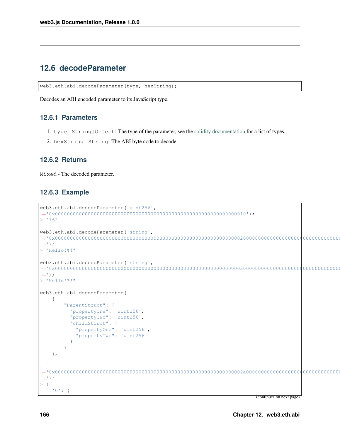# **12.6 decodeParameter**

web3.eth.abi.decodeParameter(type, hexString);

Decodes an ABI encoded parameter to its JavaScript type.

#### **12.6.1 Parameters**

- 1. type String|Object: The type of the parameter, see the [solidity documentation](http://solidity.readthedocs.io/en/develop/types.html) for a list of types.
- 2. hexString String: The ABI byte code to decode.

## **12.6.2 Returns**

Mixed - The decoded parameter.

## **12.6.3 Example**

```
web3.eth.abi.decodeParameter('uint256',
˓→'0x0000000000000000000000000000000000000000000000000000000000000010');
> "16"
web3.eth.abi.decodeParameter('string',
˓→'0x0000000000000000000000000000000000000000000000000000000000000020000000000000000000000000000000000000000000000000000000000000000848656c6c6f212521000000000000000000000000000000000000000000000000
\leftrightarrow');
> "Hello!%!"
web3.eth.abi.decodeParameter('string',
˓→'0x0000000000000000000000000000000000000000000000000000000000000020000000000000000000000000000000000000000000000000000000000000000848656c6c6f212521000000000000000000000000000000000000000000000000
\leftrightarrow');
> "Hello!%!"
web3.eth.abi.decodeParameter(
      {
             "ParentStruct": {
               "propertyOne": 'uint256',
                "propertyTwo": 'uint256',
                "childStruct": {
                   "propertyOne": 'uint256',
                   "propertyTwo": 'uint256'
                }
            }
      },
,
˓→'0x000000000000000000000000000000000000000000000000000000000000002a0000000000000000000000000000000000000000000000000000000000000038000000000000000000000000000000000000000000000000000000000000002d000000000000000000000000000000000000000000000000000000000000004e
ightharpoonup');
> {
      '0': {
```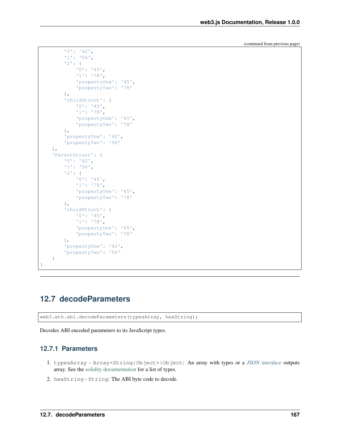```
'0': '42',
        '1': '56',
        '2': {
            '0': '45',
            '1': '78',
            'propertyOne': '45',
            'propertyTwo': '78'
        },
        'childStruct': {
            '0': '45',
            '1': '78',
            'propertyOne': '45',
            'propertyTwo': '78'
        },
        'propertyOne': '42',
        'propertyTwo': '56'
    },
    'ParentStruct': {
        '0': '42',
        '1': '56',
        '2': {
            '0': '45',
            '1': '78',
            'propertyOne': '45',
            'propertyTwo': '78'
        },
        'childStruct': {
            '0': '45',
            '1': '78',
            'propertyOne': '45',
            'propertyTwo': '78'
        },
        'propertyOne': '42',
        'propertyTwo': '56'
    }
}
```
# **12.7 decodeParameters**

web3.eth.abi.decodeParameters(typesArray, hexString);

Decodes ABI encoded parameters to its JavaScript types.

# **12.7.1 Parameters**

- 1. typesArray Array<String|Object>|Object: An array with types or a *[JSON interface](#page-14-0)* outputs array. See the [solidity documentation](http://solidity.readthedocs.io/en/develop/types.html) for a list of types.
- 2. hexString String: The ABI byte code to decode.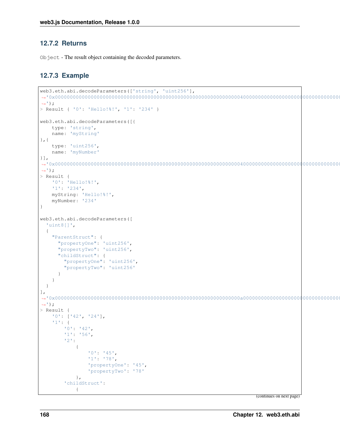## **12.7.2 Returns**

Object - The result object containing the decoded parameters.

## **12.7.3 Example**

```
web3.eth.abi.decodeParameters(['string', 'uint256'],
˓→'0x000000000000000000000000000000000000000000000000000000000000004000000000000000000000000000000000000000000000000000000000000000ea000000000000000000000000000000000000000000000000000000000000000848656c6c6f212521000000000000000000000000000000000000000000000000
\leftrightarrow');
> Result { '0': 'Hello!%!', '1': '234' }
web3.eth.abi.decodeParameters([{
       type: 'string',
       name: 'myString'
},{
       type: 'uint256',
       name: 'myNumber'
}],
˓→'0x000000000000000000000000000000000000000000000000000000000000004000000000000000000000000000000000000000000000000000000000000000ea000000000000000000000000000000000000000000000000000000000000000848656c6c6f212521000000000000000000000000000000000000000000000000
 ightharpoonup');
> Result {
       '0': 'Hello!%!',
       '1': '234',
       myString: 'Hello!%!',
       myNumber: '234'
}
web3.eth.abi.decodeParameters([
    'uint8[]',
    {
        "ParentStruct": {
           "propertyOne": 'uint256',
           "propertyTwo": 'uint256',
           "childStruct": {
               "propertyOne": 'uint256',
               "propertyTwo": 'uint256'
           }
       }
   }
],
 ˓→'0x00000000000000000000000000000000000000000000000000000000000000a0000000000000000000000000000000000000000000000000000000000000002a0000000000000000000000000000000000000000000000000000000000000038000000000000000000000000000000000000000000000000000000000000002d000000000000000000000000000000000000000000000000000000000000004e0000000000000000000000000000000000000000000000000000000000000002000000000000000000000000000000000000000000000000000000000000002a0000000000000000000000000000000000000000000000000000000000000018
\leftrightarrow');
> Result {
       '0': ['42', '24'],
        '1': {
               '0': '42',
               '1': '56',
               '2':
                       {
                              '0': '45',
                              '1': '78',
                              'propertyOne': '45',
                              'propertyTwo': '78'
                      },
                'childStruct':
                       {
```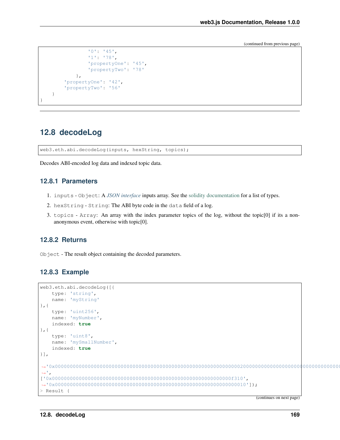```
'0': '45',
                 '1': '78',
                 'propertyOne': '45',
                 'propertyTwo': '78'
            },
        'propertyOne': '42',
        'propertyTwo': '56'
    }
}
```
# **12.8 decodeLog**

web3.eth.abi.decodeLog(inputs, hexString, topics);

Decodes ABI-encoded log data and indexed topic data.

## **12.8.1 Parameters**

- 1. inputs Object: A *[JSON interface](#page-14-0)* inputs array. See the [solidity documentation](http://solidity.readthedocs.io/en/develop/types.html) for a list of types.
- 2. hexString String: The ABI byte code in the data field of a log.
- 3. topics Array: An array with the index parameter topics of the log, without the topic[0] if its a nonanonymous event, otherwise with topic[0].

### **12.8.2 Returns**

Object - The result object containing the decoded parameters.

#### **12.8.3 Example**

```
web3.eth.abi.decodeLog([{
     type: 'string',
    name: 'myString'
},{
    type: 'uint256',
     name: 'myNumber',
    indexed: true
\}, {
     type: 'uint8',
     name: 'mySmallNumber',
     indexed: true
}],
˓→'0x0000000000000000000000000000000000000000000000000000000000000020000000000000000000000000000000000000000000000000000000000000000748656c6c6f252100000000000000000000000000000000000000000000000000
ightharpoonup',
['0x000000000000000000000000000000000000000000000000000000000000f310',
˓→'0x0000000000000000000000000000000000000000000000000000000000000010']);
> Result {
```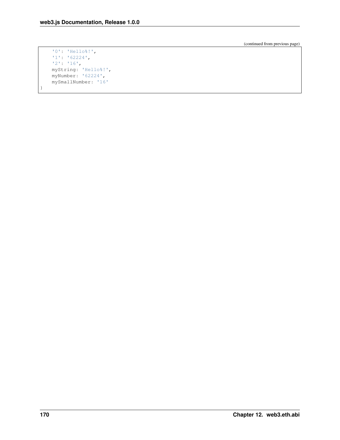```
'0': 'Hello%!',
'1': '62224',
'2': '16',
myString: 'Hello%!',
myNumber: '62224',
mySmallNumber: '16'
```
}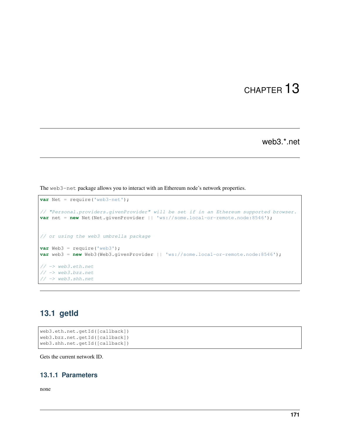# CHAPTER 13

web3.\*.net

The web3-net package allows you to interact with an Ethereum node's network properties.

```
var Net = require('web3-net');
// "Personal.providers.givenProvider" will be set if in an Ethereum supported browser.
var net = new Net(Net.givenProvider || 'ws://some.local-or-remote.node:8546');
// or using the web3 umbrella package
var Web3 = require('web3');
var web3 = new Web3(Web3.givenProvider || 'ws://some.local-or-remote.node:8546');
// -> web3.eth.net
// -> web3.bzz.net
// -> web3.shh.net
```
# **13.1 getId**

```
web3.eth.net.getId([callback])
web3.bzz.net.getId([callback])
web3.shh.net.getId([callback])
```
Gets the current network ID.

# **13.1.1 Parameters**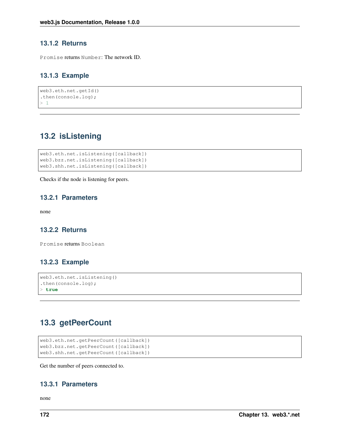### **13.1.2 Returns**

Promise returns Number: The network ID.

# **13.1.3 Example**

```
web3.eth.net.getId()
.then(console.log);
> 1
```
# **13.2 isListening**

```
web3.eth.net.isListening([callback])
web3.bzz.net.isListening([callback])
web3.shh.net.isListening([callback])
```
Checks if the node is listening for peers.

## **13.2.1 Parameters**

none

## **13.2.2 Returns**

Promise returns Boolean

## **13.2.3 Example**

```
web3.eth.net.isListening()
.then(console.log);
> true
```
# **13.3 getPeerCount**

```
web3.eth.net.getPeerCount([callback])
web3.bzz.net.getPeerCount([callback])
web3.shh.net.getPeerCount([callback])
```
Get the number of peers connected to.

# **13.3.1 Parameters**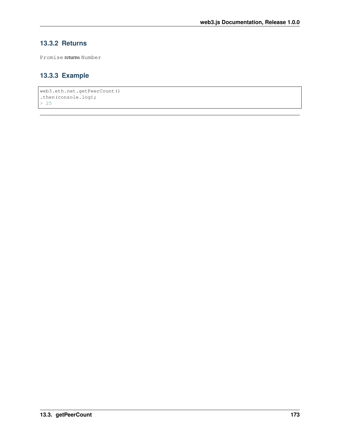## **13.3.2 Returns**

Promise returns Number

## **13.3.3 Example**

```
web3.eth.net.getPeerCount()
.then(console.log);
> 25
```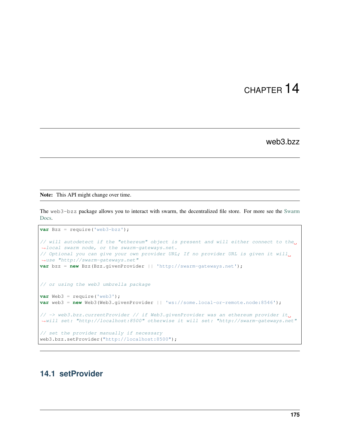# CHAPTER 14

## web3.bzz

Note: This API might change over time.

The web3-bzz package allows you to interact with swarm, the decentralized file store. For more see the [Swarm](https://docs.ethswarm.org/docs/) [Docs.](https://docs.ethswarm.org/docs/)

```
var Bzz = require('web3-bzz');
// will autodetect if the "ethereum" object is present and will either connect to the
˓→local swarm node, or the swarm-gateways.net.
// Optional you can give your own provider URL; If no provider URL is given it will,
˓→use "http://swarm-gateways.net"
var bzz = new Bzz(Bzz.givenProvider || 'http://swarm-gateways.net');
// or using the web3 umbrella package
var Web3 = require('web3');
var web3 = new Web3(Web3.givenProvider || 'ws://some.local-or-remote.node:8546');
// -> web3.bzz.currentProvider // if Web3.givenProvider was an ethereum provider it,
˓→will set: "http://localhost:8500" otherwise it will set: "http://swarm-gateways.net"
// set the provider manually if necessary
web3.bzz.setProvider("http://localhost:8500");
```
## **14.1 setProvider**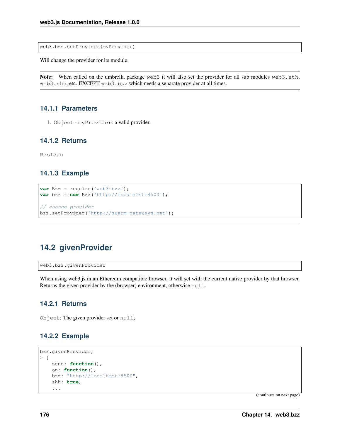web3.bzz.setProvider(myProvider)

Will change the provider for its module.

Note: When called on the umbrella package web3 it will also set the provider for all sub modules web3.eth, web3.shh, etc. EXCEPT web3.bzz which needs a separate provider at all times.

#### **14.1.1 Parameters**

1. Object - myProvider: a valid provider.

#### **14.1.2 Returns**

Boolean

#### **14.1.3 Example**

```
var Bzz = require('web3-bzz');
var bzz = new Bzz('http://localhost:8500');
// change provider
bzz.setProvider('http://swarm-gateways.net');
```
## **14.2 givenProvider**

web3.bzz.givenProvider

When using web3.js in an Ethereum compatible browser, it will set with the current native provider by that browser. Returns the given provider by the (browser) environment, otherwise null.

#### **14.2.1 Returns**

Object: The given provider set or null;

#### **14.2.2 Example**

```
bzz.givenProvider;
> {
   send: function(),
   on: function(),
   bzz: "http://localhost:8500",
    shh: true,
    ...
```
(continues on next page)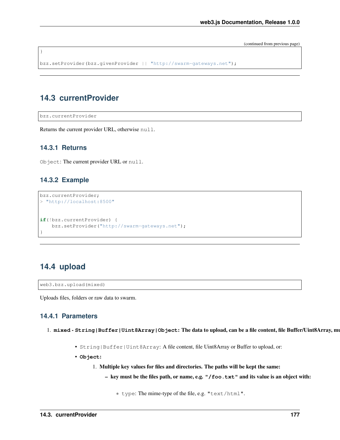(continued from previous page)

```
bzz.setProvider(bzz.givenProvider || "http://swarm-gateways.net");
```
## **14.3 currentProvider**

bzz.currentProvider

}

Returns the current provider URL, otherwise null.

#### **14.3.1 Returns**

Object: The current provider URL or null.

#### **14.3.2 Example**

```
bzz.currentProvider;
> "http://localhost:8500"
if(!bzz.currentProvider) {
    bzz.setProvider("http://swarm-gateways.net");
}
```
## **14.4 upload**

web3.bzz.upload(mixed)

Uploads files, folders or raw data to swarm.

#### **14.4.1 Parameters**

- 1. mixed String|Buffer|Uint8Array|Object: The data to upload, can be a file content, file Buffer/Uint8Array, mu
	- String|Buffer|Uint8Array: A file content, file Uint8Array or Buffer to upload, or:
	- **Object**:
		- 1. Multiple key values for files and directories. The paths will be kept the same:
			- key must be the files path, or name, e.g. **"/foo.txt"** and its value is an object with:

\* type: The mime-type of the file, e.g. "text/html".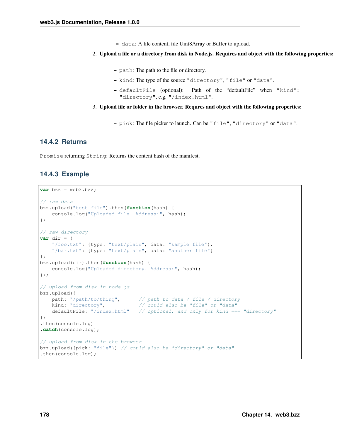- \* data: A file content, file Uint8Array or Buffer to upload.
- 2. Upload a file or a directory from disk in Node.js. Requires and object with the following properties:
	- path: The path to the file or directory.
	- kind: The type of the source "directory", "file" or "data".
	- defaultFile (optional): Path of the "defaultFile" when "kind": "directory", e.g. "/index.html".
- 3. Upload file or folder in the browser. Requres and object with the following properties:
	- pick: The file picker to launch. Can be "file", "directory" or "data".

#### **14.4.2 Returns**

Promise returning String: Returns the content hash of the manifest.

#### **14.4.3 Example**

```
var bzz = web3.bzz;
// raw data
bzz.upload("test file").then(function(hash) {
    console.log("Uploaded file. Address:", hash);
})
// raw directory
var dir = {
    "/foo.txt": {type: "text/plain", data: "sample file"},
    "/bar.txt": {type: "text/plain", data: "another file"}
};
bzz.upload(dir).then(function(hash) {
    console.log("Uploaded directory. Address:", hash);
});
// upload from disk in node.js
bzz.upload({
   path: "/path/to/thing", // path to data / file / directory
   kind: "directory", \frac{1}{2} // could also be "file" or "data"
   defaultFile: "/index.html" // optional, and only for kind === "directory"
})
.then(console.log)
.catch(console.log);
// upload from disk in the browser
bzz.upload({pick: "file"}) // could also be "directory" or "data"
.then(console.log);
```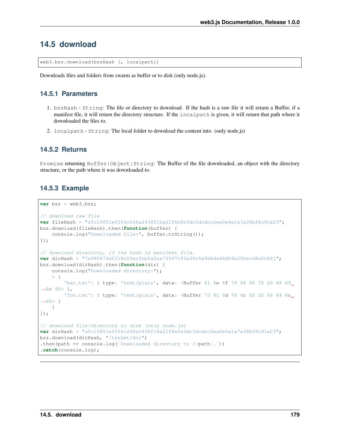## **14.5 download**

web3.bzz.download(bzzHash [, localpath])

Downloads files and folders from swarm as buffer or to disk (only node.js).

#### **14.5.1 Parameters**

- 1. bzzHash String: The file or directory to download. If the hash is a raw file it will return a Buffer, if a manifest file, it will return the directory structure. If the localpath is given, it will return that path where it downloaded the files to.
- 2. localpath String: The local folder to download the content into. (only node.js)

#### **14.5.2 Returns**

Promise returning Buffer|Object|String: The Buffer of the file downloaded, an object with the directory structure, or the path where it was downloaded to.

#### **14.5.3 Example**

```
var bzz = web3.bzz;
// download raw file
var fileHash = "a5c10851ef054c268a2438f10a21f6efe3dc3dcdcc2ea0e6a1a7a38bf8c91e23";
bzz.download(fileHash).then(function(buffer) {
    console.log("Downloaded file:", buffer.toString());
});
// download directory, if the hash is manifest file.
var dirHash = "7e980476df218c05ecfcb0a2ca73597193a34c5a9d6da84d54e295ecd8e0c641";
bzz.download(dirHash).then(function(dir) {
   console.log("Downloaded directory:");
    > 1'bar.txt': { type: 'text/plain', data: <Buffer 61 6e 6f 74 68 65 72 20 66 69.
-6c 65 > ?'foo.txt': { type: 'text/plain', data: <Buffer 73 61 6d 70 6c 65 20 66 69 6c
\rightarrow 65> }
    }
});
// download file/directory to disk (only node.js)
var dirHash = "a5c10851ef054c268a2438f10a21f6efe3dc3dcdcc2ea0e6a1a7a38bf8c91e23";
bzz.download(dirHash, "/target/dir")
.then(path => console.log(`Downloaded directory to \mathcal{S}(\text{path}|\cdot\cdot)))
.catch(console.log);
```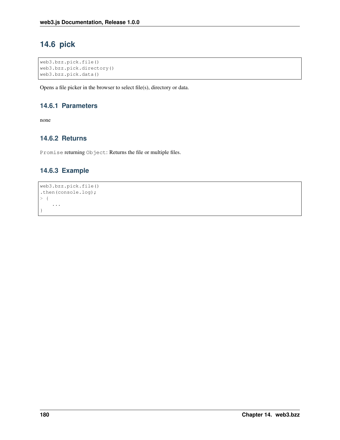## **14.6 pick**

```
web3.bzz.pick.file()
web3.bzz.pick.directory()
web3.bzz.pick.data()
```
Opens a file picker in the browser to select file(s), directory or data.

#### **14.6.1 Parameters**

none

## **14.6.2 Returns**

Promise returning Object: Returns the file or multiple files.

## **14.6.3 Example**

```
web3.bzz.pick.file()
.then(console.log);
> {
    ...
}
```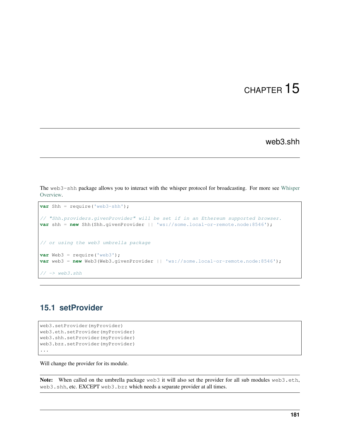# CHAPTER 15

web3.shh

The web3-shh package allows you to interact with the whisper protocol for broadcasting. For more see [Whisper](https://eth.wiki/concepts/whisper/whisper-overview) [Overview.](https://eth.wiki/concepts/whisper/whisper-overview)

```
var Shh = require('web3-shh');
// "Shh.providers.givenProvider" will be set if in an Ethereum supported browser.
var shh = new Shh(Shh.givenProvider || 'ws://some.local-or-remote.node:8546');
// or using the web3 umbrella package
var Web3 = require('web3');
var web3 = new Web3(Web3.givenProvider || 'ws://some.local-or-remote.node:8546');
\frac{1}{2} \rightarrow web3.shh
```
## **15.1 setProvider**

```
web3.setProvider(myProvider)
web3.eth.setProvider(myProvider)
web3.shh.setProvider(myProvider)
web3.bzz.setProvider(myProvider)
...
```
Will change the provider for its module.

Note: When called on the umbrella package web3 it will also set the provider for all sub modules web3.eth, web3.shh, etc. EXCEPT web3.bzz which needs a separate provider at all times.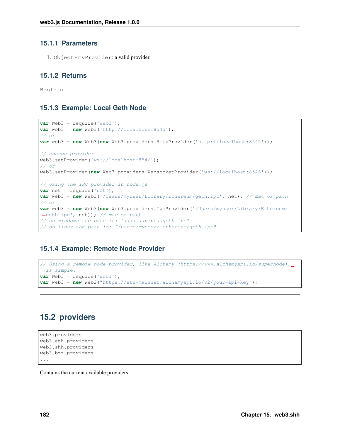#### **15.1.1 Parameters**

1. Object - myProvider: a valid provider.

#### **15.1.2 Returns**

Boolean

#### **15.1.3 Example: Local Geth Node**

```
var Web3 = require('web3');
var web3 = new Web3('http://localhost:8545');
// or
var web3 = new Web3(new Web3.providers.HttpProvider('http://localhost:8545'));
// change provider
web3.setProvider('ws://localhost:8546');
// or
web3.setProvider(new Web3.providers.WebsocketProvider('ws://localhost:8546'));
// Using the IPC provider in node.js
var net = require('net');
var web3 = new Web3('/Users/myuser/Library/Ethereum/geth.ipc', net); // mac os path
// or
var web3 = new Web3(new Web3.providers.IpcProvider('/Users/myuser/Library/Ethereum/
˓→geth.ipc', net)); // mac os path
// on windows the path is: "\\\\.\\pipe\\geth.ipc"
// on linux the path is: "/users/myuser/.ethereum/geth.ipc"
```
## **15.1.4 Example: Remote Node Provider**

```
// Using a remote node provider, like Alchemy (https://www.alchemyapi.io/supernode),
˓→is simple.
var Web3 = require('web3');
var web3 = new Web3("https://eth-mainnet.alchemyapi.io/v2/your-api-key");
```
## **15.2 providers**

```
web3.providers
web3.eth.providers
web3.shh.providers
web3.bzz.providers
...
```
Contains the current available providers.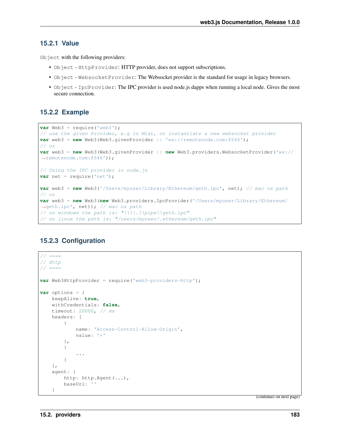#### **15.2.1 Value**

Object with the following providers:

- Object HttpProvider: HTTP provider, does not support subscriptions.
- Object WebsocketProvider: The Websocket provider is the standard for usage in legacy browsers.
- Object IpcProvider: The IPC provider is used node.js dapps when running a local node. Gives the most secure connection.

#### **15.2.2 Example**

```
var Web3 = require('web3');
// use the given Provider, e.g in Mist, or instantiate a new websocket provider
var web3 = new Web3(Web3.givenProvider || \cdot || 'ws://remotenode.com:8546');
// or
var web3 = new Web3(Web3.givenProvider || new Web3.providers.WebsocketProvider('ws://
˓→remotenode.com:8546'));
// Using the IPC provider in node.js
var net = require('net');
var web3 = new Web3('/Users/myuser/Library/Ethereum/geth.ipc', net); // mac os path
// or
var web3 = new Web3(new Web3.providers.IpcProvider('/Users/myuser/Library/Ethereum/
˓→geth.ipc', net)); // mac os path
// on windows the path is: "\\\\.\\pipe\\geth.ipc"
// on linux the path is: "/users/myuser/.ethereum/geth.ipc"
```
#### **15.2.3 Configuration**

```
// == ==// Http
// == ==var Web3HttpProvider = require('web3-providers-http');
var options = {
   keepAlive: true,
   withCredentials: false,
    timeout: 20000, // ms
   headers: [
        {
            name: 'Access-Control-Allow-Origin',
            value: '*'
        },
        {
            ...
        }
    ],
    agent: {
        http: http.Agent(...),
        baseUrl: ''
    }
```
(continues on next page)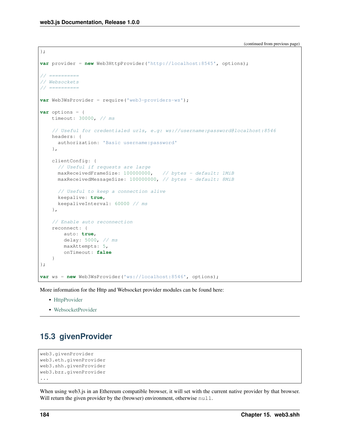};

(continued from previous page)

```
var provider = new Web3HttpProvider('http://localhost:8545', options);
// ==========
// Websockets
// ==========
var Web3WsProvider = require('web3-providers-ws');
var options = {
   timeout: 30000, // ms
    // Useful for credentialed urls, e.g: ws://username:password@localhost:8546
   headers: {
      authorization: 'Basic username:password'
    },
    clientConfig: {
      // Useful if requests are large
      maxReceivedFrameSize: 100000000, // bytes - default: 1MiB
     maxReceivedMessageSize: 100000000, // bytes - default: 8MiB
      // Useful to keep a connection alive
      keepalive: true,
      keepaliveInterval: 60000 // ms
    },
    // Enable auto reconnection
    reconnect: {
        auto: true,
        delay: 5000, // ms
        maxAttempts: 5,
        onTimeout: false
    }
};
var ws = new Web3WsProvider('ws://localhost:8546', options);
```
More information for the Http and Websocket provider modules can be found here:

- [HttpProvider](https://github.com/ethereum/web3.js/tree/1.x/packages/web3-providers-http#usage)
- [WebsocketProvider](https://github.com/ethereum/web3.js/tree/1.x/packages/web3-providers-ws#usage)

## **15.3 givenProvider**

```
web3.givenProvider
web3.eth.givenProvider
web3.shh.givenProvider
web3.bzz.givenProvider
...
```
When using web3.js in an Ethereum compatible browser, it will set with the current native provider by that browser. Will return the given provider by the (browser) environment, otherwise null.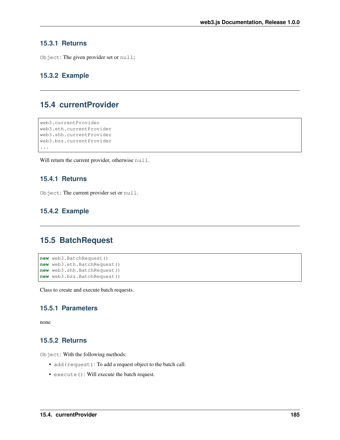#### **15.3.1 Returns**

Object: The given provider set or null;

#### **15.3.2 Example**

## **15.4 currentProvider**

```
web3.currentProvider
web3.eth.currentProvider
web3.shh.currentProvider
web3.bzz.currentProvider
...
```
Will return the current provider, otherwise null.

#### **15.4.1 Returns**

Object: The current provider set or null.

#### **15.4.2 Example**

## **15.5 BatchRequest**

```
new web3.BatchRequest()
new web3.eth.BatchRequest()
new web3.shh.BatchRequest()
new web3.bzz.BatchRequest()
```
Class to create and execute batch requests.

#### **15.5.1 Parameters**

none

#### **15.5.2 Returns**

Object: With the following methods:

- add(request): To add a request object to the batch call.
- execute(): Will execute the batch request.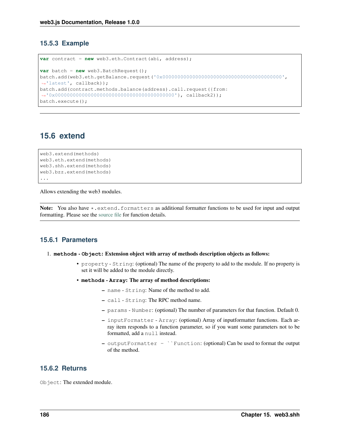#### **15.5.3 Example**

```
var contract = new web3.eth.Contract(abi, address);
var batch = new web3.BatchRequest();
batch.add(web3.eth.getBalance.request('0x0000000000000000000000000000000000000000',
˓→'latest', callback));
batch.add(contract.methods.balance(address).call.request({from:
˓→'0x0000000000000000000000000000000000000000'}, callback2));
batch.execute();
```
## **15.6 extend**

```
web3.extend(methods)
web3.eth.extend(methods)
web3.shh.extend(methods)
web3.bzz.extend(methods)
...
```
Allows extending the web3 modules.

Note: You also have \*.extend.formatters as additional formatter functions to be used for input and output formatting. Please see the [source file](https://github.com/ethereum/web3.js/blob/1.x/packages/web3-core-helpers/src/formatters.js) for function details.

#### **15.6.1 Parameters**

#### 1. **methods** - **Object**: Extension object with array of methods description objects as follows:

- property String: (optional) The name of the property to add to the module. If no property is set it will be added to the module directly.
- **methods Array**: The array of method descriptions:
	- name String: Name of the method to add.
	- call String: The RPC method name.
	- params Number: (optional) The number of parameters for that function. Default 0.
	- inputFormatter Array: (optional) Array of inputformatter functions. Each array item responds to a function parameter, so if you want some parameters not to be formatted, add a null instead.
	- outputFormatter ``Function: (optional) Can be used to format the output of the method.

#### **15.6.2 Returns**

Object: The extended module.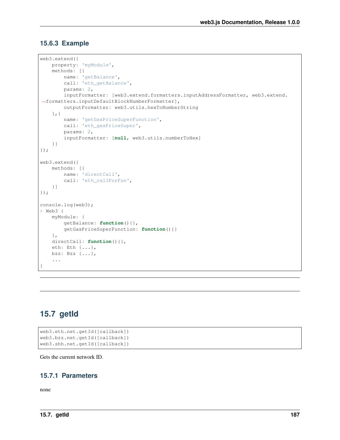#### **15.6.3 Example**

```
web3.extend({
   property: 'myModule',
    methods: [{
       name: 'getBalance',
        call: 'eth_getBalance',
        params: 2,
        inputFormatter: [web3.extend.formatters.inputAddressFormatter, web3.extend.
˓→formatters.inputDefaultBlockNumberFormatter],
        outputFormatter: web3.utils.hexToNumberString
    },{
        name: 'getGasPriceSuperFunction',
        call: 'eth_gasPriceSuper',
        params: 2,
        inputFormatter: [null, web3.utils.numberToHex]
    }]
});
web3.extend({
   methods: [{
        name: 'directCall',
        call: 'eth_callForFun',
    }]
});
console.log(web3);
> Web3 {
    myModule: {
        getBalance: function(){},
        getGasPriceSuperFunction: function(){}
    },
   directCall: function(){},
    eth: Eth {...},
    bzz: Bzz {...},
    ...
}
```
## **15.7 getId**

```
web3.eth.net.getId([callback])
web3.bzz.net.getId([callback])
web3.shh.net.getId([callback])
```
Gets the current network ID.

## **15.7.1 Parameters**

none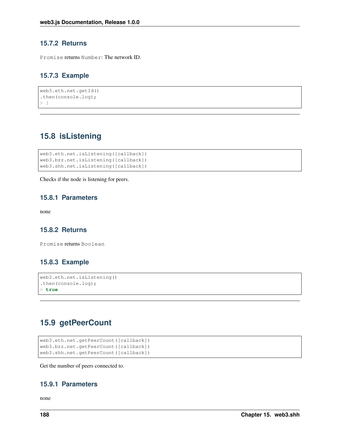#### **15.7.2 Returns**

Promise returns Number: The network ID.

#### **15.7.3 Example**

```
web3.eth.net.getId()
.then(console.log);
> 1
```
## **15.8 isListening**

```
web3.eth.net.isListening([callback])
web3.bzz.net.isListening([callback])
web3.shh.net.isListening([callback])
```
Checks if the node is listening for peers.

#### **15.8.1 Parameters**

none

#### **15.8.2 Returns**

Promise returns Boolean

#### **15.8.3 Example**

```
web3.eth.net.isListening()
.then(console.log);
> true
```
## **15.9 getPeerCount**

```
web3.eth.net.getPeerCount([callback])
web3.bzz.net.getPeerCount([callback])
web3.shh.net.getPeerCount([callback])
```
Get the number of peers connected to.

#### **15.9.1 Parameters**

none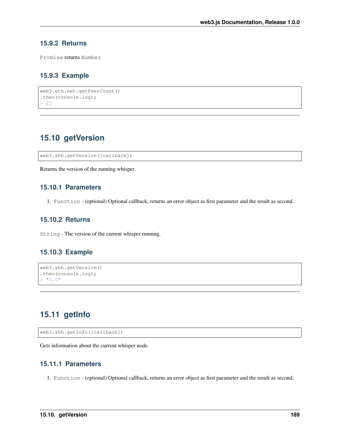#### **15.9.2 Returns**

Promise returns Number

#### **15.9.3 Example**

```
web3.eth.net.getPeerCount()
.then(console.log);
> 25
```
## **15.10 getVersion**

web3.shh.getVersion([callback])

Returns the version of the running whisper.

#### **15.10.1 Parameters**

1. Function - (optional) Optional callback, returns an error object as first parameter and the result as second.

#### **15.10.2 Returns**

String - The version of the current whisper running.

#### **15.10.3 Example**

```
web3.shh.getVersion()
.then(console.log);
> "5.0"
```
## <span id="page-196-0"></span>**15.11 getInfo**

```
web3.shh.getInfo([callback])
```
Gets information about the current whisper node.

#### **15.11.1 Parameters**

1. Function - (optional) Optional callback, returns an error object as first parameter and the result as second.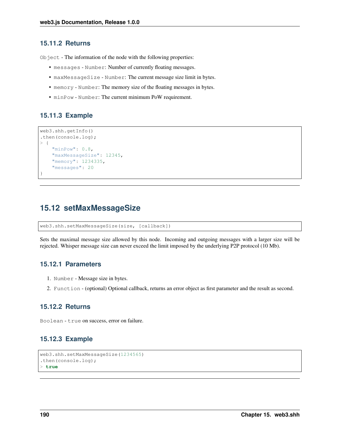#### **15.11.2 Returns**

Object - The information of the node with the following properties:

- messages Number: Number of currently floating messages.
- maxMessageSize Number: The current message size limit in bytes.
- memory Number: The memory size of the floating messages in bytes.
- minPow Number: The current minimum PoW requirement.

#### **15.11.3 Example**

```
web3.shh.getInfo()
.then(console.log);
> {
    "minPow": 0.8,
    "maxMessageSize": 12345,
    "memory": 1234335,
    "messages": 20
}
```
## **15.12 setMaxMessageSize**

web3.shh.setMaxMessageSize(size, [callback])

Sets the maximal message size allowed by this node. Incoming and outgoing messages with a larger size will be rejected. Whisper message size can never exceed the limit imposed by the underlying P2P protocol (10 Mb).

#### **15.12.1 Parameters**

- 1. Number Message size in bytes.
- 2. Function (optional) Optional callback, returns an error object as first parameter and the result as second.

#### **15.12.2 Returns**

Boolean - true on success, error on failure.

#### **15.12.3 Example**

```
web3.shh.setMaxMessageSize(1234565)
.then(console.log);
> true
```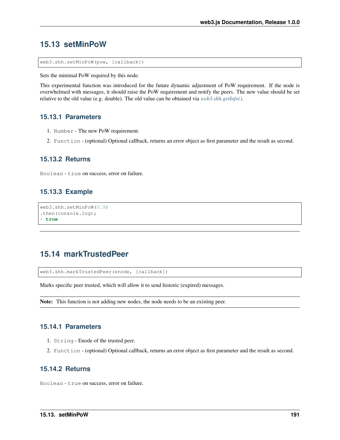## **15.13 setMinPoW**

web3.shh.setMinPoW(pow, [callback])

Sets the minimal PoW required by this node.

This experimental function was introduced for the future dynamic adjustment of PoW requirement. If the node is overwhelmed with messages, it should raise the PoW requirement and notify the peers. The new value should be set relative to the old value (e.g. double). The old value can be obtained via *[web3.shh.getInfo\(\)](#page-196-0)*.

#### **15.13.1 Parameters**

- 1. Number The new PoW requirement.
- 2. Function (optional) Optional callback, returns an error object as first parameter and the result as second.

#### **15.13.2 Returns**

Boolean - true on success, error on failure.

#### **15.13.3 Example**

```
web3.shh.setMinPoW(0.9)
.then(console.log);
> true
```
## **15.14 markTrustedPeer**

web3.shh.markTrustedPeer(enode, [callback])

Marks specific peer trusted, which will allow it to send historic (expired) messages.

Note: This function is not adding new nodes, the node needs to be an existing peer.

#### **15.14.1 Parameters**

- 1. String Enode of the trusted peer.
- 2. Function (optional) Optional callback, returns an error object as first parameter and the result as second.

#### **15.14.2 Returns**

Boolean - true on success, error on failure.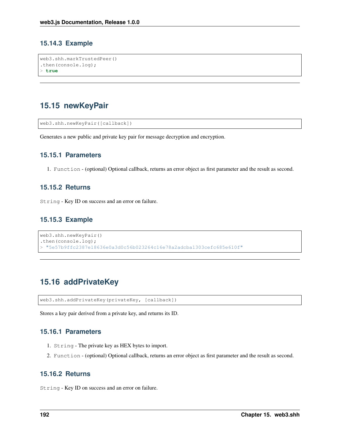#### **15.14.3 Example**

```
web3.shh.markTrustedPeer()
.then(console.log);
> true
```
## **15.15 newKeyPair**

```
web3.shh.newKeyPair([callback])
```
Generates a new public and private key pair for message decryption and encryption.

#### **15.15.1 Parameters**

1. Function - (optional) Optional callback, returns an error object as first parameter and the result as second.

#### **15.15.2 Returns**

String - Key ID on success and an error on failure.

#### **15.15.3 Example**

```
web3.shh.newKeyPair()
.then(console.log);
> "5e57b9ffc2387e18636e0a3d0c56b023264c16e78a2adcba1303cefc685e610f"
```
## **15.16 addPrivateKey**

web3.shh.addPrivateKey(privateKey, [callback])

Stores a key pair derived from a private key, and returns its ID.

#### **15.16.1 Parameters**

- 1. String The private key as HEX bytes to import.
- 2. Function (optional) Optional callback, returns an error object as first parameter and the result as second.

#### **15.16.2 Returns**

String - Key ID on success and an error on failure.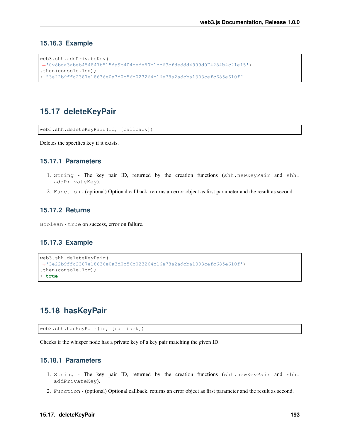#### **15.16.3 Example**

```
web3.shh.addPrivateKey(
˓→'0x8bda3abeb454847b515fa9b404cede50b1cc63cfdeddd4999d074284b4c21e15')
.then(console.log);
 > "3e22b9ffc2387e18636e0a3d0c56b023264c16e78a2adcba1303cefc685e610f"
```
## **15.17 deleteKeyPair**

web3.shh.deleteKeyPair(id, [callback])

Deletes the specifies key if it exists.

#### **15.17.1 Parameters**

- 1. String The key pair ID, returned by the creation functions (shh.newKeyPair and shh. addPrivateKey).
- 2. Function (optional) Optional callback, returns an error object as first parameter and the result as second.

#### **15.17.2 Returns**

Boolean - true on success, error on failure.

#### **15.17.3 Example**

```
web3.shh.deleteKeyPair(
˓→'3e22b9ffc2387e18636e0a3d0c56b023264c16e78a2adcba1303cefc685e610f')
.then(console.log);
> true
```
## **15.18 hasKeyPair**

web3.shh.hasKeyPair(id, [callback])

Checks if the whisper node has a private key of a key pair matching the given ID.

#### **15.18.1 Parameters**

- 1. String The key pair ID, returned by the creation functions (shh.newKeyPair and shh. addPrivateKey).
- 2. Function (optional) Optional callback, returns an error object as first parameter and the result as second.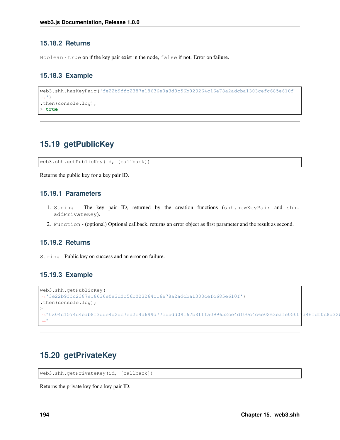#### **15.18.2 Returns**

Boolean - true on if the key pair exist in the node, false if not. Error on failure.

#### **15.18.3 Example**

```
web3.shh.hasKeyPair('fe22b9ffc2387e18636e0a3d0c56b023264c16e78a2adcba1303cefc685e610f
˓→')
.then(console.log);
> true
```
## **15.19 getPublicKey**

web3.shh.getPublicKey(id, [callback])

Returns the public key for a key pair ID.

#### **15.19.1 Parameters**

- 1. String The key pair ID, returned by the creation functions (shh.newKeyPair and shh. addPrivateKey).
- 2. Function (optional) Optional callback, returns an error object as first parameter and the result as second.

#### **15.19.2 Returns**

String - Public key on success and an error on failure.

#### **15.19.3 Example**

```
web3.shh.getPublicKey(
˓→'3e22b9ffc2387e18636e0a3d0c56b023264c16e78a2adcba1303cefc685e610f')
.then(console.log);
>
→"0x04d1574d4eab8f3dde4d2dc7ed2c4d699d77cbbdd09167b8fffa099652ce4df00c4c6e0263eafe05007a46fdf0c8d32l
\hookrightarrow ^{\mathfrak{m}}
```
## **15.20 getPrivateKey**

web3.shh.getPrivateKey(id, [callback])

Returns the private key for a key pair ID.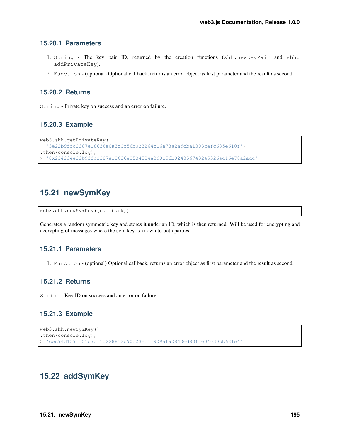#### **15.20.1 Parameters**

- 1. String The key pair ID, returned by the creation functions (shh.newKeyPair and shh. addPrivateKey).
- 2. Function (optional) Optional callback, returns an error object as first parameter and the result as second.

#### **15.20.2 Returns**

String - Private key on success and an error on failure.

#### **15.20.3 Example**

```
web3.shh.getPrivateKey(
˓→'3e22b9ffc2387e18636e0a3d0c56b023264c16e78a2adcba1303cefc685e610f')
.then(console.log);
 > "0x234234e22b9ffc2387e18636e0534534a3d0c56b0243567432453264c16e78a2adc"
```
## **15.21 newSymKey**

```
web3.shh.newSymKey([callback])
```
Generates a random symmetric key and stores it under an ID, which is then returned. Will be used for encrypting and decrypting of messages where the sym key is known to both parties.

#### **15.21.1 Parameters**

1. Function - (optional) Optional callback, returns an error object as first parameter and the result as second.

#### **15.21.2 Returns**

String - Key ID on success and an error on failure.

#### **15.21.3 Example**

```
web3.shh.newSymKey()
.then(console.log);
> "cec94d139ff51d7df1d228812b90c23ec1f909afa0840ed80f1e04030bb681e4"
```
## **15.22 addSymKey**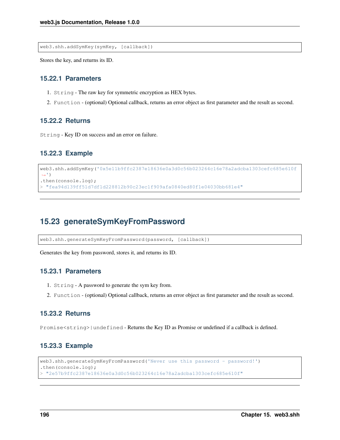web3.shh.addSymKey(symKey, [callback])

Stores the key, and returns its ID.

#### **15.22.1 Parameters**

- 1. String The raw key for symmetric encryption as HEX bytes.
- 2. Function (optional) Optional callback, returns an error object as first parameter and the result as second.

#### **15.22.2 Returns**

String - Key ID on success and an error on failure.

#### **15.22.3 Example**

```
web3.shh.addSymKey('0x5e11b9ffc2387e18636e0a3d0c56b023264c16e78a2adcba1303cefc685e610f
˓→')
.then(console.log);
 > "fea94d139ff51d7df1d228812b90c23ec1f909afa0840ed80f1e04030bb681e4"
```
## **15.23 generateSymKeyFromPassword**

web3.shh.generateSymKeyFromPassword(password, [callback])

Generates the key from password, stores it, and returns its ID.

#### **15.23.1 Parameters**

- 1. String A password to generate the sym key from.
- 2. Function (optional) Optional callback, returns an error object as first parameter and the result as second.

#### **15.23.2 Returns**

Promise<string>|undefined - Returns the Key ID as Promise or undefined if a callback is defined.

#### **15.23.3 Example**

```
web3.shh.generateSymKeyFromPassword('Never use this password - password!')
.then(console.log);
> "2e57b9ffc2387e18636e0a3d0c56b023264c16e78a2adcba1303cefc685e610f"
```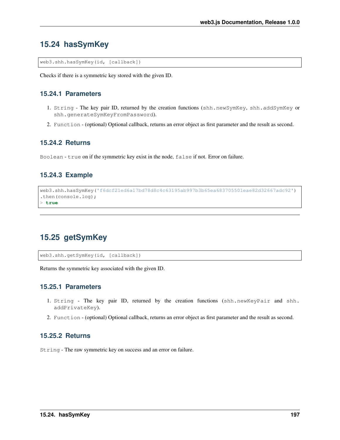## **15.24 hasSymKey**

web3.shh.hasSymKey(id, [callback])

Checks if there is a symmetric key stored with the given ID.

#### **15.24.1 Parameters**

- 1. String The key pair ID, returned by the creation functions (shh.newSymKey, shh.addSymKey or shh.generateSymKeyFromPassword).
- 2. Function (optional) Optional callback, returns an error object as first parameter and the result as second.

#### **15.24.2 Returns**

Boolean - true on if the symmetric key exist in the node, false if not. Error on failure.

## **15.24.3 Example**

```
web3.shh.hasSymKey('f6dcf21ed6a17bd78d8c4c63195ab997b3b65ea683705501eae82d32667adc92')
.then(console.log);
> true
```
## **15.25 getSymKey**

web3.shh.getSymKey(id, [callback])

Returns the symmetric key associated with the given ID.

#### **15.25.1 Parameters**

- 1. String The key pair ID, returned by the creation functions (shh.newKeyPair and shh. addPrivateKey).
- 2. Function (optional) Optional callback, returns an error object as first parameter and the result as second.

#### **15.25.2 Returns**

String - The raw symmetric key on success and an error on failure.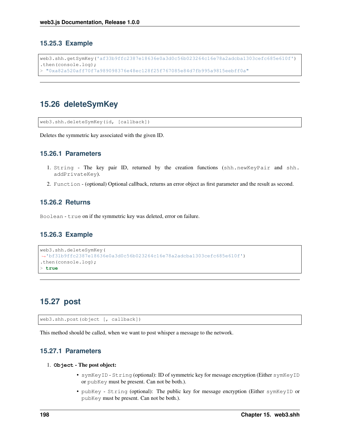#### **15.25.3 Example**

```
web3.shh.getSymKey('af33b9ffc2387e18636e0a3d0c56b023264c16e78a2adcba1303cefc685e610f')
.then(console.log);
 > "0xa82a520aff70f7a989098376e48ec128f25f767085e84d7fb995a9815eebff0a"
```
## **15.26 deleteSymKey**

web3.shh.deleteSymKey(id, [callback])

Deletes the symmetric key associated with the given ID.

#### **15.26.1 Parameters**

- 1. String The key pair ID, returned by the creation functions (shh.newKeyPair and shh. addPrivateKey).
- 2. Function (optional) Optional callback, returns an error object as first parameter and the result as second.

#### **15.26.2 Returns**

Boolean - true on if the symmetric key was deleted, error on failure.

#### **15.26.3 Example**

```
web3.shh.deleteSymKey(
˓→'bf31b9ffc2387e18636e0a3d0c56b023264c16e78a2adcba1303cefc685e610f')
.then(console.log);
> true
```
## **15.27 post**

web3.shh.post(object [, callback])

This method should be called, when we want to post whisper a message to the network.

#### **15.27.1 Parameters**

#### 1. **Object** - The post object:

- symKeyID String (optional): ID of symmetric key for message encryption (Either symKeyID or pubKey must be present. Can not be both.).
- pubKey String (optional): The public key for message encryption (Either symKeyID or pubKey must be present. Can not be both.).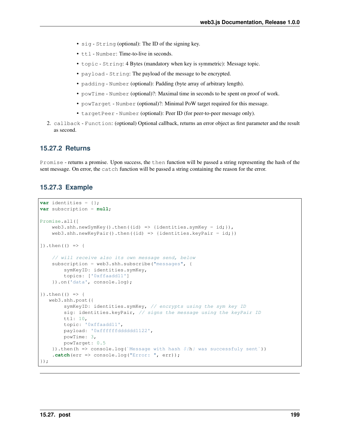- sig String (optional): The ID of the signing key.
- ttl Number: Time-to-live in seconds.
- topic String: 4 Bytes (mandatory when key is symmetric): Message topic.
- payload String: The payload of the message to be encrypted.
- padding Number (optional): Padding (byte array of arbitrary length).
- powTime Number (optional)?: Maximal time in seconds to be spent on proof of work.
- powTarget Number (optional)?: Minimal PoW target required for this message.
- targetPeer Number (optional): Peer ID (for peer-to-peer message only).
- 2. callback Function: (optional) Optional callback, returns an error object as first parameter and the result as second.

#### **15.27.2 Returns**

Promise - returns a promise. Upon success, the then function will be passed a string representing the hash of the sent message. On error, the catch function will be passed a string containing the reason for the error.

#### **15.27.3 Example**

```
var identities = {};
var subscription = null;
Promise.all([
   web3.shh.newSymKey().then((id) => {identities.symKey = id; }),
   web3.shh.newKeyPair().then((id) => {identities.keyPair = id;})
]).then(() => {
    // will receive also its own message send, below
    subscription = web3.shh.subscribe("messages", {
       symKeyID: identities.symKey,
        topics: ['0xffaadd11']
    }).on('data', console.log);
}).then(() => {
  web3.shh.post({
        symKeyID: identities.symKey, // encrypts using the sym key ID
        sig: identities.keyPair, // signs the message using the keyPair ID
       ttl: 10,
        topic: '0xffaadd11',
        payload: '0xffffffdddddd1122',
       powTime: 3,
       powTarget: 0.5
    }).then(h => console.log(`Message with hash S(h) was successfuly sent'))
    .catch(err => console.log("Error: ", err));
});
```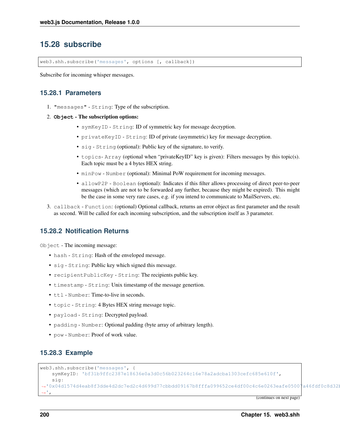## **15.28 subscribe**

web3.shh.subscribe('messages', options [, callback])

Subscribe for incoming whisper messages.

#### <span id="page-207-0"></span>**15.28.1 Parameters**

- 1. "messages" String: Type of the subscription.
- 2. **Object** The subscription options:
	- symKeyID String: ID of symmetric key for message decryption.
	- privateKeyID String: ID of private (asymmetric) key for message decryption.
	- sig String (optional): Public key of the signature, to verify.
	- topics- Array (optional when "privateKeyID" key is given): Filters messages by this topic(s). Each topic must be a 4 bytes HEX string.
	- minPow Number (optional): Minimal PoW requirement for incoming messages.
	- allowP2P Boolean (optional): Indicates if this filter allows processing of direct peer-to-peer messages (which are not to be forwarded any further, because they might be expired). This might be the case in some very rare cases, e.g. if you intend to communicate to MailServers, etc.
- 3. callback Function: (optional) Optional callback, returns an error object as first parameter and the result as second. Will be called for each incoming subscription, and the subscription itself as 3 parameter.

#### <span id="page-207-1"></span>**15.28.2 Notification Returns**

Object - The incoming message:

- hash String: Hash of the enveloped message.
- sig String: Public key which signed this message.
- recipientPublicKey String: The recipients public key.
- timestamp String: Unix timestamp of the message genertion.
- ttl Number: Time-to-live in seconds.
- topic String: 4 Bytes HEX string message topic.
- payload String: Decrypted payload.
- padding Number: Optional padding (byte array of arbitrary length).
- pow Number: Proof of work value.

#### **15.28.3 Example**

```
web3.shh.subscribe('messages', {
    symKeyID: 'bf31b9ffc2387e18636e0a3d0c56b023264c16e78a2adcba1303cefc685e610f',
    sig:
\rightarrow'0x04d1574d4eab8f3dde4d2dc7ed2c4d699d77cbbdd09167b8fffa099652ce4df00c4c6e0263eafe05007a46fdf0c8d321
˓→',
```
(continues on next page)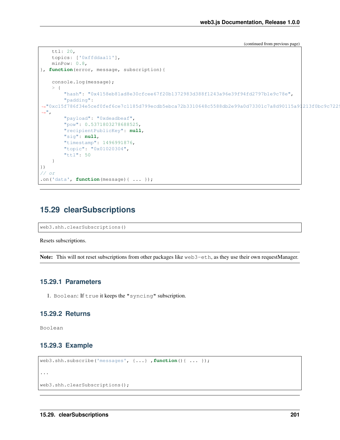(continued from previous page)

```
ttl: 20,
   topics: ['0xffddaa11'],
   minPow: 0.8,
}, function(error, message, subscription){
    console.log(message);
    > {
        "hash": "0x4158eb81ad8e30cfcee67f20b1372983d388f1243a96e39f94fd2797b1e9c78e",
        "padding":
\rightarrow"0xc15f786f34e5cef0fef6ce7c1185d799ecdb5ebca72b3310648c5588db2e99a0d73301c7a8d90115a91213f0bc9c722
\hookrightarrow",
        "payload": "0xdeadbeaf",
        "pow": 0.5371803278688525,
        "recipientPublicKey": null,
        "sig": null,
        "timestamp": 1496991876,
        "topic": "0x01020304",
        "ttl": 50
    }
})
// or
.on('data', function(message){ ... });
```
## **15.29 clearSubscriptions**

```
web3.shh.clearSubscriptions()
```
Resets subscriptions.

Note: This will not reset subscriptions from other packages like web3-eth, as they use their own requestManager.

#### **15.29.1 Parameters**

1. Boolean: If true it keeps the "syncing" subscription.

#### **15.29.2 Returns**

Boolean

#### **15.29.3 Example**

```
web3.shh.subscribe('messages', {...} ,function(){ ... });
...
```

```
web3.shh.clearSubscriptions();
```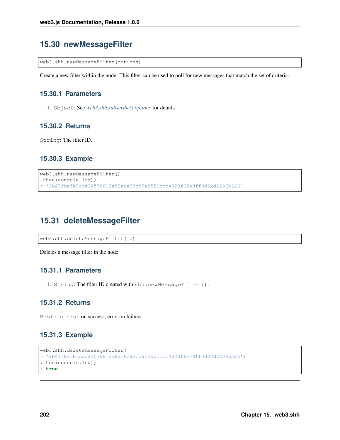## **15.30 newMessageFilter**

web3.shh.newMessageFilter(options)

Create a new filter within the node. This filter can be used to poll for new messages that match the set of criteria.

#### **15.30.1 Parameters**

1. Object: See *[web3.shh.subscribe\(\) options](#page-207-0)* for details.

#### **15.30.2 Returns**

String: The filter ID.

#### **15.30.3 Example**

```
web3.shh.newMessageFilter()
.then(console.log);
> "2b47fbafb3cce24570812a82e6e93cd9e2551bbc4823f6548ff0d82d2206b326"
```
## **15.31 deleteMessageFilter**

web3.shh.deleteMessageFilter(id)

Deletes a message filter in the node.

#### **15.31.1 Parameters**

1. String: The filter ID created with shh.newMessageFilter().

#### **15.31.2 Returns**

Boolean: true on success, error on failure.

#### **15.31.3 Example**

```
web3.shh.deleteMessageFilter(
˓→'2b47fbafb3cce24570812a82e6e93cd9e2551bbc4823f6548ff0d82d2206b326')
.then(console.log);
> true
```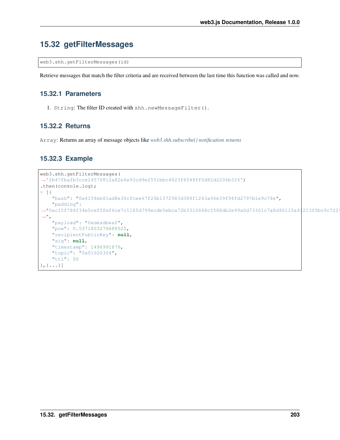## **15.32 getFilterMessages**

web3.shh.getFilterMessages(id)

Retrieve messages that match the filter criteria and are received between the last time this function was called and now.

#### **15.32.1 Parameters**

1. String: The filter ID created with shh.newMessageFilter().

#### **15.32.2 Returns**

Array: Returns an array of message objects like *[web3.shh.subscribe\(\) notification returns](#page-207-1)*

#### **15.32.3 Example**

```
web3.shh.getFilterMessages(
˓→'2b47fbafb3cce24570812a82e6e93cd9e2551bbc4823f6548ff0d82d2206b326')
.then(console.log);
> [ { \,"hash": "0x4158eb81ad8e30cfcee67f20b1372983d388f1243a96e39f94fd2797b1e9c78e",
    "padding":
\rightarrow"0xc15f786f34e5cef0fef6ce7c1185d799ecdb5ebca72b3310648c5588db2e99a0d73301c7a8d90115a91213f0bc9c722
ightharpoonup",
    "payload": "0xdeadbeaf",
    "pow": 0.5371803278688525,
    "recipientPublicKey": null,
    "sig": null,
    "timestamp": 1496991876,
    "topic": "0x01020304",
    "ttl": 50
\}, {\dots}]
```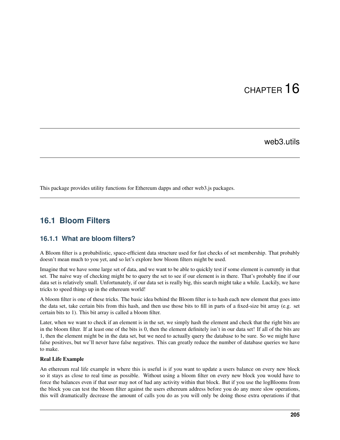# CHAPTER 16

## web3.utils

This package provides utility functions for Ethereum dapps and other web3.js packages.

## **16.1 Bloom Filters**

#### **16.1.1 What are bloom filters?**

A Bloom filter is a probabilistic, space-efficient data structure used for fast checks of set membership. That probably doesn't mean much to you yet, and so let's explore how bloom filters might be used.

Imagine that we have some large set of data, and we want to be able to quickly test if some element is currently in that set. The naive way of checking might be to query the set to see if our element is in there. That's probably fine if our data set is relatively small. Unfortunately, if our data set is really big, this search might take a while. Luckily, we have tricks to speed things up in the ethereum world!

A bloom filter is one of these tricks. The basic idea behind the Bloom filter is to hash each new element that goes into the data set, take certain bits from this hash, and then use those bits to fill in parts of a fixed-size bit array (e.g. set certain bits to 1). This bit array is called a bloom filter.

Later, when we want to check if an element is in the set, we simply hash the element and check that the right bits are in the bloom filter. If at least one of the bits is 0, then the element definitely isn't in our data set! If all of the bits are 1, then the element might be in the data set, but we need to actually query the database to be sure. So we might have false positives, but we'll never have false negatives. This can greatly reduce the number of database queries we have to make.

#### Real Life Example

An ethereum real life example in where this is useful is if you want to update a users balance on every new block so it stays as close to real time as possible. Without using a bloom filter on every new block you would have to force the balances even if that user may not of had any activity within that block. But if you use the logBlooms from the block you can test the bloom filter against the users ethereum address before you do any more slow operations, this will dramatically decrease the amount of calls you do as you will only be doing those extra operations if that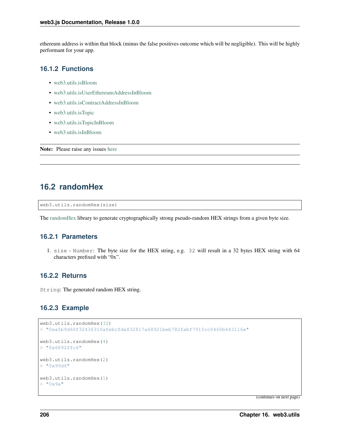ethereum address is within that block (minus the false positives outcome which will be negligible). This will be highly performant for your app.

#### **16.1.2 Functions**

- [web3.utils.isBloom](https://github.com/joshstevens19/ethereum-bloom-filters/blob/master/README.md#isbloom)
- [web3.utils.isUserEthereumAddressInBloom](https://github.com/joshstevens19/ethereum-bloom-filters/blob/master/README.md#isuserethereumaddressinbloom)
- [web3.utils.isContractAddressInBloom](https://github.com/joshstevens19/ethereum-bloom-filters/blob/master/README.md#iscontractaddressinbloom)
- [web3.utils.isTopic](https://github.com/joshstevens19/ethereum-bloom-filters/blob/master/README.md#istopic)
- [web3.utils.isTopicInBloom](https://github.com/joshstevens19/ethereum-bloom-filters/blob/master/README.md#istopicinbloom)
- [web3.utils.isInBloom](https://github.com/joshstevens19/ethereum-bloom-filters/blob/master/README.md#isinbloom)

Note: Please raise any issues [here](https://github.com/joshstevens19/ethereum-bloom-filters/issues)

## **16.2 randomHex**

web3.utils.randomHex(size)

The [randomHex](https://github.com/frozeman/randomHex) library to generate cryptographically strong pseudo-random HEX strings from a given byte size.

#### **16.2.1 Parameters**

1. size - Number: The byte size for the HEX string, e.g. 32 will result in a 32 bytes HEX string with 64 characters prefixed with "0x".

#### **16.2.2 Returns**

String: The generated random HEX string.

#### **16.2.3 Example**

```
web3.utils.randomHex(32)
> "0xa5b9d60f32436310afebcfda832817a68921beb782fabf7915cc0460b443116a"
web3.utils.randomHex(4)
> "0x6892ffc6"
web3.utils.randomHex(2)
> "0x99d6"
web3.utils.randomHex(1)
> "0x9a"
```
(continues on next page)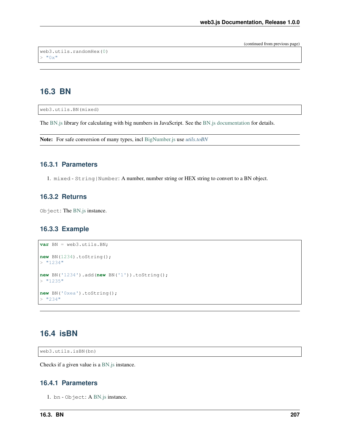(continued from previous page)

```
web3.utils.randomHex(0)
> "0x"
```
## **16.3 BN**

web3.utils.BN(mixed)

The [BN.js](https://github.com/indutny/bn.js/) library for calculating with big numbers in JavaScript. See the [BN.js documentation](https://github.com/indutny/bn.js/) for details.

Note: For safe conversion of many types, incl [BigNumber.js](http://mikemcl.github.io/bignumber.js/) use *[utils.toBN](#page-223-0)*

#### **16.3.1 Parameters**

1. mixed - String|Number: A number, number string or HEX string to convert to a BN object.

#### **16.3.2 Returns**

Object: The [BN.js](https://github.com/indutny/bn.js/) instance.

#### **16.3.3 Example**

```
var BN = web3.utils.BN;
new BN(1234).toString();
> 1234"
new BN('1234').add(new BN('1')).toString();
> "1235"
new BN('0xea').toString();
> "234"
```
## **16.4 isBN**

web3.utils.isBN(bn)

Checks if a given value is a [BN.js](https://github.com/indutny/bn.js/) instance.

#### **16.4.1 Parameters**

1. bn - Object: A [BN.js](https://github.com/indutny/bn.js/) instance.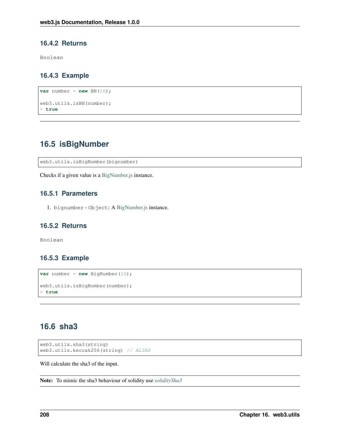#### **16.4.2 Returns**

Boolean

#### **16.4.3 Example**

```
var number = new BN(10);
web3.utils.isBN(number);
> true
```
## **16.5 isBigNumber**

web3.utils.isBigNumber(bignumber)

Checks if a given value is a [BigNumber.js](http://mikemcl.github.io/bignumber.js/) instance.

#### **16.5.1 Parameters**

1. bignumber - Object: A [BigNumber.js](http://mikemcl.github.io/bignumber.js/) instance.

#### **16.5.2 Returns**

Boolean

#### **16.5.3 Example**

```
var number = new BigNumber(10);
web3.utils.isBigNumber(number);
> true
```
## **16.6 sha3**

```
web3.utils.sha3(string)
web3.utils.keccak256(string) // ALIAS
```
Will calculate the sha3 of the input.

Note: To mimic the sha3 behaviour of solidity use *[soliditySha3](#page-216-0)*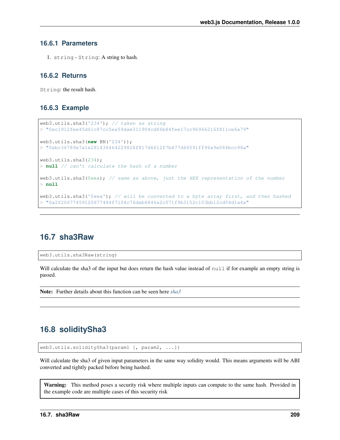### **16.6.1 Parameters**

1. string - String: A string to hash.

### **16.6.2 Returns**

String: the result hash.

### **16.6.3 Example**

```
web3.utils.sha3('234'); // taken as string
> "0xc1912fee45d61c87cc5ea59dae311904cd86b84fee17cc96966216f811ce6a79"
web3.utils.sha3(new BN('234'));
> "0xbc36789e7a1e281436464229828f817d6612f7b477d66591ff96a9e064bcc98a"
web3.utils.sha3(234);
> null // can't calculate the hash of a number
web3.utils.sha3(0xea); // same as above, just the HEX representation of the number
> null
web3.utils.sha3('0xea'); // will be converted to a byte array first, and then hashed
> "0x2f20677459120677484f7104c76deb6846a2c071f9b3152c103bb12cd54d1a4a"
```
### **16.7 sha3Raw**

web3.utils.sha3Raw(string)

Will calculate the sha3 of the input but does return the hash value instead of null if for example an empty string is passed.

Note: Further details about this function can be seen here *[sha3](#page-215-0)*

## <span id="page-216-0"></span>**16.8 soliditySha3**

web3.utils.soliditySha3(param1 [, param2, ...])

Will calculate the sha3 of given input parameters in the same way solidity would. This means arguments will be ABI converted and tightly packed before being hashed.

Warning: This method poses a security risk where multiple inputs can compute to the same hash. Provided in the example code are multiple cases of this security risk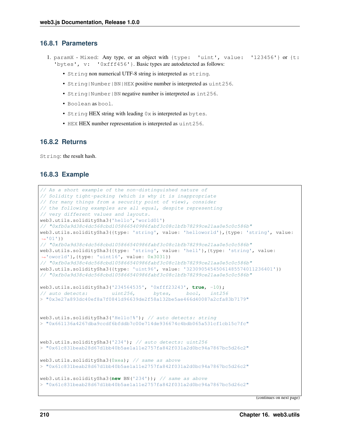### **16.8.1 Parameters**

- 1. paramX Mixed: Any type, or an object with {type: 'uint', value: '123456'} or {t: 'bytes', v: '0xfff456'}. Basic types are autodetected as follows:
	- String non numerical UTF-8 string is interpreted as string.
	- String|Number|BN|HEX positive number is interpreted as uint256.
	- String | Number | BN negative number is interpreted as int256.
	- Boolean as bool.
	- String HEX string with leading 0x is interpreted as bytes.
	- HEX HEX number representation is interpreted as uint256.

#### **16.8.2 Returns**

String: the result hash.

### **16.8.3 Example**

```
// As a short example of the non-distinguished nature of
// Solidity tight-packing (which is why it is inappropriate
// for many things from a security point of view), consider
// the following examples are all equal, despite representing
// very different values and layouts.
web3.utils.soliditySha3('hello','world01')
// "0xfb0a9d38c4dc568cbd105866540986fabf3c08c1bfb78299ce21aa0e5c0c586b"
web3.utils.soliditySha3({type: 'string', value: 'helloworld'},{type: 'string', value:
\rightarrow'01'})
// "0xfb0a9d38c4dc568cbd105866540986fabf3c08c1bfb78299ce21aa0e5c0c586b"
web3.utils.soliditySha3({type: 'string', value: 'hell'},{type: 'string', value:
˓→'oworld'},{type: 'uint16', value: 0x3031})
// "0xfb0a9d38c4dc568cbd105866540986fabf3c08c1bfb78299ce21aa0e5c0c586b"
web3.utils.soliditySha3({type: 'uint96', value: '32309054545061485574011236401'})
// "0xfb0a9d38c4dc568cbd105866540986fabf3c08c1bfb78299ce21aa0e5c0c586b"
web3.utils.soliditySha3('234564535', '0xfff23243', true, -10);
// auto detects: uint256, bytes, bool, int256
> "0x3e27a893dc40ef8a7f0841d96639de2f58a132be5ae466d40087a2cfa83b7179"
web3.utils.soliditySha3('Hello!%'); // auto detects: string
> "0x661136a4267dba9ccdf6bfddb7c00e714de936674c4bdb065a531cf1cb15c7fc"
web3.utils.soliditySha3('234'); // auto detects: uint256
> "0x61c831beab28d67d1bb40b5ae1a11e2757fa842f031a2d0bc94a7867bc5d26c2"
web3.utils.soliditySha3(0xea); // same as above
> "0x61c831beab28d67d1bb40b5ae1a11e2757fa842f031a2d0bc94a7867bc5d26c2"
web3.utils.soliditySha3(new BN('234')); // same as above
> "0x61c831beab28d67d1bb40b5ae1a11e2757fa842f031a2d0bc94a7867bc5d26c2"
```
(continues on next page)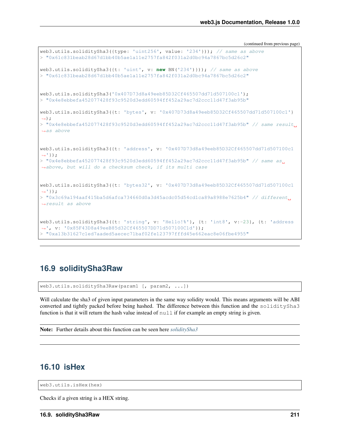(continued from previous page)

```
web3.utils.soliditySha3({type: 'uint256', value: '234'})); // same as above
> "0x61c831beab28d67d1bb40b5ae1a11e2757fa842f031a2d0bc94a7867bc5d26c2"
web3.utils.soliditySha3({t: 'uint', v: new BN('234')})); // same as above
> "0x61c831beab28d67d1bb40b5ae1a11e2757fa842f031a2d0bc94a7867bc5d26c2"
web3.utils.soliditySha3('0x407D73d8a49eeb85D32Cf465507dd71d507100c1');
> "0x4e8ebbefa452077428f93c9520d3edd60594ff452a29ac7d2ccc11d47f3ab95b"
web3.utils.soliditySha3({t: 'bytes', v: '0x407D73d8a49eeb85D32Cf465507dd71d507100c1'}
˓→);
> "0x4e8ebbefa452077428f93c9520d3edd60594ff452a29ac7d2ccc11d47f3ab95b" // same result.
\leftrightarrowas above
web3.utils.soliditySha3({t: 'address', v: '0x407D73d8a49eeb85D32Cf465507dd71d507100c1
\rightarrow'});
> "0x4e8ebbefa452077428f93c9520d3edd60594ff452a29ac7d2ccc11d47f3ab95b" // same as.
˓→above, but will do a checksum check, if its multi case
web3.utils.soliditySha3({t: 'bytes32', v: '0x407D73d8a49eeb85D32Cf465507dd71d507100c1
\rightarrow'});
> "0x3c69a194aaf415ba5d6afca734660d0a3d45acdc05d54cd1ca89a8988e7625b4" // different
˓→result as above
web3.utils.soliditySha3({t: 'string', v: 'Hello!%'}, {t: 'int8', v:-23}, {t: 'address
˓→', v: '0x85F43D8a49eeB85d32Cf465507DD71d507100C1d'});
> "0xa13b31627c1ed7aaded5aecec71baf02fe123797fffd45e662eac8e06fbe4955"
```
## **16.9 soliditySha3Raw**

web3.utils.soliditySha3Raw(param1 [, param2, ...])

Will calculate the sha3 of given input parameters in the same way solidity would. This means arguments will be ABI converted and tightly packed before being hashed. The difference between this function and the soliditySha3 function is that it will return the hash value instead of  $null$  if for example an empty string is given.

Note: Further details about this function can be seen here *[soliditySha3](#page-216-0)*

## **16.10 isHex**

web3.utils.isHex(hex)

Checks if a given string is a HEX string.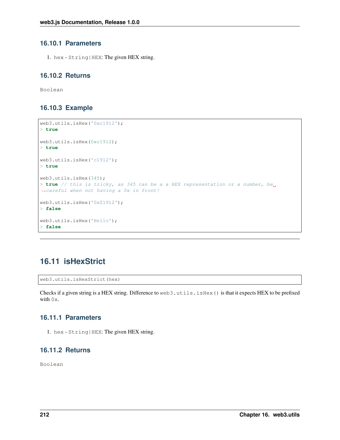### **16.10.1 Parameters**

1. hex - String|HEX: The given HEX string.

### **16.10.2 Returns**

Boolean

### **16.10.3 Example**

```
web3.utils.isHex('0xc1912');
> true
web3.utils.isHex(0xc1912);
> true
web3.utils.isHex('c1912');
> true
web3.utils.isHex(345);
> true // this is tricky, as 345 can be a a HEX representation or a number, be
˓→careful when not having a 0x in front!
web3.utils.isHex('0xZ1912');
> false
web3.utils.isHex('Hello');
> false
```
## **16.11 isHexStrict**

web3.utils.isHexStrict(hex)

Checks if a given string is a HEX string. Difference to web3.utils.isHex() is that it expects HEX to be prefixed with  $0x$ .

### **16.11.1 Parameters**

1. hex - String|HEX: The given HEX string.

### **16.11.2 Returns**

Boolean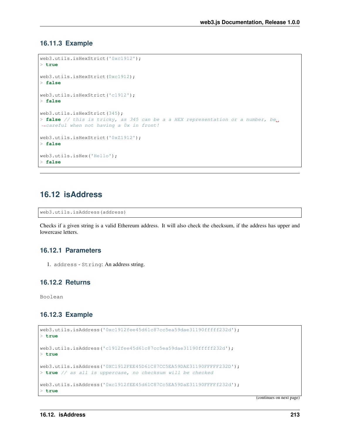### **16.11.3 Example**

```
web3.utils.isHexStrict('0xc1912');
> true
web3.utils.isHexStrict(0xc1912);
> false
web3.utils.isHexStrict('c1912');
> false
web3.utils.isHexStrict(345);
> false // this is tricky, as 345 can be a a HEX representation or a number, be<sub>w</sub>
˓→careful when not having a 0x in front!
web3.utils.isHexStrict('0xZ1912');
> false
web3.utils.isHex('Hello');
> false
```
## **16.12 isAddress**

```
web3.utils.isAddress(address)
```
Checks if a given string is a valid Ethereum address. It will also check the checksum, if the address has upper and lowercase letters.

### **16.12.1 Parameters**

1. address - String: An address string.

### **16.12.2 Returns**

Boolean

### **16.12.3 Example**

```
web3.utils.isAddress('0xc1912fee45d61c87cc5ea59dae31190fffff232d');
> true
web3.utils.isAddress('c1912fee45d61c87cc5ea59dae31190fffff232d');
> true
web3.utils.isAddress('0XC1912FEE45D61C87CC5EA59DAE31190FFFFF232D');
> true // as all is uppercase, no checksum will be checked
web3.utils.isAddress('0xc1912fEE45d61C87Cc5EA59DaE31190FFFFf232d');
> true
```
(continues on next page)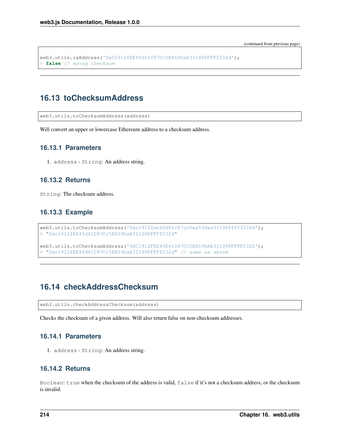(continued from previous page)

```
web3.utils.isAddress('0xC1912fEE45d61C87Cc5EA59DaE31190FFFFf232d');
> false // wrong checksum
```
## **16.13 toChecksumAddress**

web3.utils.toChecksumAddress(address)

Will convert an upper or lowercase Ethereum address to a checksum address.

### **16.13.1 Parameters**

1. address - String: An address string.

### **16.13.2 Returns**

String: The checksum address.

### **16.13.3 Example**

```
web3.utils.toChecksumAddress('0xc1912fee45d61c87cc5ea59dae31190fffff232d');
> "0xc1912fEE45d61C87Cc5EA59DaE31190FFFFf232d"
web3.utils.toChecksumAddress('0XC1912FEE45D61C87CC5EA59DAE31190FFFFF232D');
> "0xc1912fEE45d61C87Cc5EA59DaE31190FFFFf232d" // same as above
```
## **16.14 checkAddressChecksum**

web3.utils.checkAddressChecksum(address)

Checks the checksum of a given address. Will also return false on non-checksum addresses.

#### **16.14.1 Parameters**

1. address - String: An address string.

### **16.14.2 Returns**

Boolean: true when the checksum of the address is valid, false if it's not a checksum address, or the checksum is invalid.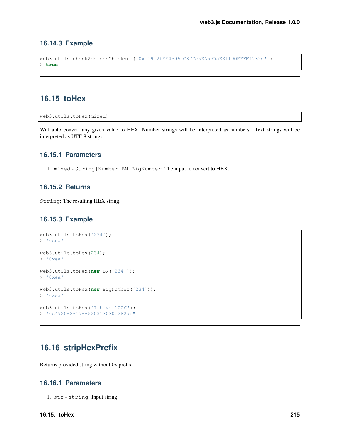### **16.14.3 Example**

```
web3.utils.checkAddressChecksum('0xc1912fEE45d61C87Cc5EA59DaE31190FFFFf232d');
 > true
```
### **16.15 toHex**

```
web3.utils.toHex(mixed)
```
Will auto convert any given value to HEX. Number strings will be interpreted as numbers. Text strings will be interpreted as UTF-8 strings.

### **16.15.1 Parameters**

1. mixed - String|Number|BN|BigNumber: The input to convert to HEX.

### **16.15.2 Returns**

String: The resulting HEX string.

### **16.15.3 Example**

```
web3.utils.toHex('234');
> "0xea"
web3.utils.toHex(234);
> "0xea"
web3.utils.toHex(new BN('234'));
> "0xea"
web3.utils.toHex(new BigNumber('234'));
> "0xea"
web3.utils.toHex('I have 100€');
> "0x49206861766520313030e282ac"
```
## **16.16 stripHexPrefix**

Returns provided string without 0x prefix.

### **16.16.1 Parameters**

1. str - string: Input string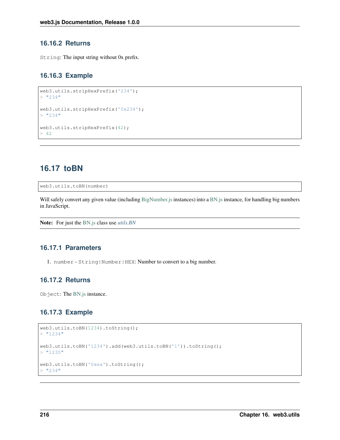### **16.16.2 Returns**

String: The input string without 0x prefix.

### **16.16.3 Example**

```
web3.utils.stripHexPrefix('234');
> "234"
web3.utils.stripHexPrefix('0x234');
> "234"
web3.utils.stripHexPrefix(42);
> 42
```
## <span id="page-223-0"></span>**16.17 toBN**

web3.utils.toBN(number)

Will safely convert any given value (including [BigNumber.js](http://mikemcl.github.io/bignumber.js/) instances) into a [BN.js](https://github.com/indutny/bn.js/) instance, for handling big numbers in JavaScript.

Note: For just the [BN.js](https://github.com/indutny/bn.js/) class use *[utils.BN](#page-214-0)*

### **16.17.1 Parameters**

1. number - String|Number|HEX: Number to convert to a big number.

#### **16.17.2 Returns**

Object: The [BN.js](https://github.com/indutny/bn.js/) instance.

### **16.17.3 Example**

```
web3.utils.toBN(1234).toString();
> "1234"
web3.utils.toBN('1234').add(web3.utils.toBN('1')).toString();
> "1235"
web3.utils.toBN('0xea').toString();
> "234"
```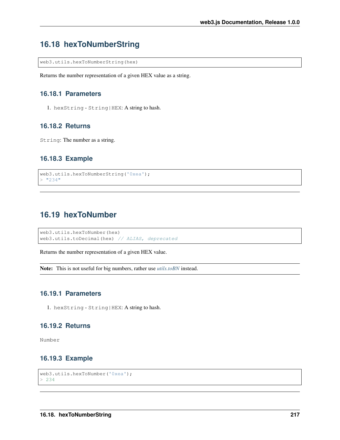# **16.18 hexToNumberString**

web3.utils.hexToNumberString(hex)

Returns the number representation of a given HEX value as a string.

### **16.18.1 Parameters**

1. hexString - String|HEX: A string to hash.

### **16.18.2 Returns**

String: The number as a string.

### **16.18.3 Example**

```
web3.utils.hexToNumberString('0xea');
> "234"
```
## **16.19 hexToNumber**

```
web3.utils.hexToNumber(hex)
web3.utils.toDecimal(hex) // ALIAS, deprecated
```
Returns the number representation of a given HEX value.

Note: This is not useful for big numbers, rather use *[utils.toBN](#page-223-0)* instead.

### **16.19.1 Parameters**

1. hexString - String|HEX: A string to hash.

#### **16.19.2 Returns**

Number

### **16.19.3 Example**

```
web3.utils.hexToNumber('0xea');
> 234
```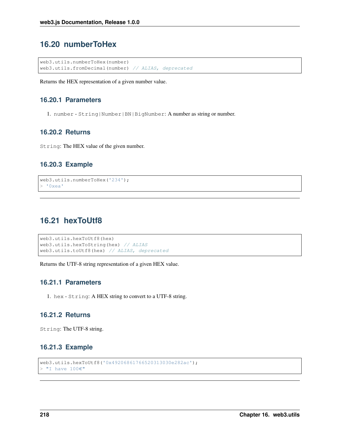## **16.20 numberToHex**

```
web3.utils.numberToHex(number)
web3.utils.fromDecimal(number) // ALIAS, deprecated
```
Returns the HEX representation of a given number value.

### **16.20.1 Parameters**

1. number - String|Number|BN|BigNumber: A number as string or number.

### **16.20.2 Returns**

String: The HEX value of the given number.

### **16.20.3 Example**

```
web3.utils.numberToHex('234');
> 0xea'
```
## **16.21 hexToUtf8**

```
web3.utils.hexToUtf8(hex)
web3.utils.hexToString(hex) // ALIAS
web3.utils.toUtf8(hex) // ALIAS, deprecated
```
Returns the UTF-8 string representation of a given HEX value.

### **16.21.1 Parameters**

1. hex - String: A HEX string to convert to a UTF-8 string.

### **16.21.2 Returns**

String: The UTF-8 string.

### **16.21.3 Example**

```
web3.utils.hexToUtf8('0x49206861766520313030e282ac');
> "I have 100 \in"
```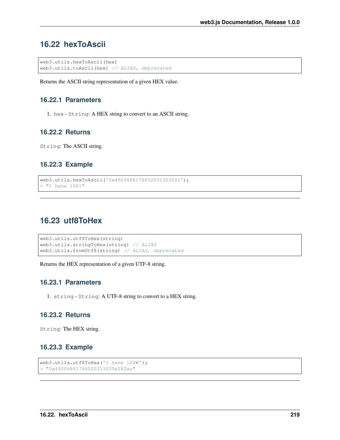## **16.22 hexToAscii**

```
web3.utils.hexToAscii(hex)
web3.utils.toAscii(hex) // ALIAS, deprecated
```
Returns the ASCII string representation of a given HEX value.

### **16.22.1 Parameters**

1. hex - String: A HEX string to convert to an ASCII string.

### **16.22.2 Returns**

String: The ASCII string.

### **16.22.3 Example**

```
web3.utils.hexToAscii('0x4920686176652031303021');
> "I have 100!"
```
## **16.23 utf8ToHex**

```
web3.utils.utf8ToHex(string)
web3.utils.stringToHex(string) // ALIAS
web3.utils.fromUtf8(string) // ALIAS, deprecated
```
Returns the HEX representation of a given UTF-8 string.

### **16.23.1 Parameters**

1. string - String: A UTF-8 string to convert to a HEX string.

### **16.23.2 Returns**

String: The HEX string.

### **16.23.3 Example**

```
web3.utils.utf8ToHex('I have 100€');
> "0x49206861766520313030e282ac"
```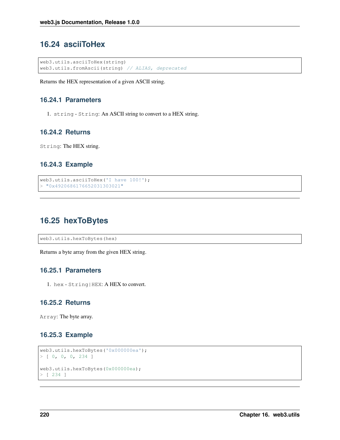# **16.24 asciiToHex**

```
web3.utils.asciiToHex(string)
web3.utils.fromAscii(string) // ALIAS, deprecated
```
Returns the HEX representation of a given ASCII string.

### **16.24.1 Parameters**

1. string - String: An ASCII string to convert to a HEX string.

### **16.24.2 Returns**

String: The HEX string.

### **16.24.3 Example**

```
web3.utils.asciiToHex('I have 100!');
> "0x4920686176652031303021"
```
## **16.25 hexToBytes**

web3.utils.hexToBytes(hex)

Returns a byte array from the given HEX string.

### **16.25.1 Parameters**

1. hex - String|HEX: A HEX to convert.

### **16.25.2 Returns**

Array: The byte array.

### **16.25.3 Example**

```
web3.utils.hexToBytes('0x000000ea');
> [ 0, 0, 0, 234 ]
web3.utils.hexToBytes(0x000000ea);
> [ 234 ]
```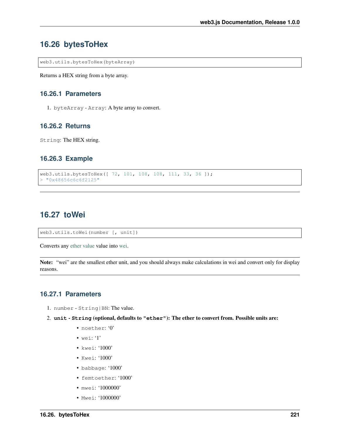### **16.26 bytesToHex**

web3.utils.bytesToHex(byteArray)

Returns a HEX string from a byte array.

### **16.26.1 Parameters**

1. byteArray - Array: A byte array to convert.

### **16.26.2 Returns**

String: The HEX string.

### **16.26.3 Example**

```
web3.utils.bytesToHex([ 72, 101, 108, 108, 111, 33, 36 ]);
> "0x48656c6c6f2125"
```
## **16.27 toWei**

web3.utils.toWei(number [, unit])

Converts any [ether value](http://ethdocs.org/en/latest/ether.html) value into [wei.](http://ethereum.stackexchange.com/questions/253/the-ether-denominations-are-called-finney-szabo-and-wei-what-who-are-these-na)

Note: "wei" are the smallest ether unit, and you should always make calculations in wei and convert only for display reasons.

### **16.27.1 Parameters**

- 1. number String|BN: The value.
- 2. **unit String** (optional, defaults to **"ether"**): The ether to convert from. Possible units are:
	- noether: '0'
	- wei: '1'
	- kwei: '1000'
	- Kwei: '1000'
	- babbage: '1000'
	- femtoether: '1000'
	- mwei: '1000000'
	- Mwei: '1000000'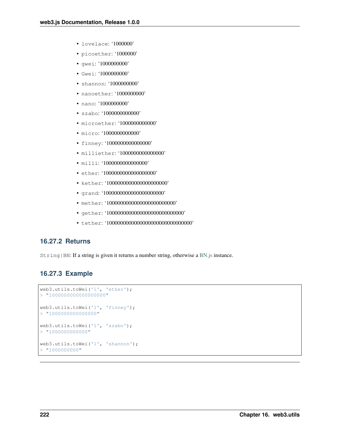- lovelace: '1000000'
- picoether: '1000000'
- gwei: '1000000000'
- Gwei: '1000000000'
- shannon: '1000000000'
- nanoether: '1000000000'
- nano: '1000000000'
- szabo: '1000000000000'
- microether: '1000000000000'
- micro: '1000000000000'
- finney: '1000000000000000'
- milliether: '1000000000000000'
- milli: '100000000000000000'
- ether: '10000000000000000000000'
- kether: '1000000000000000000000'
- grand: '1000000000000000000000'
- mether: '10000000000000000000000000000'
- gether: '1000000000000000000000000000'
- tether: '1000000000000000000000000000000'

### **16.27.2 Returns**

String | BN: If a string is given it returns a number string, otherwise a [BN.js](https://github.com/indutny/bn.js/) instance.

### **16.27.3 Example**

```
web3.utils.toWei('1', 'ether');
> "1000000000000000000"
web3.utils.toWei('1', 'finney');
> "1000000000000000"
web3.utils.toWei('1', 'szabo');
> "1000000000000"web3.utils.toWei('1', 'shannon');
> "1000000000"
```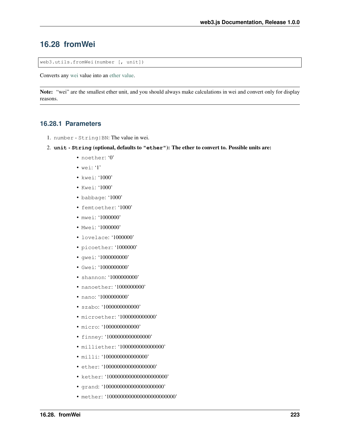### **16.28 fromWei**

```
web3.utils.fromWei(number [, unit])
```
Converts any [wei](http://ethereum.stackexchange.com/questions/253/the-ether-denominations-are-called-finney-szabo-and-wei-what-who-are-these-na) value into an [ether value.](http://ethdocs.org/en/latest/ether.html)

Note: "wei" are the smallest ether unit, and you should always make calculations in wei and convert only for display reasons.

### **16.28.1 Parameters**

- 1. number String|BN: The value in wei.
- 2. **unit String** (optional, defaults to **"ether"**): The ether to convert to. Possible units are:
	- noether: '0'
	- wei: '1'
	- kwei: '1000'
	- Kwei: '1000'
	- babbage: '1000'
	- femtoether: '1000'
	- mwei: '1000000'
	- Mwei: '1000000'
	- lovelace: '1000000'
	- picoether: '1000000'
	- gwei: '1000000000'
	- Gwei: '1000000000'
	- shannon: '1000000000'
	- nanoether: '1000000000'
	- nano: '1000000000'
	- szabo: '1000000000000'
	- microether: '1000000000000'
	- micro: '1000000000000'
	- finney: '1000000000000000'
	- milliether: '1000000000000000'
	- milli: '10000000000000000'
	- ether: '10000000000000000000'
	- kether: '1000000000000000000000'
	- grand: '1000000000000000000000'
	- mether: '100000000000000000000000000000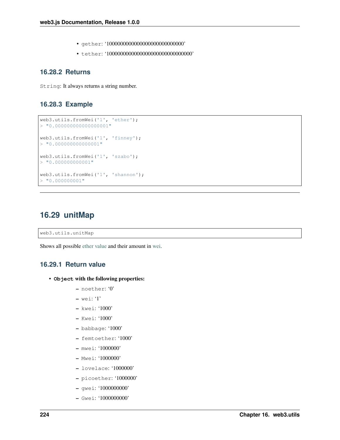- gether: '1000000000000000000000000000'
- tether: '1000000000000000000000000000000'

### **16.28.2 Returns**

String: It always returns a string number.

### **16.28.3 Example**

```
web3.utils.fromWei('1', 'ether');
> "0.000000000000000001"
web3.utils.fromWei('1', 'finney');
> "0.000000000000001"web3.utils.fromWei('1', 'szabo');
> "0.000000000001"web3.utils.fromWei('1', 'shannon');
> "0.000000001"
```
### **16.29 unitMap**

web3.utils.unitMap

Shows all possible [ether value](http://ethdocs.org/en/latest/ether.html) and their amount in [wei.](http://ethereum.stackexchange.com/questions/253/the-ether-denominations-are-called-finney-szabo-and-wei-what-who-are-these-na)

### **16.29.1 Return value**

- **Object** with the following properties:
	- noether: '0'
	- wei: '1'
	- kwei: '1000'
	- Kwei: '1000'
	- babbage: '1000'
	- femtoether: '1000'
	- mwei: '1000000'
	- Mwei: '1000000'
	- lovelace: '1000000'
	- picoether: '1000000'
	- gwei: '1000000000'
	- Gwei: '1000000000'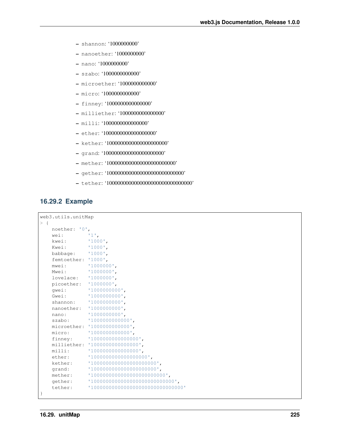- shannon: '1000000000'
- nanoether: '1000000000'
- nano: '1000000000'
- szabo: '1000000000000'
- microether: '1000000000000'
- micro: '1000000000000'
- finney: '1000000000000000'
- milliether: '1000000000000000'
- milli: '1000000000000000'
- ether: '1000000000000000000'
- kether: '1000000000000000000000'
- grand: '1000000000000000000000'
- mether: '1000000000000000000000000'
- gether: '1000000000000000000000000000'
- tether: '1000000000000000000000000000000'

#### **16.29.2 Example**

```
web3.utils.unitMap
> {
   noether: '0',
   wei: 1',kwei: '1000',
   Kwei: '1000',
   babbage: '1000',
  femtoether: '1000',
   mwei: '1000000',
   Mwei: '1000000',
   lovelace: '1000000',
   picoether: '1000000',
   gwei: '1000000000',
   Gwei: '1000000000',
   shannon: '1000000000',
   nanoether: '1000000000',
   nano: '1000000000',
   szabo: '1000000000000',
  microether: '1000000000000',
   micro: '1000000000000',
   finney: '1000000000000000',
   milliether: '1000000000000000',
   milli: '1000000000000000',
   ether: '1000000000000000000',
   kether: '10000000000000000000000',
   grand: '1000000000000000000000',
   mether: '100000000000000000000000000',
   gether: '1000000000000000000000000000000000
   tether: '1000000000000000000000000000000'
}
```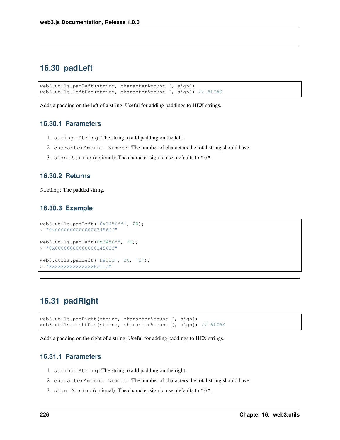## **16.30 padLeft**

```
web3.utils.padLeft(string, characterAmount [, sign])
web3.utils.leftPad(string, characterAmount [, sign]) // ALIAS
```
Adds a padding on the left of a string, Useful for adding paddings to HEX strings.

### **16.30.1 Parameters**

- 1. string String: The string to add padding on the left.
- 2. characterAmount Number: The number of characters the total string should have.
- 3. sign String (optional): The character sign to use, defaults to "0".

#### **16.30.2 Returns**

String: The padded string.

#### **16.30.3 Example**

```
web3.utils.padLeft('0x3456ff', 20);
> "0x000000000000003456ff"
web3.utils.padLeft(0x3456ff, 20);
> "0x000000000000003456ff"
web3.utils.padLeft('Hello', 20, 'x');
> "xxxxxxxxxxxxxxHello"
```
## **16.31 padRight**

```
web3.utils.padRight(string, characterAmount [, sign])
web3.utils.rightPad(string, characterAmount [, sign]) // ALIAS
```
Adds a padding on the right of a string, Useful for adding paddings to HEX strings.

### **16.31.1 Parameters**

- 1. string String: The string to add padding on the right.
- 2. characterAmount Number: The number of characters the total string should have.
- 3. sign String (optional): The character sign to use, defaults to "0".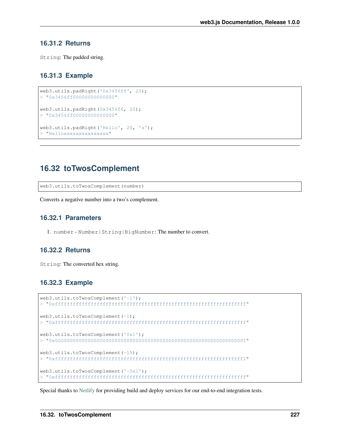### **16.31.2 Returns**

String: The padded string.

### **16.31.3 Example**

```
web3.utils.padRight('0x3456ff', 20);
> "0x3456ff00000000000000"
web3.utils.padRight(0x3456ff, 20);
> "0x3456ff00000000000000"
web3.utils.padRight('Hello', 20, 'x');
> "Helloxxxxxxxxxxxxxxx"
```
## **16.32 toTwosComplement**

web3.utils.toTwosComplement(number)

Converts a negative number into a two's complement.

### **16.32.1 Parameters**

1. number - Number|String|BigNumber: The number to convert.

### **16.32.2 Returns**

String: The converted hex string.

### **16.32.3 Example**

```
web3.utils.toTwosComplement('-1');
> "0xffffffffffffffffffffffffffffffffffffffffffffffffffffffffffffffff"
web3.utils.toTwosComplement(-1);
> "0xffffffffffffffffffffffffffffffffffffffffffffffffffffffffffffffff"
web3.utils.toTwosComplement('0x1');
> "0x0000000000000000000000000000000000000000000000000000000000000001"
web3.utils.toTwosComplement(-15);
> "0xfffffffffffffffffffffffffffffffffffffffffffffffffffffffffffffff1"
web3.utils.toTwosComplement('-0x1');
> "0xffffffffffffffffffffffffffffffffffffffffffffffffffffffffffffffff"
```
Special thanks to [Netlify](https://www.netlify.com/) for providing build and deploy services for our end-to-end integration tests.